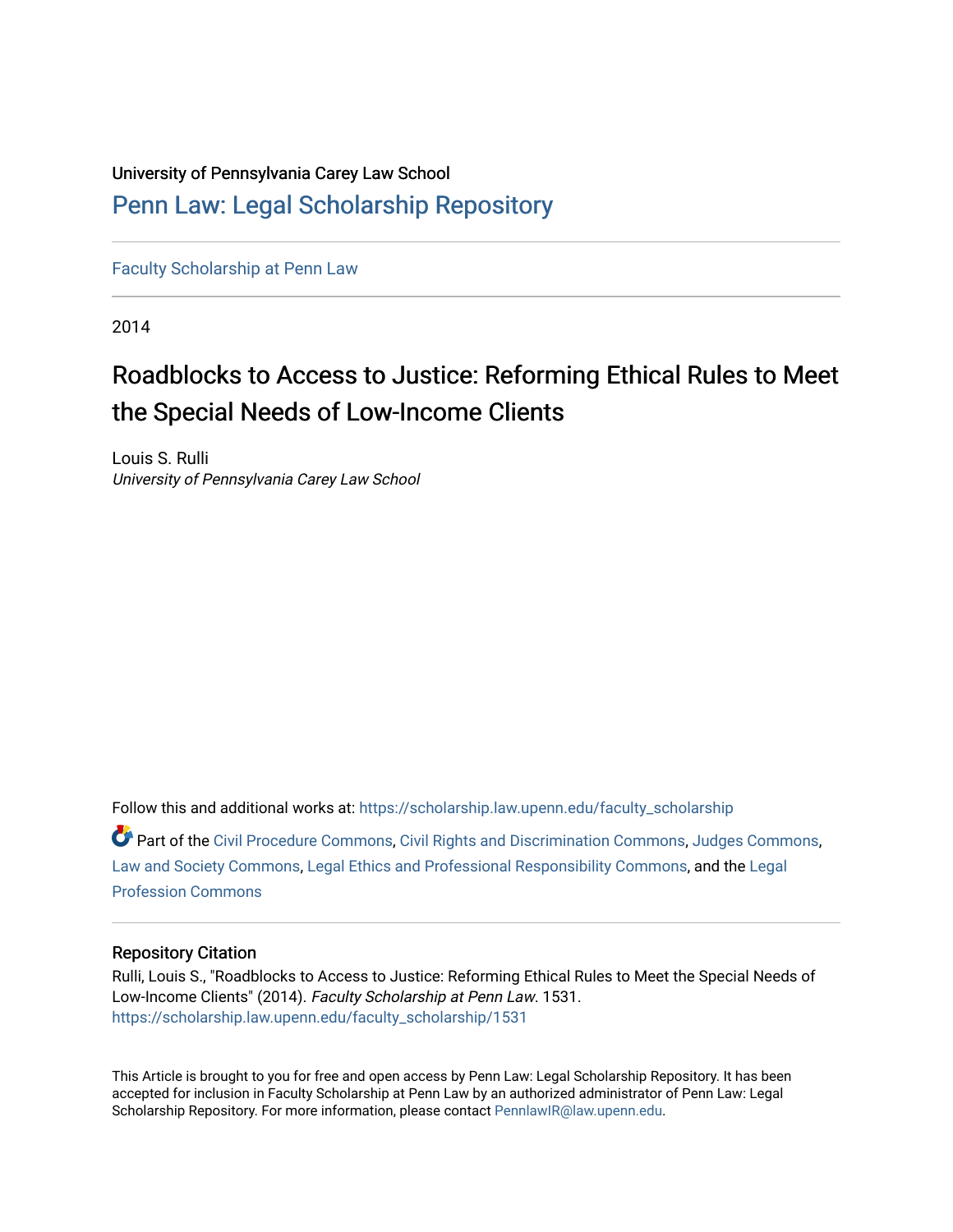# University of Pennsylvania Carey Law School [Penn Law: Legal Scholarship Repository](https://scholarship.law.upenn.edu/)

[Faculty Scholarship at Penn Law](https://scholarship.law.upenn.edu/faculty_scholarship)

2014

# Roadblocks to Access to Justice: Reforming Ethical Rules to Meet the Special Needs of Low-Income Clients

Louis S. Rulli University of Pennsylvania Carey Law School

Follow this and additional works at: [https://scholarship.law.upenn.edu/faculty\\_scholarship](https://scholarship.law.upenn.edu/faculty_scholarship?utm_source=scholarship.law.upenn.edu%2Ffaculty_scholarship%2F1531&utm_medium=PDF&utm_campaign=PDFCoverPages) 

Part of the [Civil Procedure Commons,](http://network.bepress.com/hgg/discipline/584?utm_source=scholarship.law.upenn.edu%2Ffaculty_scholarship%2F1531&utm_medium=PDF&utm_campaign=PDFCoverPages) [Civil Rights and Discrimination Commons,](http://network.bepress.com/hgg/discipline/585?utm_source=scholarship.law.upenn.edu%2Ffaculty_scholarship%2F1531&utm_medium=PDF&utm_campaign=PDFCoverPages) [Judges Commons](http://network.bepress.com/hgg/discipline/849?utm_source=scholarship.law.upenn.edu%2Ffaculty_scholarship%2F1531&utm_medium=PDF&utm_campaign=PDFCoverPages), [Law and Society Commons](http://network.bepress.com/hgg/discipline/853?utm_source=scholarship.law.upenn.edu%2Ffaculty_scholarship%2F1531&utm_medium=PDF&utm_campaign=PDFCoverPages), [Legal Ethics and Professional Responsibility Commons,](http://network.bepress.com/hgg/discipline/895?utm_source=scholarship.law.upenn.edu%2Ffaculty_scholarship%2F1531&utm_medium=PDF&utm_campaign=PDFCoverPages) and the [Legal](http://network.bepress.com/hgg/discipline/1075?utm_source=scholarship.law.upenn.edu%2Ffaculty_scholarship%2F1531&utm_medium=PDF&utm_campaign=PDFCoverPages)  [Profession Commons](http://network.bepress.com/hgg/discipline/1075?utm_source=scholarship.law.upenn.edu%2Ffaculty_scholarship%2F1531&utm_medium=PDF&utm_campaign=PDFCoverPages) 

# Repository Citation

Rulli, Louis S., "Roadblocks to Access to Justice: Reforming Ethical Rules to Meet the Special Needs of Low-Income Clients" (2014). Faculty Scholarship at Penn Law. 1531. [https://scholarship.law.upenn.edu/faculty\\_scholarship/1531](https://scholarship.law.upenn.edu/faculty_scholarship/1531?utm_source=scholarship.law.upenn.edu%2Ffaculty_scholarship%2F1531&utm_medium=PDF&utm_campaign=PDFCoverPages)

This Article is brought to you for free and open access by Penn Law: Legal Scholarship Repository. It has been accepted for inclusion in Faculty Scholarship at Penn Law by an authorized administrator of Penn Law: Legal Scholarship Repository. For more information, please contact [PennlawIR@law.upenn.edu.](mailto:PennlawIR@law.upenn.edu)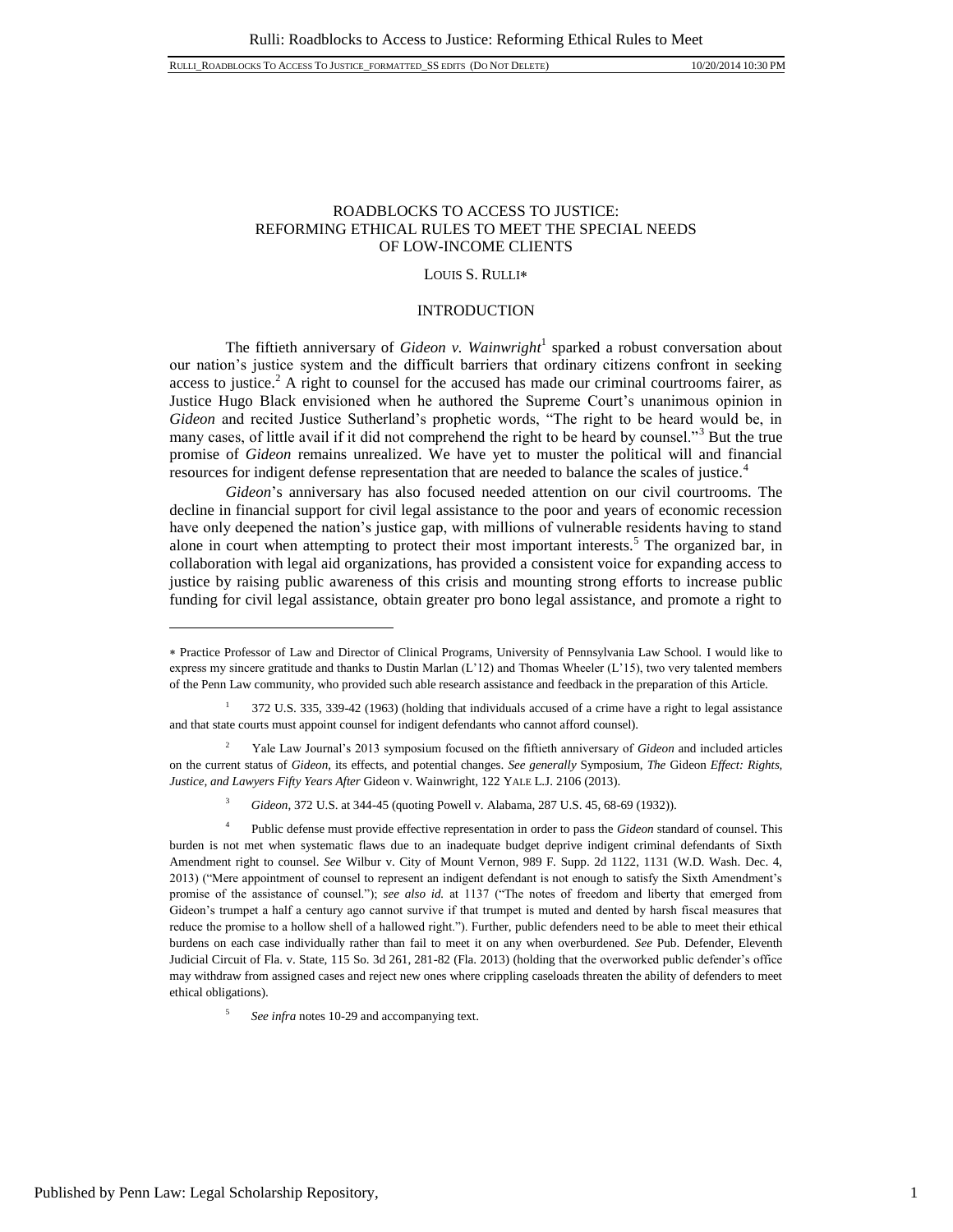# ROADBLOCKS TO ACCESS TO JUSTICE: REFORMING ETHICAL RULES TO MEET THE SPECIAL NEEDS OF LOW-INCOME CLIENTS

#### LOUIS S. RULLI

#### INTRODUCTION

The fiftieth anniversary of *Gideon v. Wainwright*<sup>1</sup> sparked a robust conversation about our nation's justice system and the difficult barriers that ordinary citizens confront in seeking access to justice.<sup>2</sup> A right to counsel for the accused has made our criminal courtrooms fairer, as Justice Hugo Black envisioned when he authored the Supreme Court's unanimous opinion in *Gideon* and recited Justice Sutherland's prophetic words, "The right to be heard would be, in many cases, of little avail if it did not comprehend the right to be heard by counsel."<sup>3</sup> But the true promise of *Gideon* remains unrealized. We have yet to muster the political will and financial resources for indigent defense representation that are needed to balance the scales of justice.<sup>4</sup>

*Gideon*'s anniversary has also focused needed attention on our civil courtrooms. The decline in financial support for civil legal assistance to the poor and years of economic recession have only deepened the nation's justice gap, with millions of vulnerable residents having to stand alone in court when attempting to protect their most important interests.<sup>5</sup> The organized bar, in collaboration with legal aid organizations, has provided a consistent voice for expanding access to justice by raising public awareness of this crisis and mounting strong efforts to increase public funding for civil legal assistance, obtain greater pro bono legal assistance, and promote a right to

Practice Professor of Law and Director of Clinical Programs, University of Pennsylvania Law School. I would like to express my sincere gratitude and thanks to Dustin Marlan (L'12) and Thomas Wheeler (L'15), two very talented members of the Penn Law community, who provided such able research assistance and feedback in the preparation of this Article.

<sup>1</sup> 372 U.S. 335, 339-42 (1963) (holding that individuals accused of a crime have a right to legal assistance and that state courts must appoint counsel for indigent defendants who cannot afford counsel).

<sup>2</sup> Yale Law Journal's 2013 symposium focused on the fiftieth anniversary of *Gideon* and included articles on the current status of *Gideon*, its effects, and potential changes. *See generally* Symposium, *The* Gideon *Effect: Rights, Justice, and Lawyers Fifty Years After* Gideon v. Wainwright, 122 YALE L.J. 2106 (2013).

<sup>3</sup> *Gideon*, 372 U.S. at 344-45 (quoting Powell v. Alabama, 287 U.S. 45, 68-69 (1932)).

<sup>4</sup> Public defense must provide effective representation in order to pass the *Gideon* standard of counsel. This burden is not met when systematic flaws due to an inadequate budget deprive indigent criminal defendants of Sixth Amendment right to counsel. *See* Wilbur v. City of Mount Vernon, 989 F. Supp. 2d 1122, 1131 (W.D. Wash. Dec. 4, 2013) ("Mere appointment of counsel to represent an indigent defendant is not enough to satisfy the Sixth Amendment's promise of the assistance of counsel."); *see also id.* at 1137 ("The notes of freedom and liberty that emerged from Gideon's trumpet a half a century ago cannot survive if that trumpet is muted and dented by harsh fiscal measures that reduce the promise to a hollow shell of a hallowed right."). Further, public defenders need to be able to meet their ethical burdens on each case individually rather than fail to meet it on any when overburdened. *See* Pub. Defender, Eleventh Judicial Circuit of Fla. v. State, 115 So. 3d 261, 281-82 (Fla. 2013) (holding that the overworked public defender's office may withdraw from assigned cases and reject new ones where crippling caseloads threaten the ability of defenders to meet ethical obligations).

<sup>5</sup> *See infra* notes 10-29 and accompanying text.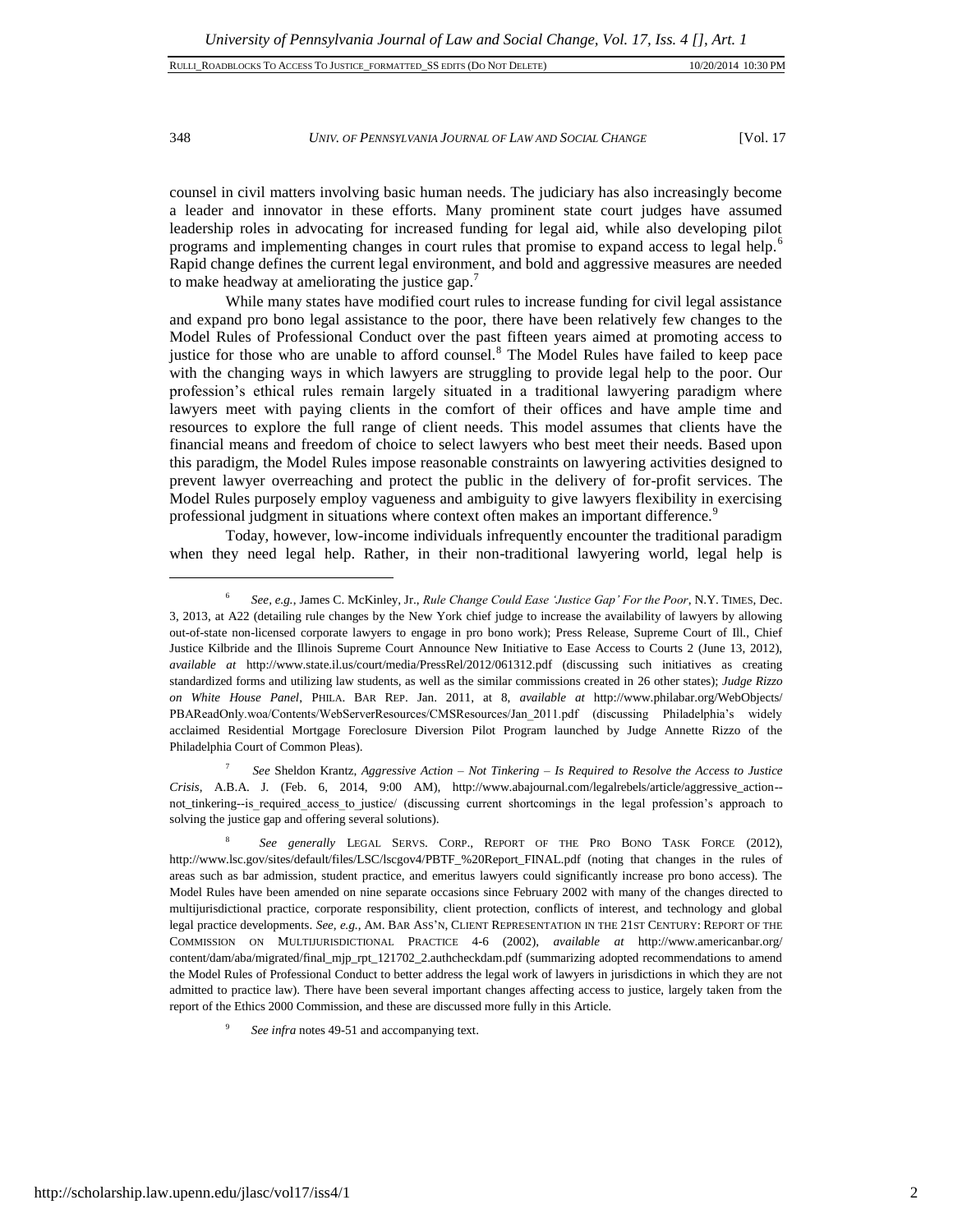# 348 *UNIV. OF PENNSYLVANIA JOURNAL OF LAW AND SOCIAL CHANGE* [Vol. 17

counsel in civil matters involving basic human needs. The judiciary has also increasingly become a leader and innovator in these efforts. Many prominent state court judges have assumed leadership roles in advocating for increased funding for legal aid, while also developing pilot programs and implementing changes in court rules that promise to expand access to legal help.<sup>6</sup> Rapid change defines the current legal environment, and bold and aggressive measures are needed to make headway at ameliorating the justice gap.<sup>7</sup>

While many states have modified court rules to increase funding for civil legal assistance and expand pro bono legal assistance to the poor, there have been relatively few changes to the Model Rules of Professional Conduct over the past fifteen years aimed at promoting access to justice for those who are unable to afford counsel.<sup>8</sup> The Model Rules have failed to keep pace with the changing ways in which lawyers are struggling to provide legal help to the poor. Our profession's ethical rules remain largely situated in a traditional lawyering paradigm where lawyers meet with paying clients in the comfort of their offices and have ample time and resources to explore the full range of client needs. This model assumes that clients have the financial means and freedom of choice to select lawyers who best meet their needs. Based upon this paradigm, the Model Rules impose reasonable constraints on lawyering activities designed to prevent lawyer overreaching and protect the public in the delivery of for-profit services. The Model Rules purposely employ vagueness and ambiguity to give lawyers flexibility in exercising professional judgment in situations where context often makes an important difference.<sup>9</sup>

Today, however, low-income individuals infrequently encounter the traditional paradigm when they need legal help. Rather, in their non-traditional lawyering world, legal help is

7 *See* Sheldon Krantz, *Aggressive Action – Not Tinkering – Is Required to Resolve the Access to Justice Crisis*, A.B.A. J. (Feb. 6, 2014, 9:00 AM), http://www.abajournal.com/legalrebels/article/aggressive\_action- not\_tinkering--is\_required\_access\_to\_justice/ (discussing current shortcomings in the legal profession's approach to solving the justice gap and offering several solutions).

<sup>6</sup> *See, e.g.*, James C. McKinley, Jr., *Rule Change Could Ease 'Justice Gap' For the Poor*, N.Y. TIMES, Dec. 3, 2013, at A22 (detailing rule changes by the New York chief judge to increase the availability of lawyers by allowing out-of-state non-licensed corporate lawyers to engage in pro bono work); Press Release, Supreme Court of Ill., Chief Justice Kilbride and the Illinois Supreme Court Announce New Initiative to Ease Access to Courts 2 (June 13, 2012), *available at* http://www.state.il.us/court/media/PressRel/2012/061312.pdf (discussing such initiatives as creating standardized forms and utilizing law students, as well as the similar commissions created in 26 other states); *Judge Rizzo on White House Panel*, PHILA. BAR REP. Jan. 2011, at 8, *available at* http://www.philabar.org/WebObjects/ PBAReadOnly.woa/Contents/WebServerResources/CMSResources/Jan\_2011.pdf (discussing Philadelphia's widely acclaimed Residential Mortgage Foreclosure Diversion Pilot Program launched by Judge Annette Rizzo of the Philadelphia Court of Common Pleas).

<sup>8</sup> *See generally* LEGAL SERVS. CORP., REPORT OF THE PRO BONO TASK FORCE (2012), http://www.lsc.gov/sites/default/files/LSC/lscgov4/PBTF\_%20Report\_FINAL.pdf (noting that changes in the rules of areas such as bar admission, student practice, and emeritus lawyers could significantly increase pro bono access). The Model Rules have been amended on nine separate occasions since February 2002 with many of the changes directed to multijurisdictional practice, corporate responsibility, client protection, conflicts of interest, and technology and global legal practice developments. *See, e.g.*, AM. BAR ASS'N, CLIENT REPRESENTATION IN THE 21ST CENTURY: REPORT OF THE COMMISSION ON MULTIJURISDICTIONAL PRACTICE 4-6 (2002), *available at* http://www.americanbar.org/ content/dam/aba/migrated/final\_mjp\_rpt\_121702\_2.authcheckdam.pdf (summarizing adopted recommendations to amend the Model Rules of Professional Conduct to better address the legal work of lawyers in jurisdictions in which they are not admitted to practice law). There have been several important changes affecting access to justice, largely taken from the report of the Ethics 2000 Commission, and these are discussed more fully in this Article.

<sup>9</sup> *See infra* notes 49-51 and accompanying text.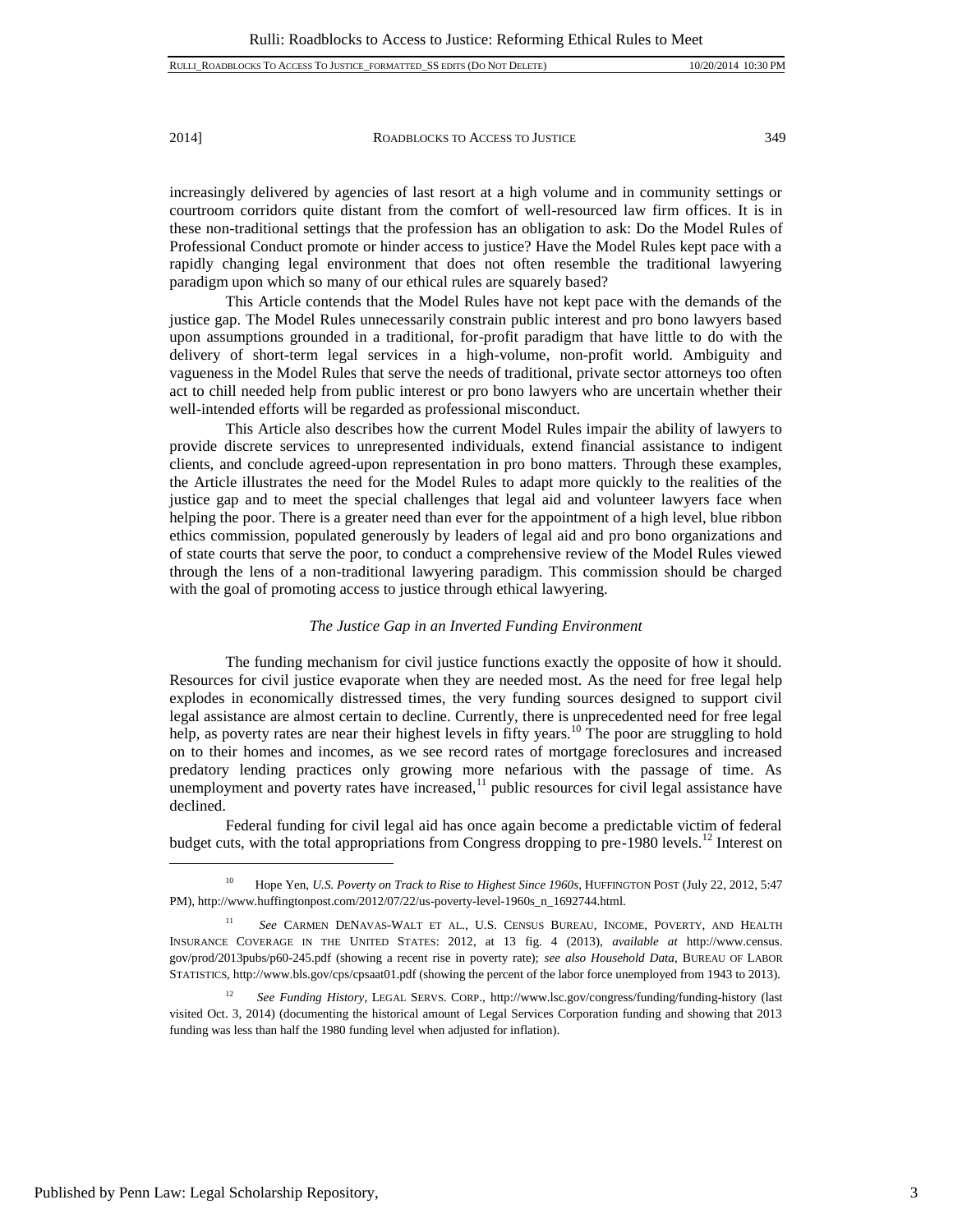increasingly delivered by agencies of last resort at a high volume and in community settings or courtroom corridors quite distant from the comfort of well-resourced law firm offices. It is in these non-traditional settings that the profession has an obligation to ask: Do the Model Rules of Professional Conduct promote or hinder access to justice? Have the Model Rules kept pace with a rapidly changing legal environment that does not often resemble the traditional lawyering paradigm upon which so many of our ethical rules are squarely based?

This Article contends that the Model Rules have not kept pace with the demands of the justice gap. The Model Rules unnecessarily constrain public interest and pro bono lawyers based upon assumptions grounded in a traditional, for-profit paradigm that have little to do with the delivery of short-term legal services in a high-volume, non-profit world. Ambiguity and vagueness in the Model Rules that serve the needs of traditional, private sector attorneys too often act to chill needed help from public interest or pro bono lawyers who are uncertain whether their well-intended efforts will be regarded as professional misconduct.

This Article also describes how the current Model Rules impair the ability of lawyers to provide discrete services to unrepresented individuals, extend financial assistance to indigent clients, and conclude agreed-upon representation in pro bono matters. Through these examples, the Article illustrates the need for the Model Rules to adapt more quickly to the realities of the justice gap and to meet the special challenges that legal aid and volunteer lawyers face when helping the poor. There is a greater need than ever for the appointment of a high level, blue ribbon ethics commission, populated generously by leaders of legal aid and pro bono organizations and of state courts that serve the poor, to conduct a comprehensive review of the Model Rules viewed through the lens of a non-traditional lawyering paradigm. This commission should be charged with the goal of promoting access to justice through ethical lawyering.

#### *The Justice Gap in an Inverted Funding Environment*

The funding mechanism for civil justice functions exactly the opposite of how it should. Resources for civil justice evaporate when they are needed most. As the need for free legal help explodes in economically distressed times, the very funding sources designed to support civil legal assistance are almost certain to decline. Currently, there is unprecedented need for free legal help, as poverty rates are near their highest levels in fifty years.<sup>10</sup> The poor are struggling to hold on to their homes and incomes, as we see record rates of mortgage foreclosures and increased predatory lending practices only growing more nefarious with the passage of time. As unemployment and poverty rates have increased, $11$  public resources for civil legal assistance have declined.

Federal funding for civil legal aid has once again become a predictable victim of federal budget cuts, with the total appropriations from Congress dropping to pre-1980 levels.<sup>12</sup> Interest on

<sup>10</sup> Hope Yen, *U.S. Poverty on Track to Rise to Highest Since 1960s*, HUFFINGTON POST (July 22, 2012, 5:47 PM), http://www.huffingtonpost.com/2012/07/22/us-poverty-level-1960s\_n\_1692744.html.

<sup>&</sup>lt;sup>11</sup> See CARMEN DENAVAS-WALT ET AL., U.S. CENSUS BUREAU, INCOME, POVERTY, AND HEALTH INSURANCE COVERAGE IN THE UNITED STATES: 2012, at 13 fig. 4 (2013), *available at* http://www.census. gov/prod/2013pubs/p60-245.pdf (showing a recent rise in poverty rate); *see also Household Data*, BUREAU OF LABOR STATISTICS, http://www.bls.gov/cps/cpsaat01.pdf (showing the percent of the labor force unemployed from 1943 to 2013).

<sup>12</sup> *See Funding History*, LEGAL SERVS. CORP., http://www.lsc.gov/congress/funding/funding-history (last visited Oct. 3, 2014) (documenting the historical amount of Legal Services Corporation funding and showing that 2013 funding was less than half the 1980 funding level when adjusted for inflation)*.*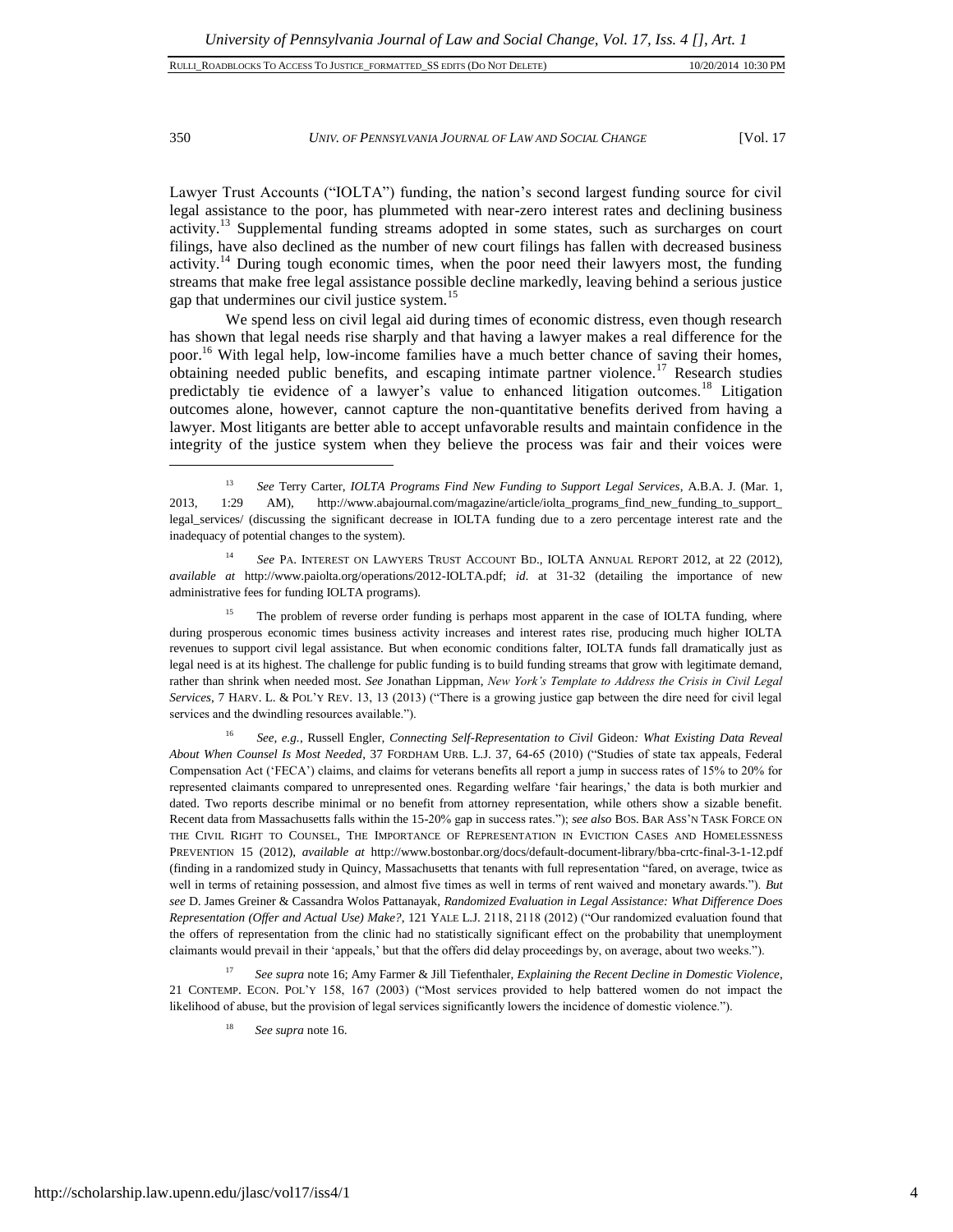# 350 *UNIV. OF PENNSYLVANIA JOURNAL OF LAW AND SOCIAL CHANGE* [Vol. 17

Lawyer Trust Accounts ("IOLTA") funding, the nation's second largest funding source for civil legal assistance to the poor, has plummeted with near-zero interest rates and declining business activity.<sup>13</sup> Supplemental funding streams adopted in some states, such as surcharges on court filings, have also declined as the number of new court filings has fallen with decreased business activity.<sup>14</sup> During tough economic times, when the poor need their lawyers most, the funding streams that make free legal assistance possible decline markedly, leaving behind a serious justice gap that undermines our civil justice system.<sup>15</sup>

We spend less on civil legal aid during times of economic distress, even though research has shown that legal needs rise sharply and that having a lawyer makes a real difference for the poor.<sup>16</sup> With legal help, low-income families have a much better chance of saving their homes, obtaining needed public benefits, and escaping intimate partner violence.<sup>17</sup> Research studies predictably tie evidence of a lawyer's value to enhanced litigation outcomes.<sup>18</sup> Litigation outcomes alone, however, cannot capture the non-quantitative benefits derived from having a lawyer. Most litigants are better able to accept unfavorable results and maintain confidence in the integrity of the justice system when they believe the process was fair and their voices were

<sup>14</sup> *See* PA. INTEREST ON LAWYERS TRUST ACCOUNT BD., IOLTA ANNUAL REPORT 2012, at 22 (2012), *available at* http://www.paiolta.org/operations/2012-IOLTA.pdf; *id*. at 31-32 (detailing the importance of new administrative fees for funding IOLTA programs).

The problem of reverse order funding is perhaps most apparent in the case of IOLTA funding, where during prosperous economic times business activity increases and interest rates rise, producing much higher IOLTA revenues to support civil legal assistance. But when economic conditions falter, IOLTA funds fall dramatically just as legal need is at its highest. The challenge for public funding is to build funding streams that grow with legitimate demand, rather than shrink when needed most. *See* Jonathan Lippman, *New York's Template to Address the Crisis in Civil Legal Services*, 7 HARV. L. & POL'Y REV. 13, 13 (2013) ("There is a growing justice gap between the dire need for civil legal services and the dwindling resources available.").

<sup>16</sup> *See, e.g.*, Russell Engler, *Connecting Self-Representation to Civil* Gideon*: What Existing Data Reveal About When Counsel Is Most Needed*, 37 FORDHAM URB. L.J. 37, 64-65 (2010) ("Studies of state tax appeals, Federal Compensation Act ('FECA') claims, and claims for veterans benefits all report a jump in success rates of 15% to 20% for represented claimants compared to unrepresented ones. Regarding welfare 'fair hearings,' the data is both murkier and dated. Two reports describe minimal or no benefit from attorney representation, while others show a sizable benefit. Recent data from Massachusetts falls within the 15-20% gap in success rates."); *see also* BOS. BAR ASS'N TASK FORCE ON THE CIVIL RIGHT TO COUNSEL, THE IMPORTANCE OF REPRESENTATION IN EVICTION CASES AND HOMELESSNESS PREVENTION 15 (2012), *available at* http://www.bostonbar.org/docs/default-document-library/bba-crtc-final-3-1-12.pdf (finding in a randomized study in Quincy, Massachusetts that tenants with full representation "fared, on average, twice as well in terms of retaining possession, and almost five times as well in terms of rent waived and monetary awards."). *But see* D. James Greiner & Cassandra Wolos Pattanayak, *Randomized Evaluation in Legal Assistance: What Difference Does Representation (Offer and Actual Use) Make?*, 121 YALE L.J. 2118, 2118 (2012) ("Our randomized evaluation found that the offers of representation from the clinic had no statistically significant effect on the probability that unemployment claimants would prevail in their 'appeals,' but that the offers did delay proceedings by, on average, about two weeks.").

<sup>17</sup> *See supra* note 16; Amy Farmer & Jill Tiefenthaler, *Explaining the Recent Decline in Domestic Violence*, 21 CONTEMP. ECON. POL'Y 158, 167 (2003) ("Most services provided to help battered women do not impact the likelihood of abuse, but the provision of legal services significantly lowers the incidence of domestic violence.").

See supra note 16.

<sup>13</sup> *See* Terry Carter, *IOLTA Programs Find New Funding to Support Legal Services*, A.B.A. J. (Mar. 1, 2013, 1:29 AM), http://www.abajournal.com/magazine/article/iolta\_programs\_find\_new\_funding\_to\_support\_ legal\_services/ (discussing the significant decrease in IOLTA funding due to a zero percentage interest rate and the inadequacy of potential changes to the system).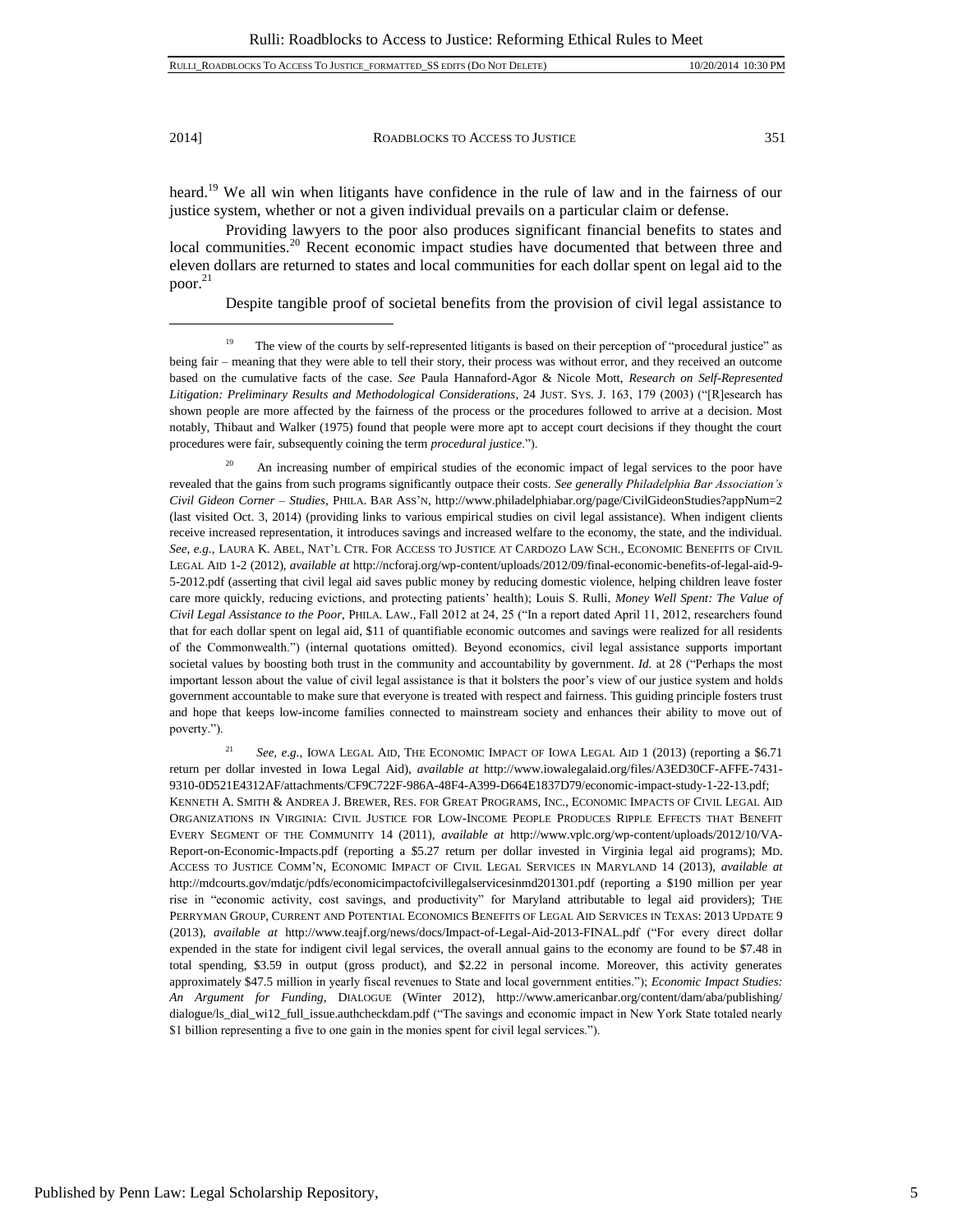l

2014] ROADBLOCKS TO ACCESS TO JUSTICE 351

heard.<sup>19</sup> We all win when litigants have confidence in the rule of law and in the fairness of our justice system, whether or not a given individual prevails on a particular claim or defense.

Providing lawyers to the poor also produces significant financial benefits to states and local communities.<sup>20</sup> Recent economic impact studies have documented that between three and eleven dollars are returned to states and local communities for each dollar spent on legal aid to the poor.<sup>21</sup>

Despite tangible proof of societal benefits from the provision of civil legal assistance to

 $20$  An increasing number of empirical studies of the economic impact of legal services to the poor have revealed that the gains from such programs significantly outpace their costs. *See generally Philadelphia Bar Association's Civil Gideon Corner – Studies*, PHILA. BAR ASS'N, http://www.philadelphiabar.org/page/CivilGideonStudies?appNum=2 (last visited Oct. 3, 2014) (providing links to various empirical studies on civil legal assistance). When indigent clients receive increased representation, it introduces savings and increased welfare to the economy, the state, and the individual. *See, e.g.*, LAURA K. ABEL, NAT'L CTR. FOR ACCESS TO JUSTICE AT CARDOZO LAW SCH., ECONOMIC BENEFITS OF CIVIL LEGAL AID 1-2 (2012), *available at* http://ncforaj.org/wp-content/uploads/2012/09/final-economic-benefits-of-legal-aid-9- 5-2012.pdf (asserting that civil legal aid saves public money by reducing domestic violence, helping children leave foster care more quickly, reducing evictions, and protecting patients' health); Louis S. Rulli, *Money Well Spent: The Value of Civil Legal Assistance to the Poor*, PHILA. LAW., Fall 2012 at 24, 25 ("In a report dated April 11, 2012, researchers found that for each dollar spent on legal aid, \$11 of quantifiable economic outcomes and savings were realized for all residents of the Commonwealth.") (internal quotations omitted). Beyond economics, civil legal assistance supports important societal values by boosting both trust in the community and accountability by government. *Id.* at 28 ("Perhaps the most important lesson about the value of civil legal assistance is that it bolsters the poor's view of our justice system and holds government accountable to make sure that everyone is treated with respect and fairness. This guiding principle fosters trust and hope that keeps low-income families connected to mainstream society and enhances their ability to move out of poverty.").

<sup>21</sup> *See, e.g.*, IOWA LEGAL AID, THE ECONOMIC IMPACT OF IOWA LEGAL AID 1 (2013) (reporting a \$6.71 return per dollar invested in Iowa Legal Aid), *available at* http://www.iowalegalaid.org/files/A3ED30CF-AFFE-7431- 9310-0D521E4312AF/attachments/CF9C722F-986A-48F4-A399-D664E1837D79/economic-impact-study-1-22-13.pdf; KENNETH A. SMITH & ANDREA J. BREWER, RES. FOR GREAT PROGRAMS, INC., ECONOMIC IMPACTS OF CIVIL LEGAL AID ORGANIZATIONS IN VIRGINIA: CIVIL JUSTICE FOR LOW-INCOME PEOPLE PRODUCES RIPPLE EFFECTS THAT BENEFIT EVERY SEGMENT OF THE COMMUNITY 14 (2011), *available at* http://www.vplc.org/wp-content/uploads/2012/10/VA-Report-on-Economic-Impacts.pdf (reporting a \$5.27 return per dollar invested in Virginia legal aid programs); MD. ACCESS TO JUSTICE COMM'N, ECONOMIC IMPACT OF CIVIL LEGAL SERVICES IN MARYLAND 14 (2013), *available at* http://mdcourts.gov/mdatjc/pdfs/economicimpactofcivillegalservicesinmd201301.pdf (reporting a \$190 million per year rise in "economic activity, cost savings, and productivity" for Maryland attributable to legal aid providers); THE PERRYMAN GROUP, CURRENT AND POTENTIAL ECONOMICS BENEFITS OF LEGAL AID SERVICES IN TEXAS: 2013 UPDATE 9 (2013), *available at* http://www.teajf.org/news/docs/Impact-of-Legal-Aid-2013-FINAL.pdf ("For every direct dollar expended in the state for indigent civil legal services, the overall annual gains to the economy are found to be \$7.48 in total spending, \$3.59 in output (gross product), and \$2.22 in personal income. Moreover, this activity generates approximately \$47.5 million in yearly fiscal revenues to State and local government entities."); *Economic Impact Studies: An Argument for Funding*, DIALOGUE (Winter 2012), http://www.americanbar.org/content/dam/aba/publishing/ dialogue/ls\_dial\_wi12\_full\_issue.authcheckdam.pdf ("The savings and economic impact in New York State totaled nearly \$1 billion representing a five to one gain in the monies spent for civil legal services.").

<sup>&</sup>lt;sup>19</sup> The view of the courts by self-represented litigants is based on their perception of "procedural justice" as being fair – meaning that they were able to tell their story, their process was without error, and they received an outcome based on the cumulative facts of the case. *See* Paula Hannaford-Agor & Nicole Mott, *Research on Self-Represented Litigation: Preliminary Results and Methodological Considerations*, 24 JUST. SYS. J. 163, 179 (2003) ("[R]esearch has shown people are more affected by the fairness of the process or the procedures followed to arrive at a decision. Most notably, Thibaut and Walker (1975) found that people were more apt to accept court decisions if they thought the court procedures were fair, subsequently coining the term *procedural justice*.").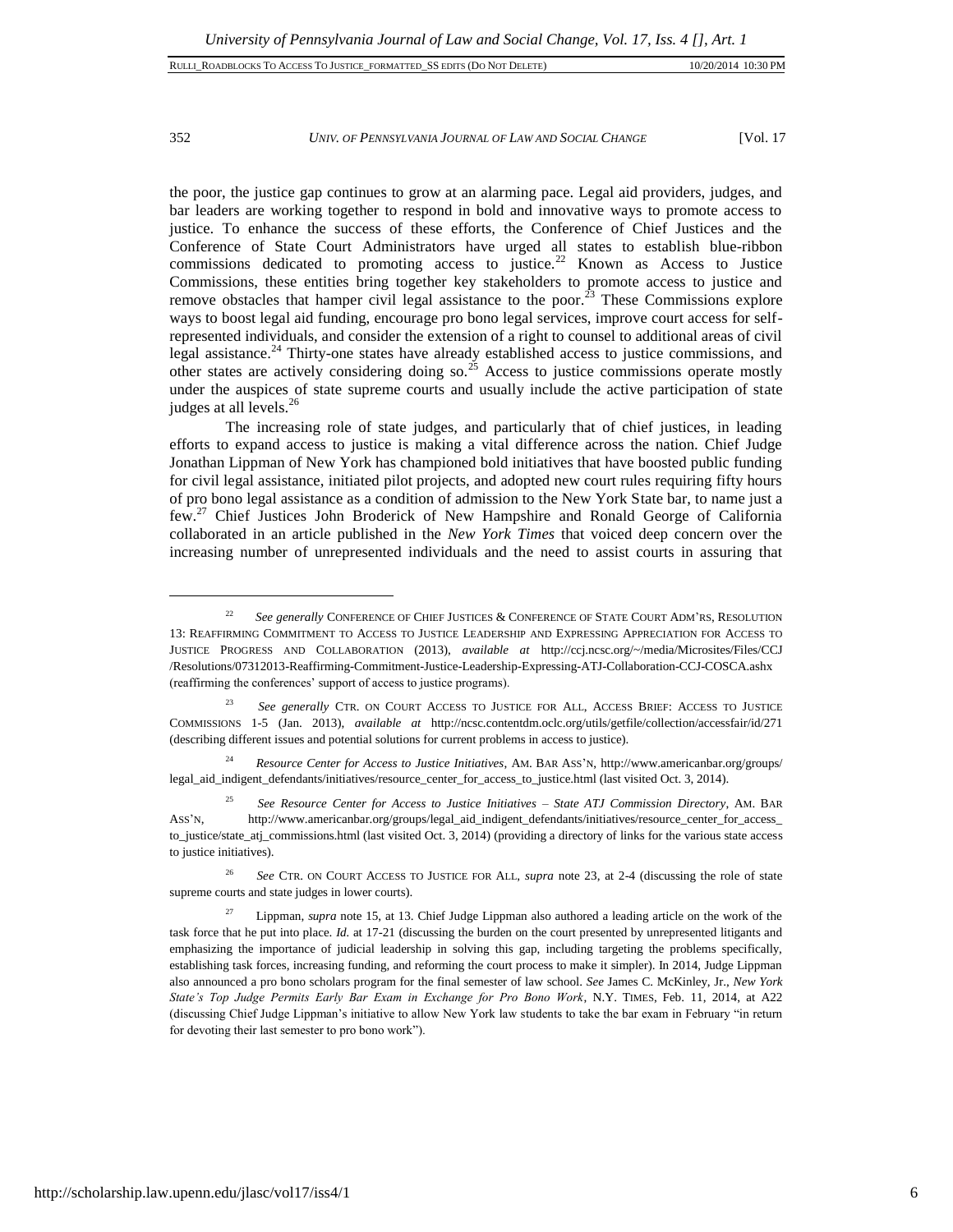$\overline{a}$ 

352 *UNIV. OF PENNSYLVANIA JOURNAL OF LAW AND SOCIAL CHANGE* [Vol. 17

the poor, the justice gap continues to grow at an alarming pace. Legal aid providers, judges, and bar leaders are working together to respond in bold and innovative ways to promote access to justice. To enhance the success of these efforts, the Conference of Chief Justices and the Conference of State Court Administrators have urged all states to establish blue-ribbon commissions dedicated to promoting access to justice.<sup>22</sup> Known as Access to Justice Commissions, these entities bring together key stakeholders to promote access to justice and remove obstacles that hamper civil legal assistance to the poor.<sup>23</sup> These Commissions explore ways to boost legal aid funding, encourage pro bono legal services, improve court access for selfrepresented individuals, and consider the extension of a right to counsel to additional areas of civil legal assistance.<sup>24</sup> Thirty-one states have already established access to justice commissions, and other states are actively considering doing so. $^{25}$  Access to justice commissions operate mostly under the auspices of state supreme courts and usually include the active participation of state judges at all levels.<sup>26</sup>

The increasing role of state judges, and particularly that of chief justices, in leading efforts to expand access to justice is making a vital difference across the nation. Chief Judge Jonathan Lippman of New York has championed bold initiatives that have boosted public funding for civil legal assistance, initiated pilot projects, and adopted new court rules requiring fifty hours of pro bono legal assistance as a condition of admission to the New York State bar, to name just a few.<sup>27</sup> Chief Justices John Broderick of New Hampshire and Ronald George of California collaborated in an article published in the *New York Times* that voiced deep concern over the increasing number of unrepresented individuals and the need to assist courts in assuring that

<sup>&</sup>lt;sup>22</sup> See generally CONFERENCE OF CHIEF JUSTICES & CONFERENCE OF STATE COURT ADM'RS, RESOLUTION 13: REAFFIRMING COMMITMENT TO ACCESS TO JUSTICE LEADERSHIP AND EXPRESSING APPRECIATION FOR ACCESS TO JUSTICE PROGRESS AND COLLABORATION (2013), *available at* http://ccj.ncsc.org/~/media/Microsites/Files/CCJ /Resolutions/07312013-Reaffirming-Commitment-Justice-Leadership-Expressing-ATJ-Collaboration-CCJ-COSCA.ashx (reaffirming the conferences' support of access to justice programs).

<sup>23</sup> *See generally* CTR. ON COURT ACCESS TO JUSTICE FOR ALL, ACCESS BRIEF: ACCESS TO JUSTICE COMMISSIONS 1-5 (Jan. 2013), *available at* http://ncsc.contentdm.oclc.org/utils/getfile/collection/accessfair/id/271 (describing different issues and potential solutions for current problems in access to justice).

<sup>24</sup> *Resource Center for Access to Justice Initiatives*, AM. BAR ASS'N, http://www.americanbar.org/groups/ legal\_aid\_indigent\_defendants/initiatives/resource\_center\_for\_access\_to\_justice.html (last visited Oct. 3, 2014).

<sup>25</sup> *See Resource Center for Access to Justice Initiatives – State ATJ Commission Directory*, AM. BAR ASS'N, http://www.americanbar.org/groups/legal\_aid\_indigent\_defendants/initiatives/resource\_center\_for\_access\_ to\_justice/state\_atj\_commissions.html (last visited Oct. 3, 2014) (providing a directory of links for the various state access to justice initiatives).

<sup>26</sup> *See* CTR. ON COURT ACCESS TO JUSTICE FOR ALL, *supra* note 23, at 2-4 (discussing the role of state supreme courts and state judges in lower courts).

<sup>&</sup>lt;sup>27</sup> Lippman, *supra* note 15, at 13. Chief Judge Lippman also authored a leading article on the work of the task force that he put into place. *Id.* at 17-21 (discussing the burden on the court presented by unrepresented litigants and emphasizing the importance of judicial leadership in solving this gap, including targeting the problems specifically, establishing task forces, increasing funding, and reforming the court process to make it simpler). In 2014, Judge Lippman also announced a pro bono scholars program for the final semester of law school. *See* James C. McKinley, Jr., *New York State's Top Judge Permits Early Bar Exam in Exchange for Pro Bono Work*, N.Y. TIMES, Feb. 11, 2014, at A22 (discussing Chief Judge Lippman's initiative to allow New York law students to take the bar exam in February "in return for devoting their last semester to pro bono work").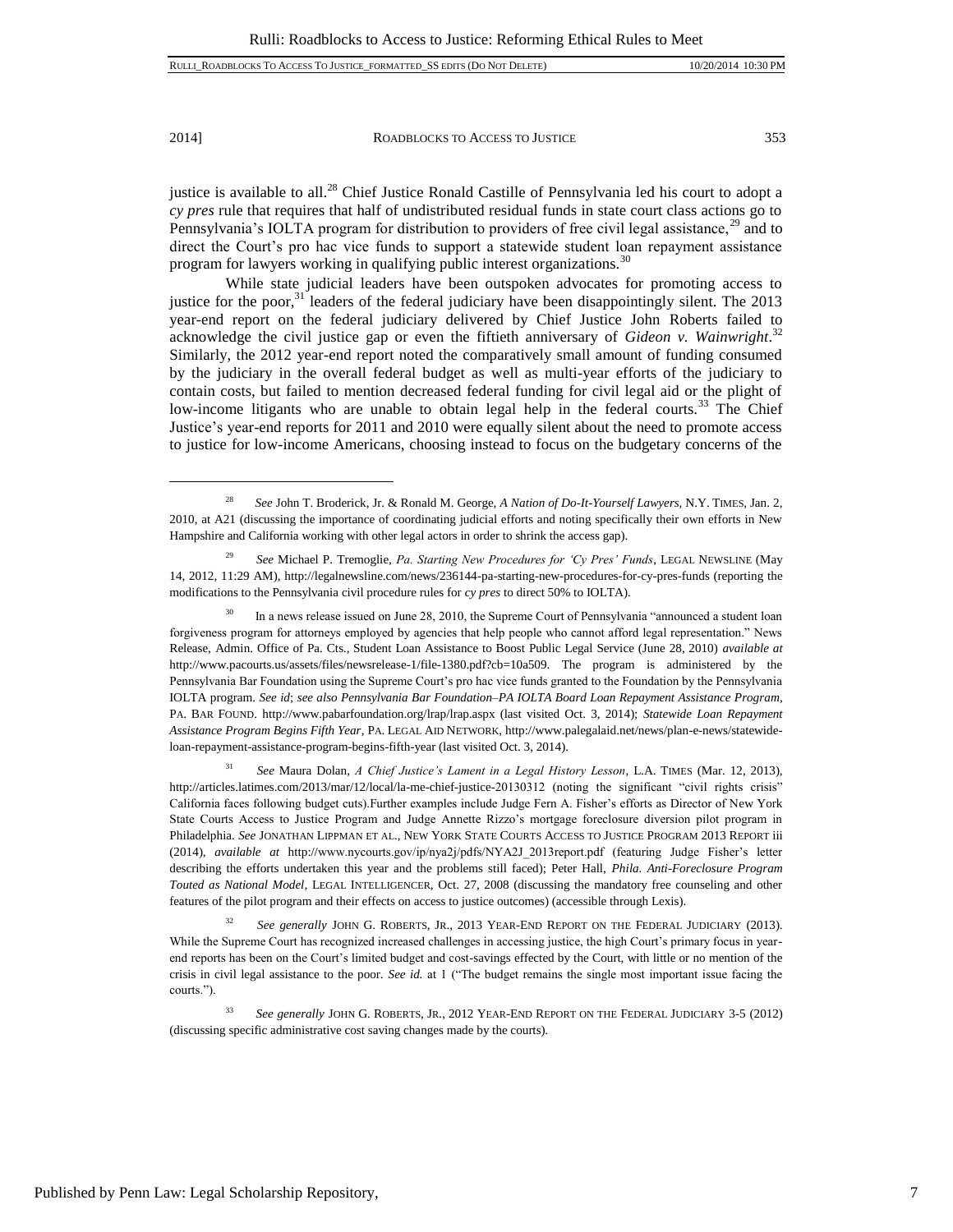$\overline{a}$ 

2014] ROADBLOCKS TO ACCESS TO JUSTICE 353

justice is available to all.<sup>28</sup> Chief Justice Ronald Castille of Pennsylvania led his court to adopt a *cy pres* rule that requires that half of undistributed residual funds in state court class actions go to Pennsylvania's IOLTA program for distribution to providers of free civil legal assistance,<sup>29</sup> and to direct the Court's pro hac vice funds to support a statewide student loan repayment assistance program for lawyers working in qualifying public interest organizations.<sup>30</sup>

While state judicial leaders have been outspoken advocates for promoting access to justice for the poor,<sup>31</sup> leaders of the federal judiciary have been disappointingly silent. The 2013 year-end report on the federal judiciary delivered by Chief Justice John Roberts failed to acknowledge the civil justice gap or even the fiftieth anniversary of *Gideon v. Wainwright*. 32 Similarly, the 2012 year-end report noted the comparatively small amount of funding consumed by the judiciary in the overall federal budget as well as multi-year efforts of the judiciary to contain costs, but failed to mention decreased federal funding for civil legal aid or the plight of low-income litigants who are unable to obtain legal help in the federal courts.<sup>33</sup> The Chief Justice's year-end reports for 2011 and 2010 were equally silent about the need to promote access to justice for low-income Americans, choosing instead to focus on the budgetary concerns of the

In a news release issued on June 28, 2010, the Supreme Court of Pennsylvania "announced a student loan forgiveness program for attorneys employed by agencies that help people who cannot afford legal representation." News Release, Admin. Office of Pa. Cts., Student Loan Assistance to Boost Public Legal Service (June 28, 2010) *available at* http://www.pacourts.us/assets/files/newsrelease-1/file-1380.pdf?cb=10a509. The program is administered by the Pennsylvania Bar Foundation using the Supreme Court's pro hac vice funds granted to the Foundation by the Pennsylvania IOLTA program. *See id*; *see also Pennsylvania Bar Foundation–PA IOLTA Board Loan Repayment Assistance Program*, PA. BAR FOUND. http://www.pabarfoundation.org/lrap/lrap.aspx (last visited Oct. 3, 2014); *Statewide Loan Repayment Assistance Program Begins Fifth Year*, PA. LEGAL AID NETWORK, http://www.palegalaid.net/news/plan-e-news/statewideloan-repayment-assistance-program-begins-fifth-year (last visited Oct. 3, 2014).

<sup>31</sup> *See* Maura Dolan, *A Chief Justice's Lament in a Legal History Lesson*, L.A. TIMES (Mar. 12, 2013), http://articles.latimes.com/2013/mar/12/local/la-me-chief-justice-20130312 (noting the significant "civil rights crisis" California faces following budget cuts).Further examples include Judge Fern A. Fisher's efforts as Director of New York State Courts Access to Justice Program and Judge Annette Rizzo's mortgage foreclosure diversion pilot program in Philadelphia. *See* JONATHAN LIPPMAN ET AL., NEW YORK STATE COURTS ACCESS TO JUSTICE PROGRAM 2013 REPORT iii (2014), *available at* http://www.nycourts.gov/ip/nya2j/pdfs/NYA2J\_2013report.pdf (featuring Judge Fisher's letter describing the efforts undertaken this year and the problems still faced); Peter Hall, *Phila. Anti-Foreclosure Program Touted as National Model*, LEGAL INTELLIGENCER, Oct. 27, 2008 (discussing the mandatory free counseling and other features of the pilot program and their effects on access to justice outcomes) (accessible through Lexis).

<sup>32</sup> *See generally* JOHN G. ROBERTS, JR., 2013 YEAR-END REPORT ON THE FEDERAL JUDICIARY (2013). While the Supreme Court has recognized increased challenges in accessing justice, the high Court's primary focus in yearend reports has been on the Court's limited budget and cost-savings effected by the Court, with little or no mention of the crisis in civil legal assistance to the poor. *See id.* at 1 ("The budget remains the single most important issue facing the courts.").

<sup>28</sup> *See* John T. Broderick, Jr. & Ronald M. George, *A Nation of Do-It-Yourself Lawyers*, N.Y. TIMES, Jan. 2, 2010, at A21 (discussing the importance of coordinating judicial efforts and noting specifically their own efforts in New Hampshire and California working with other legal actors in order to shrink the access gap).

<sup>29</sup> *See* Michael P. Tremoglie, *Pa. Starting New Procedures for 'Cy Pres' Funds*, LEGAL NEWSLINE (May 14, 2012, 11:29 AM), http://legalnewsline.com/news/236144-pa-starting-new-procedures-for-cy-pres-funds (reporting the modifications to the Pennsylvania civil procedure rules for *cy pres* to direct 50% to IOLTA).

<sup>33</sup> *See generally* JOHN G. ROBERTS, JR., 2012 YEAR-END REPORT ON THE FEDERAL JUDICIARY 3-5 (2012) (discussing specific administrative cost saving changes made by the courts).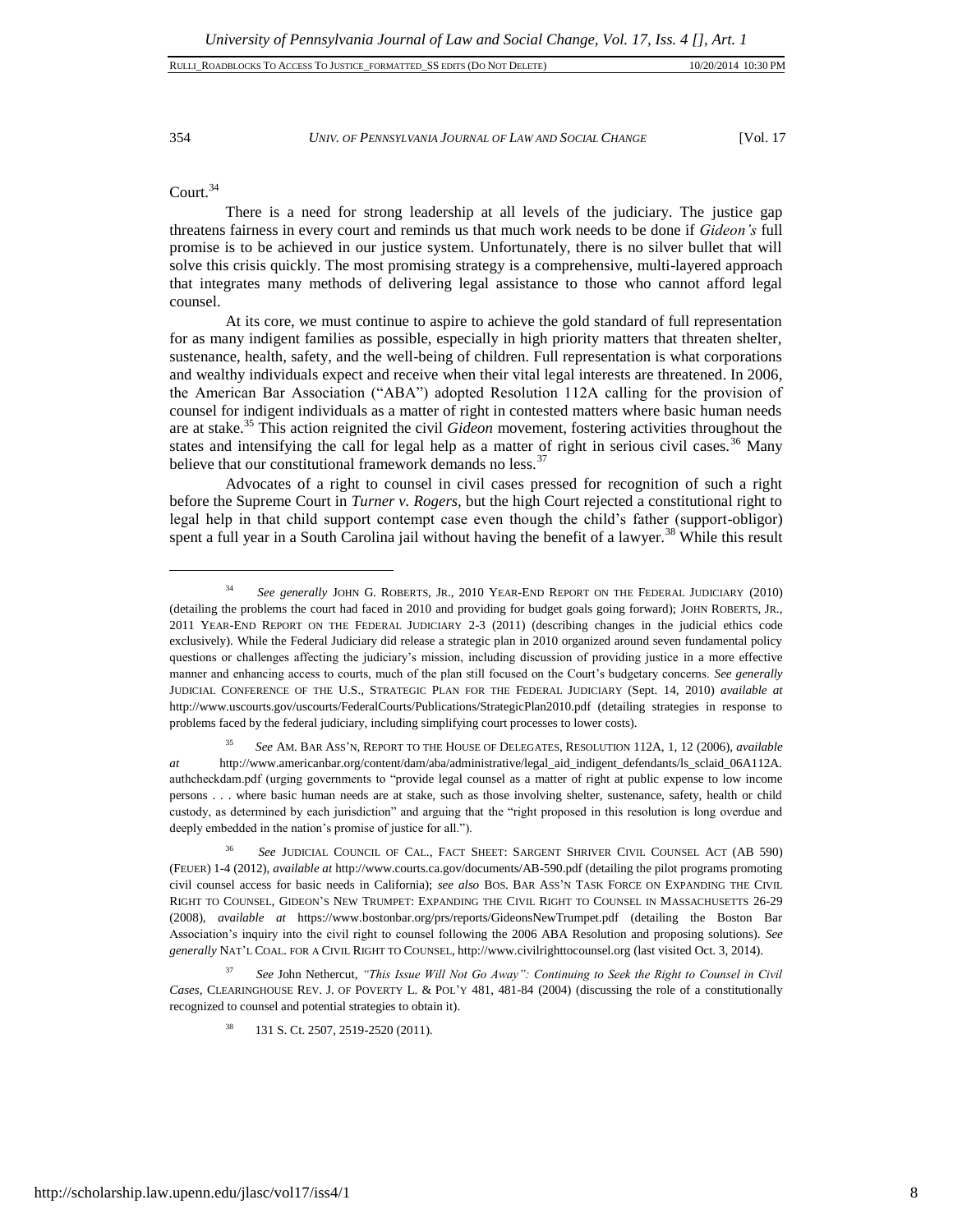354 *UNIV. OF PENNSYLVANIA JOURNAL OF LAW AND SOCIAL CHANGE* [Vol. 17

Court.<sup>34</sup>

 $\overline{a}$ 

There is a need for strong leadership at all levels of the judiciary. The justice gap threatens fairness in every court and reminds us that much work needs to be done if *Gideon's* full promise is to be achieved in our justice system. Unfortunately, there is no silver bullet that will solve this crisis quickly. The most promising strategy is a comprehensive, multi-layered approach that integrates many methods of delivering legal assistance to those who cannot afford legal counsel.

At its core, we must continue to aspire to achieve the gold standard of full representation for as many indigent families as possible, especially in high priority matters that threaten shelter, sustenance, health, safety, and the well-being of children. Full representation is what corporations and wealthy individuals expect and receive when their vital legal interests are threatened. In 2006, the American Bar Association ("ABA") adopted Resolution 112A calling for the provision of counsel for indigent individuals as a matter of right in contested matters where basic human needs are at stake.<sup>35</sup> This action reignited the civil *Gideon* movement, fostering activities throughout the states and intensifying the call for legal help as a matter of right in serious civil cases.<sup>36</sup> Many believe that our constitutional framework demands no less.  $37$ 

Advocates of a right to counsel in civil cases pressed for recognition of such a right before the Supreme Court in *Turner v. Rogers,* but the high Court rejected a constitutional right to legal help in that child support contempt case even though the child's father (support-obligor) spent a full year in a South Carolina jail without having the benefit of a lawyer.<sup>38</sup> While this result

<sup>&</sup>lt;sup>34</sup> *See generally JOHN G. ROBERTS, JR., 2010 YEAR-END REPORT ON THE FEDERAL JUDICIARY (2010)* (detailing the problems the court had faced in 2010 and providing for budget goals going forward); JOHN ROBERTS, JR., 2011 YEAR-END REPORT ON THE FEDERAL JUDICIARY 2-3 (2011) (describing changes in the judicial ethics code exclusively). While the Federal Judiciary did release a strategic plan in 2010 organized around seven fundamental policy questions or challenges affecting the judiciary's mission, including discussion of providing justice in a more effective manner and enhancing access to courts, much of the plan still focused on the Court's budgetary concerns. *See generally* JUDICIAL CONFERENCE OF THE U.S., STRATEGIC PLAN FOR THE FEDERAL JUDICIARY (Sept. 14, 2010) *available at* http://www.uscourts.gov/uscourts/FederalCourts/Publications/StrategicPlan2010.pdf (detailing strategies in response to problems faced by the federal judiciary, including simplifying court processes to lower costs).

<sup>35</sup> *See* AM. BAR ASS'N, REPORT TO THE HOUSE OF DELEGATES, RESOLUTION 112A, 1, 12 (2006), *available at* http://www.americanbar.org/content/dam/aba/administrative/legal\_aid\_indigent\_defendants/ls\_sclaid\_06A112A. authcheckdam.pdf (urging governments to "provide legal counsel as a matter of right at public expense to low income persons . . . where basic human needs are at stake, such as those involving shelter, sustenance, safety, health or child custody, as determined by each jurisdiction" and arguing that the "right proposed in this resolution is long overdue and deeply embedded in the nation's promise of justice for all.").

<sup>36</sup> *See* JUDICIAL COUNCIL OF CAL., FACT SHEET: SARGENT SHRIVER CIVIL COUNSEL ACT (AB 590) (FEUER) 1-4 (2012), *available at* http://www.courts.ca.gov/documents/AB-590.pdf (detailing the pilot programs promoting civil counsel access for basic needs in California); *see also* BOS. BAR ASS'N TASK FORCE ON EXPANDING THE CIVIL RIGHT TO COUNSEL, GIDEON'S NEW TRUMPET: EXPANDING THE CIVIL RIGHT TO COUNSEL IN MASSACHUSETTS 26-29 (2008), *available at* https://www.bostonbar.org/prs/reports/GideonsNewTrumpet.pdf (detailing the Boston Bar Association's inquiry into the civil right to counsel following the 2006 ABA Resolution and proposing solutions). *See generally* NAT'L COAL. FOR A CIVIL RIGHT TO COUNSEL, http://www.civilrighttocounsel.org (last visited Oct. 3, 2014).

<sup>37</sup> *See* John Nethercut, *"This Issue Will Not Go Away": Continuing to Seek the Right to Counsel in Civil Cases*, CLEARINGHOUSE REV. J. OF POVERTY L. & POL'Y 481, 481-84 (2004) (discussing the role of a constitutionally recognized to counsel and potential strategies to obtain it).

<sup>38</sup> 131 S. Ct. 2507, 2519-2520 (2011).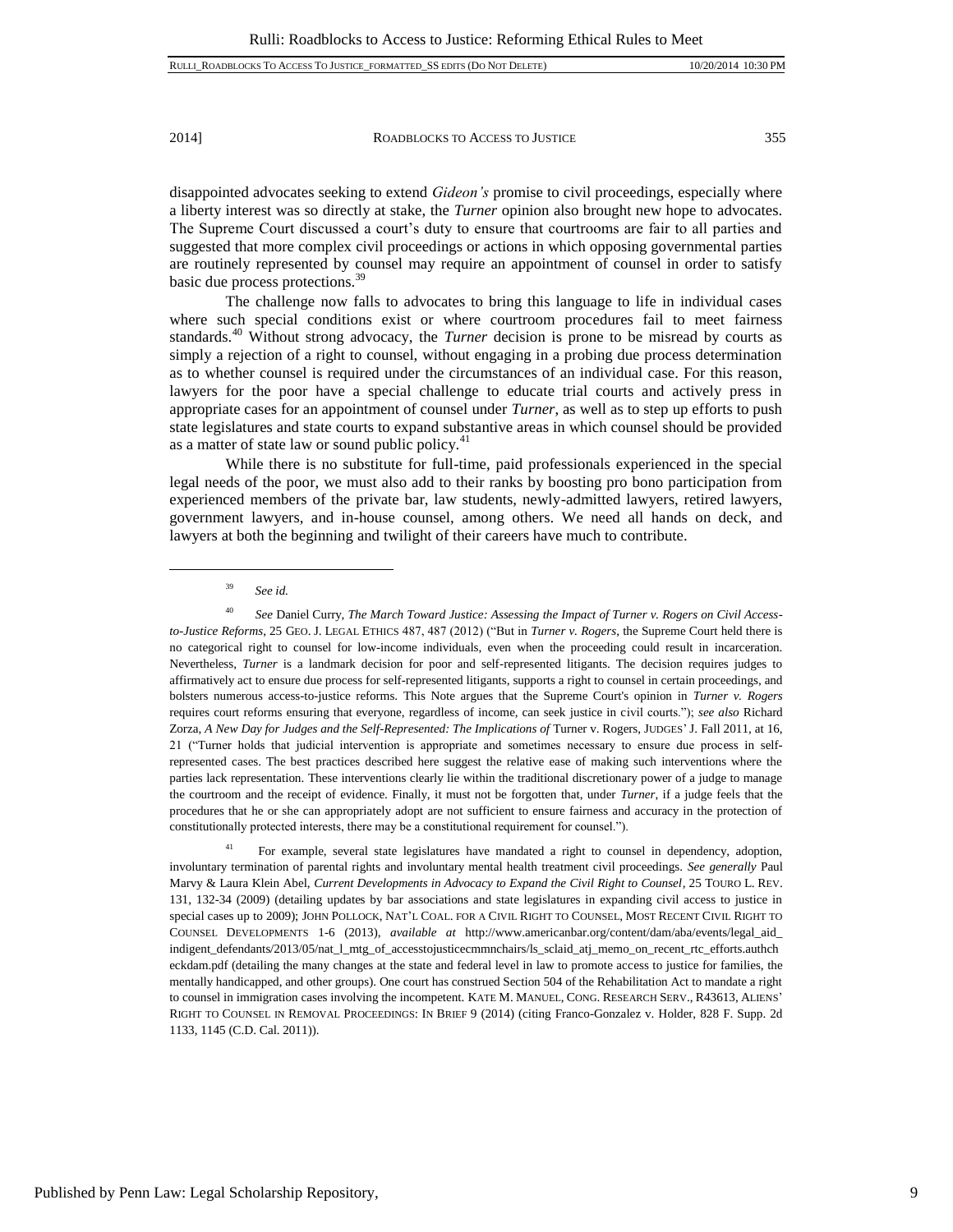disappointed advocates seeking to extend *Gideon's* promise to civil proceedings, especially where a liberty interest was so directly at stake, the *Turner* opinion also brought new hope to advocates. The Supreme Court discussed a court's duty to ensure that courtrooms are fair to all parties and suggested that more complex civil proceedings or actions in which opposing governmental parties are routinely represented by counsel may require an appointment of counsel in order to satisfy basic due process protections.<sup>39</sup>

The challenge now falls to advocates to bring this language to life in individual cases where such special conditions exist or where courtroom procedures fail to meet fairness standards.<sup>40</sup> Without strong advocacy, the *Turner* decision is prone to be misread by courts as simply a rejection of a right to counsel, without engaging in a probing due process determination as to whether counsel is required under the circumstances of an individual case. For this reason, lawyers for the poor have a special challenge to educate trial courts and actively press in appropriate cases for an appointment of counsel under *Turner*, as well as to step up efforts to push state legislatures and state courts to expand substantive areas in which counsel should be provided as a matter of state law or sound public policy.<sup>41</sup>

While there is no substitute for full-time, paid professionals experienced in the special legal needs of the poor, we must also add to their ranks by boosting pro bono participation from experienced members of the private bar, law students, newly-admitted lawyers, retired lawyers, government lawyers, and in-house counsel, among others. We need all hands on deck, and lawyers at both the beginning and twilight of their careers have much to contribute.

l

<sup>41</sup> For example, several state legislatures have mandated a right to counsel in dependency, adoption, involuntary termination of parental rights and involuntary mental health treatment civil proceedings. *See generally* Paul Marvy & Laura Klein Abel, *Current Developments in Advocacy to Expand the Civil Right to Counsel*, 25 TOURO L. REV. 131, 132-34 (2009) (detailing updates by bar associations and state legislatures in expanding civil access to justice in special cases up to 2009); JOHN POLLOCK, NAT'L COAL. FOR A CIVIL RIGHT TO COUNSEL, MOST RECENT CIVIL RIGHT TO COUNSEL DEVELOPMENTS 1-6 (2013), *available at* http://www.americanbar.org/content/dam/aba/events/legal\_aid\_ indigent\_defendants/2013/05/nat\_l\_mtg\_of\_accesstojusticecmmnchairs/ls\_sclaid\_atj\_memo\_on\_recent\_rtc\_efforts.authch eckdam.pdf (detailing the many changes at the state and federal level in law to promote access to justice for families, the mentally handicapped, and other groups). One court has construed Section 504 of the Rehabilitation Act to mandate a right to counsel in immigration cases involving the incompetent. KATE M. MANUEL, CONG. RESEARCH SERV., R43613, ALIENS' RIGHT TO COUNSEL IN REMOVAL PROCEEDINGS: IN BRIEF 9 (2014) (citing Franco-Gonzalez v. Holder, 828 F. Supp. 2d 1133, 1145 (C.D. Cal. 2011)).

<sup>39</sup> *See id.*

<sup>40</sup> *See* Daniel Curry, *The March Toward Justice: Assessing the Impact of Turner v. Rogers on Civil Accessto-Justice Reforms*, 25 GEO. J. LEGAL ETHICS 487, 487 (2012) ("But in *Turner v. Rogers*, the Supreme Court held there is no categorical right to counsel for low-income individuals, even when the proceeding could result in incarceration. Nevertheless, *Turner* is a landmark decision for poor and self-represented litigants. The decision requires judges to affirmatively act to ensure due process for self-represented litigants, supports a right to counsel in certain proceedings, and bolsters numerous access-to-justice reforms. This Note argues that the Supreme Court's opinion in *Turner v. Rogers* requires court reforms ensuring that everyone, regardless of income, can seek justice in civil courts."); *see also* Richard Zorza, *A New Day for Judges and the Self-Represented: The Implications of Turner v. Rogers, JUDGES' J. Fall 2011, at 16,* 21 ("Turner holds that judicial intervention is appropriate and sometimes necessary to ensure due process in selfrepresented cases. The best practices described here suggest the relative ease of making such interventions where the parties lack representation. These interventions clearly lie within the traditional discretionary power of a judge to manage the courtroom and the receipt of evidence. Finally, it must not be forgotten that, under *Turner*, if a judge feels that the procedures that he or she can appropriately adopt are not sufficient to ensure fairness and accuracy in the protection of constitutionally protected interests, there may be a constitutional requirement for counsel.").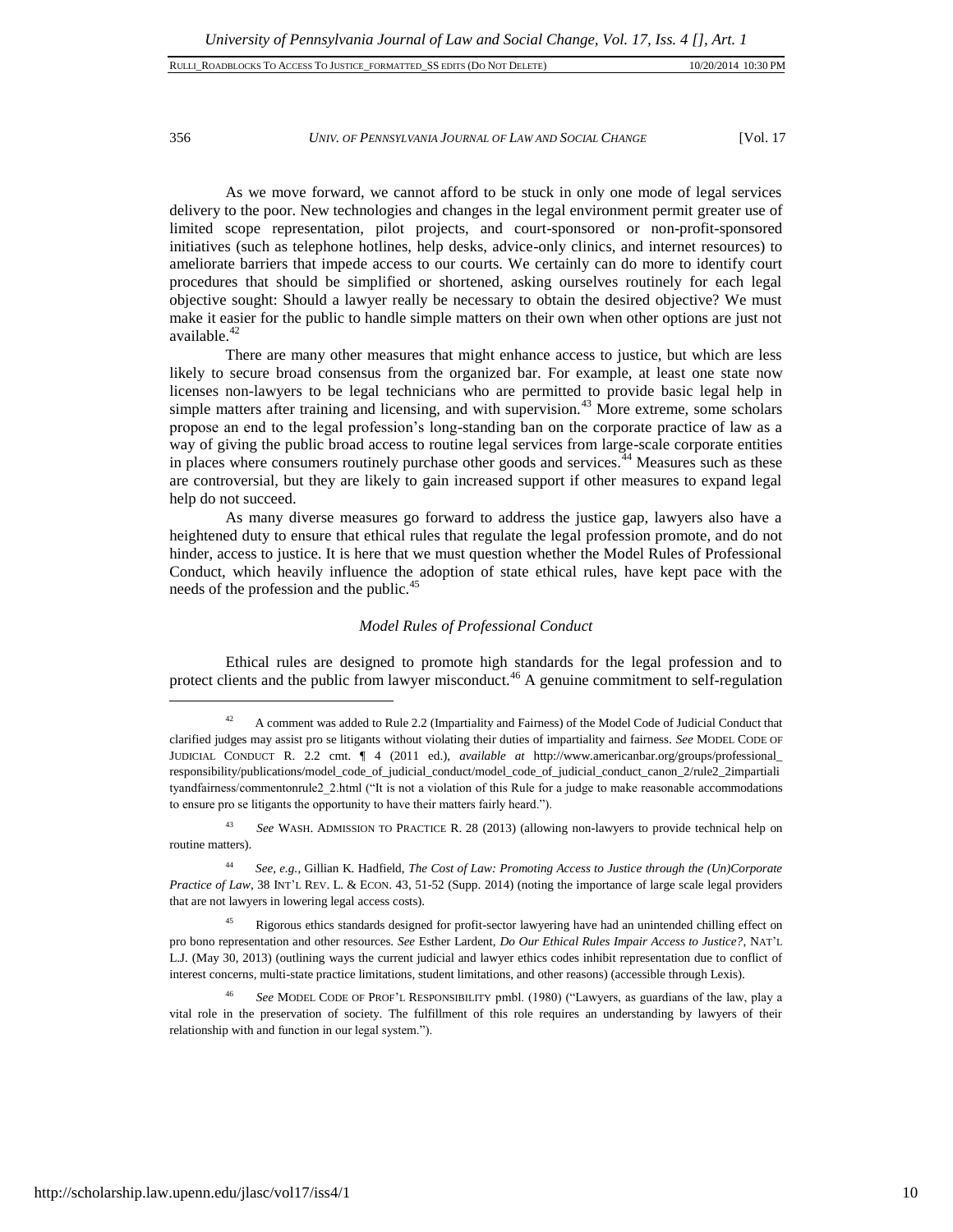356 *UNIV. OF PENNSYLVANIA JOURNAL OF LAW AND SOCIAL CHANGE* [Vol. 17

As we move forward, we cannot afford to be stuck in only one mode of legal services delivery to the poor. New technologies and changes in the legal environment permit greater use of limited scope representation, pilot projects, and court-sponsored or non-profit-sponsored initiatives (such as telephone hotlines, help desks, advice-only clinics, and internet resources) to ameliorate barriers that impede access to our courts. We certainly can do more to identify court procedures that should be simplified or shortened, asking ourselves routinely for each legal objective sought: Should a lawyer really be necessary to obtain the desired objective? We must make it easier for the public to handle simple matters on their own when other options are just not available.<sup>42</sup>

There are many other measures that might enhance access to justice, but which are less likely to secure broad consensus from the organized bar. For example, at least one state now licenses non-lawyers to be legal technicians who are permitted to provide basic legal help in simple matters after training and licensing, and with supervision.<sup>43</sup> More extreme, some scholars propose an end to the legal profession's long-standing ban on the corporate practice of law as a way of giving the public broad access to routine legal services from large-scale corporate entities in places where consumers routinely purchase other goods and services.<sup>44</sup> Measures such as these are controversial, but they are likely to gain increased support if other measures to expand legal help do not succeed.

As many diverse measures go forward to address the justice gap, lawyers also have a heightened duty to ensure that ethical rules that regulate the legal profession promote, and do not hinder, access to justice. It is here that we must question whether the Model Rules of Professional Conduct, which heavily influence the adoption of state ethical rules, have kept pace with the needs of the profession and the public.<sup>45</sup>

#### *Model Rules of Professional Conduct*

Ethical rules are designed to promote high standards for the legal profession and to protect clients and the public from lawyer misconduct.<sup>46</sup> A genuine commitment to self-regulation

<sup>43</sup> *See* WASH. ADMISSION TO PRACTICE R. 28 (2013) (allowing non-lawyers to provide technical help on routine matters).

<sup>44</sup> *See, e.g.*, Gillian K. Hadfield, *The Cost of Law: Promoting Access to Justice through the (Un)Corporate Practice of Law*, 38 INT'L REV. L. & ECON. 43, 51-52 (Supp. 2014) (noting the importance of large scale legal providers that are not lawyers in lowering legal access costs).

<sup>45</sup> Rigorous ethics standards designed for profit-sector lawyering have had an unintended chilling effect on pro bono representation and other resources. *See* Esther Lardent, *Do Our Ethical Rules Impair Access to Justice?*, NAT'L L.J. (May 30, 2013) (outlining ways the current judicial and lawyer ethics codes inhibit representation due to conflict of interest concerns, multi-state practice limitations, student limitations, and other reasons) (accessible through Lexis).

<sup>46</sup> *See* MODEL CODE OF PROF'L RESPONSIBILITY pmbl. (1980) ("Lawyers, as guardians of the law, play a vital role in the preservation of society. The fulfillment of this role requires an understanding by lawyers of their relationship with and function in our legal system.").

 $42$  A comment was added to Rule 2.2 (Impartiality and Fairness) of the Model Code of Judicial Conduct that clarified judges may assist pro se litigants without violating their duties of impartiality and fairness. *See* MODEL CODE OF JUDICIAL CONDUCT R. 2.2 cmt. ¶ 4 (2011 ed.), *available at* http://www.americanbar.org/groups/professional\_ responsibility/publications/model\_code\_of\_judicial\_conduct/model\_code\_of\_judicial\_conduct\_canon\_2/rule2\_2impartiali tyandfairness/commentonrule2\_2.html ("It is not a violation of this Rule for a judge to make reasonable accommodations to ensure pro se litigants the opportunity to have their matters fairly heard.").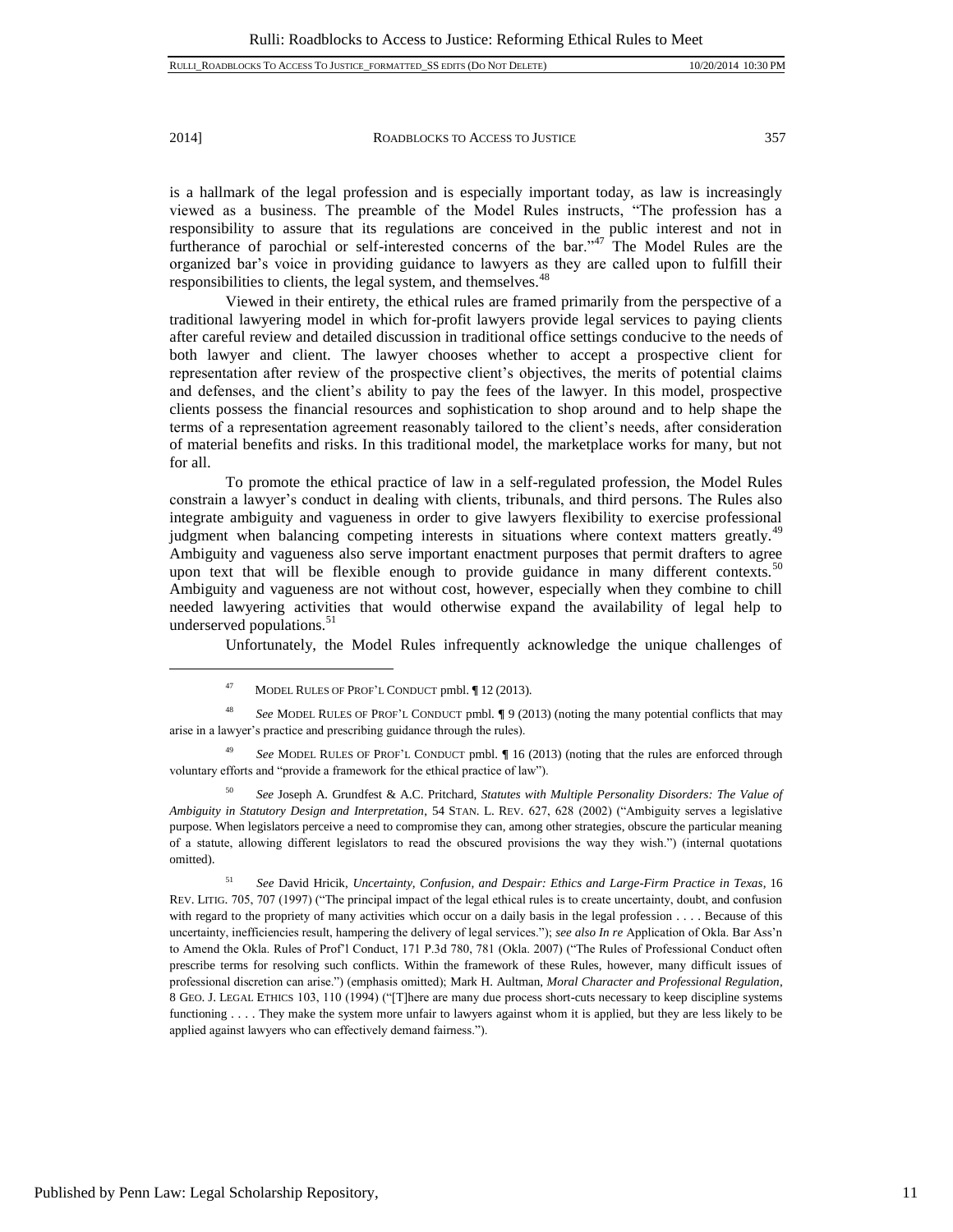$\overline{a}$ 

2014] ROADBLOCKS TO ACCESS TO JUSTICE 357

is a hallmark of the legal profession and is especially important today, as law is increasingly viewed as a business. The preamble of the Model Rules instructs, "The profession has a responsibility to assure that its regulations are conceived in the public interest and not in furtherance of parochial or self-interested concerns of the bar."<sup>47</sup> The Model Rules are the organized bar's voice in providing guidance to lawyers as they are called upon to fulfill their responsibilities to clients, the legal system, and themselves.<sup>48</sup>

Viewed in their entirety, the ethical rules are framed primarily from the perspective of a traditional lawyering model in which for-profit lawyers provide legal services to paying clients after careful review and detailed discussion in traditional office settings conducive to the needs of both lawyer and client. The lawyer chooses whether to accept a prospective client for representation after review of the prospective client's objectives, the merits of potential claims and defenses, and the client's ability to pay the fees of the lawyer. In this model, prospective clients possess the financial resources and sophistication to shop around and to help shape the terms of a representation agreement reasonably tailored to the client's needs, after consideration of material benefits and risks. In this traditional model, the marketplace works for many, but not for all.

To promote the ethical practice of law in a self-regulated profession, the Model Rules constrain a lawyer's conduct in dealing with clients, tribunals, and third persons. The Rules also integrate ambiguity and vagueness in order to give lawyers flexibility to exercise professional judgment when balancing competing interests in situations where context matters greatly.<sup>49</sup> Ambiguity and vagueness also serve important enactment purposes that permit drafters to agree upon text that will be flexible enough to provide guidance in many different contexts.<sup>50</sup> Ambiguity and vagueness are not without cost, however, especially when they combine to chill needed lawyering activities that would otherwise expand the availability of legal help to underserved populations.<sup>51</sup>

Unfortunately, the Model Rules infrequently acknowledge the unique challenges of

<sup>49</sup> *See* MODEL RULES OF PROF'L CONDUCT pmbl. **¶** 16 (2013) (noting that the rules are enforced through voluntary efforts and "provide a framework for the ethical practice of law").

<sup>50</sup> *See* Joseph A. Grundfest & A.C. Pritchard, *Statutes with Multiple Personality Disorders: The Value of Ambiguity in Statutory Design and Interpretation*, 54 STAN. L. REV. 627, 628 (2002) ("Ambiguity serves a legislative purpose. When legislators perceive a need to compromise they can, among other strategies, obscure the particular meaning of a statute, allowing different legislators to read the obscured provisions the way they wish.") (internal quotations omitted).

<sup>51</sup> *See* David Hricik, *Uncertainty, Confusion, and Despair: Ethics and Large-Firm Practice in Texas*, 16 REV. LITIG. 705, 707 (1997) ("The principal impact of the legal ethical rules is to create uncertainty, doubt, and confusion with regard to the propriety of many activities which occur on a daily basis in the legal profession . . . . Because of this uncertainty, inefficiencies result, hampering the delivery of legal services."); *see also In re* Application of Okla. Bar Ass'n to Amend the Okla. Rules of Prof'l Conduct, 171 P.3d 780, 781 (Okla. 2007) ("The Rules of Professional Conduct often prescribe terms for resolving such conflicts. Within the framework of these Rules, however, many difficult issues of professional discretion can arise.") (emphasis omitted); Mark H. Aultman, *Moral Character and Professional Regulation*, 8 GEO. J. LEGAL ETHICS 103, 110 (1994) ("[T]here are many due process short-cuts necessary to keep discipline systems functioning . . . . They make the system more unfair to lawyers against whom it is applied, but they are less likely to be applied against lawyers who can effectively demand fairness.").

<sup>47</sup> MODEL RULES OF PROF'L CONDUCT pmbl. **¶** 12 (2013).

<sup>48</sup> *See* MODEL RULES OF PROF'L CONDUCT pmbl. **¶** 9 (2013) (noting the many potential conflicts that may arise in a lawyer's practice and prescribing guidance through the rules).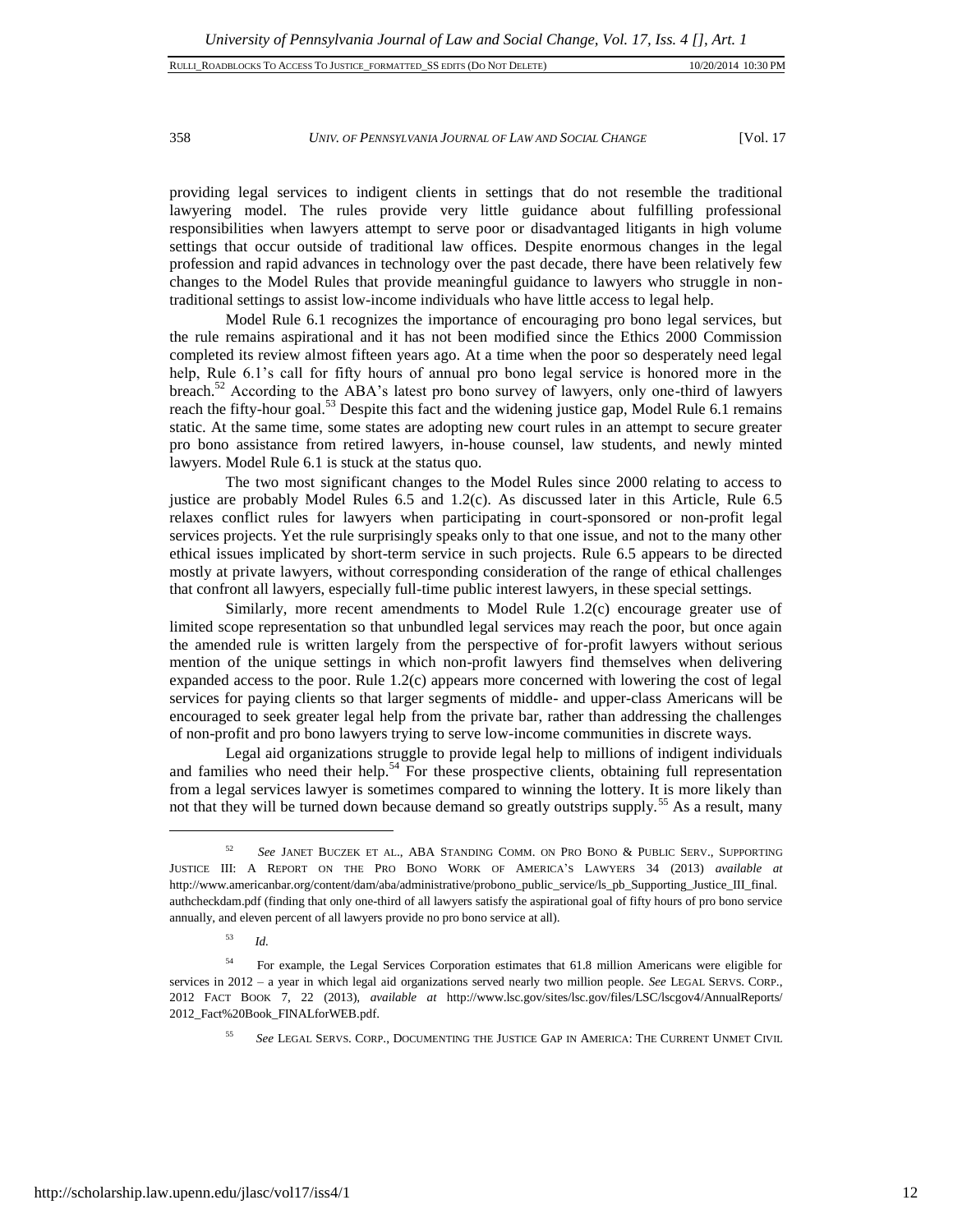#### 358 *UNIV. OF PENNSYLVANIA JOURNAL OF LAW AND SOCIAL CHANGE* [Vol. 17

providing legal services to indigent clients in settings that do not resemble the traditional lawyering model. The rules provide very little guidance about fulfilling professional responsibilities when lawyers attempt to serve poor or disadvantaged litigants in high volume settings that occur outside of traditional law offices. Despite enormous changes in the legal profession and rapid advances in technology over the past decade, there have been relatively few changes to the Model Rules that provide meaningful guidance to lawyers who struggle in nontraditional settings to assist low-income individuals who have little access to legal help.

Model Rule 6.1 recognizes the importance of encouraging pro bono legal services, but the rule remains aspirational and it has not been modified since the Ethics 2000 Commission completed its review almost fifteen years ago. At a time when the poor so desperately need legal help, Rule 6.1's call for fifty hours of annual pro bono legal service is honored more in the breach. $52$  According to the ABA's latest pro bono survey of lawyers, only one-third of lawyers reach the fifty-hour goal.<sup>53</sup> Despite this fact and the widening justice gap, Model Rule 6.1 remains static. At the same time, some states are adopting new court rules in an attempt to secure greater pro bono assistance from retired lawyers, in-house counsel, law students, and newly minted lawyers. Model Rule 6.1 is stuck at the status quo.

The two most significant changes to the Model Rules since 2000 relating to access to justice are probably Model Rules  $6.5$  and  $1.2(c)$ . As discussed later in this Article, Rule  $6.5$ relaxes conflict rules for lawyers when participating in court-sponsored or non-profit legal services projects. Yet the rule surprisingly speaks only to that one issue, and not to the many other ethical issues implicated by short-term service in such projects. Rule 6.5 appears to be directed mostly at private lawyers, without corresponding consideration of the range of ethical challenges that confront all lawyers, especially full-time public interest lawyers, in these special settings.

Similarly, more recent amendments to Model Rule 1.2(c) encourage greater use of limited scope representation so that unbundled legal services may reach the poor, but once again the amended rule is written largely from the perspective of for-profit lawyers without serious mention of the unique settings in which non-profit lawyers find themselves when delivering expanded access to the poor. Rule 1.2(c) appears more concerned with lowering the cost of legal services for paying clients so that larger segments of middle- and upper-class Americans will be encouraged to seek greater legal help from the private bar, rather than addressing the challenges of non-profit and pro bono lawyers trying to serve low-income communities in discrete ways.

Legal aid organizations struggle to provide legal help to millions of indigent individuals and families who need their help.<sup>54</sup> For these prospective clients, obtaining full representation from a legal services lawyer is sometimes compared to winning the lottery. It is more likely than not that they will be turned down because demand so greatly outstrips supply.<sup>55</sup> As a result, many

<sup>52</sup> *See* JANET BUCZEK ET AL., ABA STANDING COMM. ON PRO BONO & PUBLIC SERV., SUPPORTING JUSTICE III: A REPORT ON THE PRO BONO WORK OF AMERICA'S LAWYERS 34 (2013) *available at* http://www.americanbar.org/content/dam/aba/administrative/probono\_public\_service/ls\_pb\_Supporting\_Justice\_III\_final. authcheckdam.pdf (finding that only one-third of all lawyers satisfy the aspirational goal of fifty hours of pro bono service annually, and eleven percent of all lawyers provide no pro bono service at all).

<sup>53</sup> *Id.*

<sup>&</sup>lt;sup>54</sup> For example, the Legal Services Corporation estimates that 61.8 million Americans were eligible for services in 2012 – a year in which legal aid organizations served nearly two million people. *See* LEGAL SERVS. CORP., 2012 FACT BOOK 7, 22 (2013), *available at* http://www.lsc.gov/sites/lsc.gov/files/LSC/lscgov4/AnnualReports/ 2012\_Fact%20Book\_FINALforWEB.pdf.

<sup>55</sup> *See* LEGAL SERVS. CORP., DOCUMENTING THE JUSTICE GAP IN AMERICA: THE CURRENT UNMET CIVIL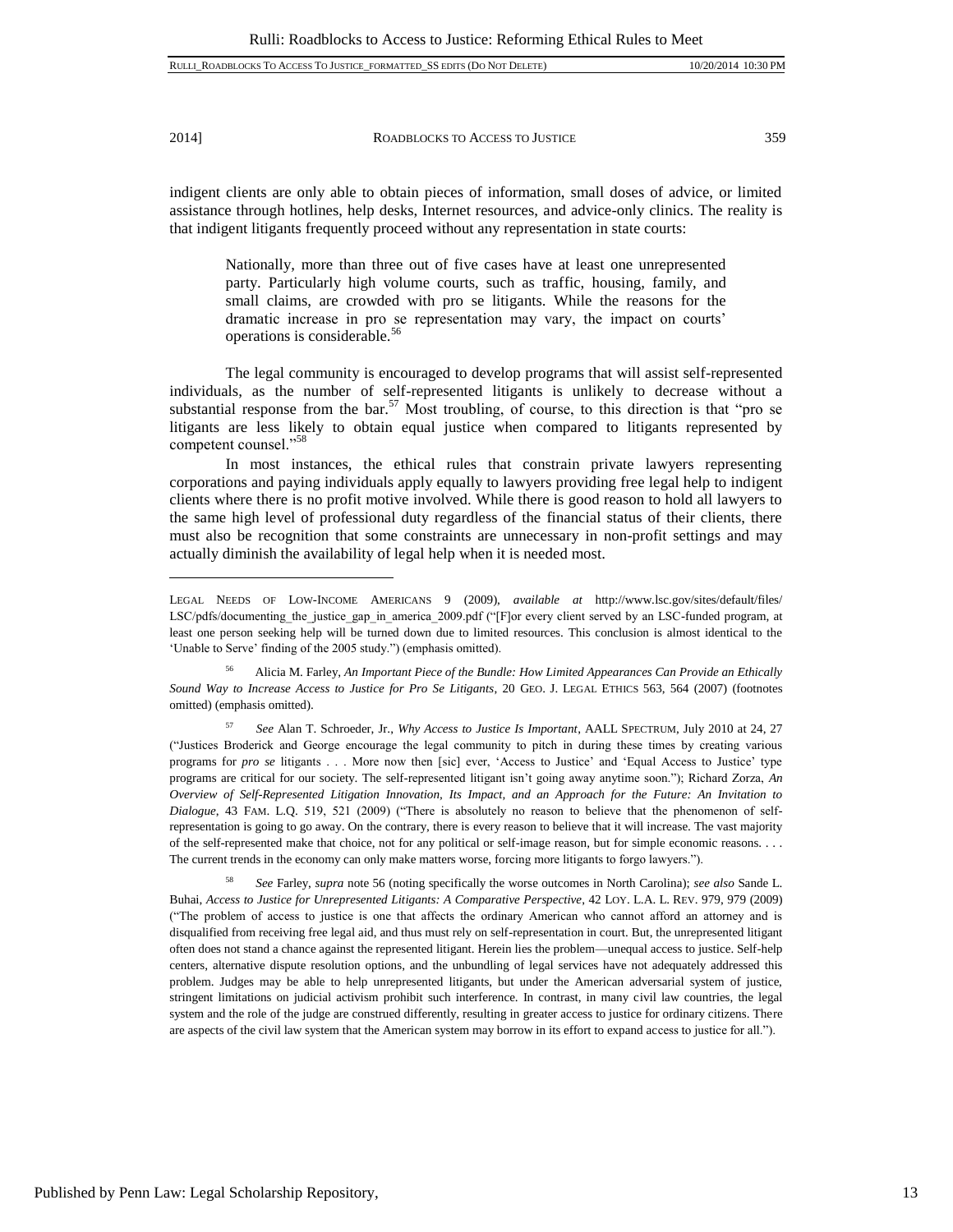l

2014] ROADBLOCKS TO ACCESS TO JUSTICE 359

indigent clients are only able to obtain pieces of information, small doses of advice, or limited assistance through hotlines, help desks, Internet resources, and advice-only clinics. The reality is that indigent litigants frequently proceed without any representation in state courts:

Nationally, more than three out of five cases have at least one unrepresented party. Particularly high volume courts, such as traffic, housing, family, and small claims, are crowded with pro se litigants. While the reasons for the dramatic increase in pro se representation may vary, the impact on courts' operations is considerable.<sup>56</sup>

The legal community is encouraged to develop programs that will assist self-represented individuals, as the number of self-represented litigants is unlikely to decrease without a substantial response from the bar.<sup>57</sup> Most troubling, of course, to this direction is that "pro se litigants are less likely to obtain equal justice when compared to litigants represented by competent counsel."<sup>58</sup>

In most instances, the ethical rules that constrain private lawyers representing corporations and paying individuals apply equally to lawyers providing free legal help to indigent clients where there is no profit motive involved. While there is good reason to hold all lawyers to the same high level of professional duty regardless of the financial status of their clients, there must also be recognition that some constraints are unnecessary in non-profit settings and may actually diminish the availability of legal help when it is needed most.

<sup>56</sup> Alicia M. Farley, *An Important Piece of the Bundle: How Limited Appearances Can Provide an Ethically Sound Way to Increase Access to Justice for Pro Se Litigants*, 20 GEO. J. LEGAL ETHICS 563, 564 (2007) (footnotes omitted) (emphasis omitted).

<sup>57</sup> *See* Alan T. Schroeder, Jr., *Why Access to Justice Is Important*, AALL SPECTRUM, July 2010 at 24, 27 ("Justices Broderick and George encourage the legal community to pitch in during these times by creating various programs for *pro se* litigants . . . More now then [sic] ever, 'Access to Justice' and 'Equal Access to Justice' type programs are critical for our society. The self-represented litigant isn't going away anytime soon."); Richard Zorza, *An Overview of Self-Represented Litigation Innovation, Its Impact, and an Approach for the Future: An Invitation to Dialogue*, 43 FAM. L.Q. 519, 521 (2009) ("There is absolutely no reason to believe that the phenomenon of selfrepresentation is going to go away. On the contrary, there is every reason to believe that it will increase. The vast majority of the self-represented make that choice, not for any political or self-image reason, but for simple economic reasons. . . . The current trends in the economy can only make matters worse, forcing more litigants to forgo lawyers.").

<sup>58</sup> *See* Farley, *supra* note 56 (noting specifically the worse outcomes in North Carolina); *see also* Sande L. Buhai, *Access to Justice for Unrepresented Litigants: A Comparative Perspective*, 42 LOY. L.A. L. REV. 979, 979 (2009) ("The problem of access to justice is one that affects the ordinary American who cannot afford an attorney and is disqualified from receiving free legal aid, and thus must rely on self-representation in court. But, the unrepresented litigant often does not stand a chance against the represented litigant. Herein lies the problem—unequal access to justice. Self-help centers, alternative dispute resolution options, and the unbundling of legal services have not adequately addressed this problem. Judges may be able to help unrepresented litigants, but under the American adversarial system of justice, stringent limitations on judicial activism prohibit such interference. In contrast, in many civil law countries, the legal system and the role of the judge are construed differently, resulting in greater access to justice for ordinary citizens. There are aspects of the civil law system that the American system may borrow in its effort to expand access to justice for all.").

LEGAL NEEDS OF LOW-INCOME AMERICANS 9 (2009), *available at* http://www.lsc.gov/sites/default/files/ LSC/pdfs/documenting\_the\_justice\_gap\_in\_america\_2009.pdf ("[F]or every client served by an LSC-funded program, at least one person seeking help will be turned down due to limited resources. This conclusion is almost identical to the 'Unable to Serve' finding of the 2005 study.") (emphasis omitted).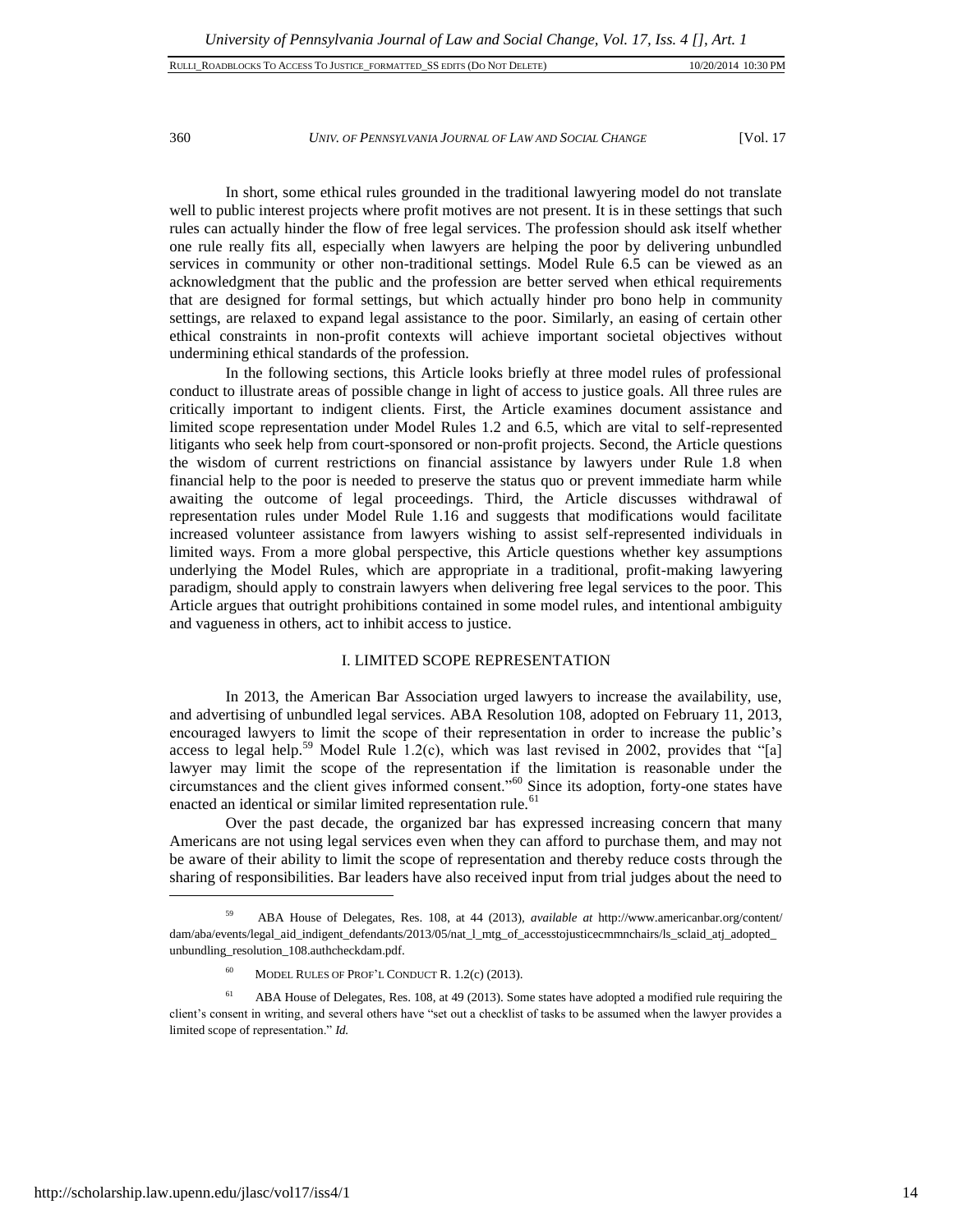360 *UNIV. OF PENNSYLVANIA JOURNAL OF LAW AND SOCIAL CHANGE* [Vol. 17

In short, some ethical rules grounded in the traditional lawyering model do not translate well to public interest projects where profit motives are not present. It is in these settings that such rules can actually hinder the flow of free legal services. The profession should ask itself whether one rule really fits all, especially when lawyers are helping the poor by delivering unbundled services in community or other non-traditional settings. Model Rule 6.5 can be viewed as an acknowledgment that the public and the profession are better served when ethical requirements that are designed for formal settings, but which actually hinder pro bono help in community settings, are relaxed to expand legal assistance to the poor. Similarly, an easing of certain other ethical constraints in non-profit contexts will achieve important societal objectives without undermining ethical standards of the profession.

In the following sections, this Article looks briefly at three model rules of professional conduct to illustrate areas of possible change in light of access to justice goals. All three rules are critically important to indigent clients. First, the Article examines document assistance and limited scope representation under Model Rules 1.2 and 6.5, which are vital to self-represented litigants who seek help from court-sponsored or non-profit projects. Second, the Article questions the wisdom of current restrictions on financial assistance by lawyers under Rule 1.8 when financial help to the poor is needed to preserve the status quo or prevent immediate harm while awaiting the outcome of legal proceedings. Third, the Article discusses withdrawal of representation rules under Model Rule 1.16 and suggests that modifications would facilitate increased volunteer assistance from lawyers wishing to assist self-represented individuals in limited ways. From a more global perspective, this Article questions whether key assumptions underlying the Model Rules, which are appropriate in a traditional, profit-making lawyering paradigm, should apply to constrain lawyers when delivering free legal services to the poor. This Article argues that outright prohibitions contained in some model rules, and intentional ambiguity and vagueness in others, act to inhibit access to justice.

#### I. LIMITED SCOPE REPRESENTATION

In 2013, the American Bar Association urged lawyers to increase the availability, use, and advertising of unbundled legal services. ABA Resolution 108, adopted on February 11, 2013, encouraged lawyers to limit the scope of their representation in order to increase the public's access to legal help.<sup>59</sup> Model Rule 1.2(c), which was last revised in 2002, provides that "[a] lawyer may limit the scope of the representation if the limitation is reasonable under the circumstances and the client gives informed consent."<sup>60</sup> Since its adoption, forty-one states have enacted an identical or similar limited representation rule. $61$ 

Over the past decade, the organized bar has expressed increasing concern that many Americans are not using legal services even when they can afford to purchase them, and may not be aware of their ability to limit the scope of representation and thereby reduce costs through the sharing of responsibilities. Bar leaders have also received input from trial judges about the need to

<sup>59</sup> ABA House of Delegates, Res. 108, at 44 (2013), *available at* http://www.americanbar.org/content/ dam/aba/events/legal\_aid\_indigent\_defendants/2013/05/nat\_l\_mtg\_of\_accesstojusticecmmnchairs/ls\_sclaid\_atj\_adopted\_ unbundling\_resolution\_108.authcheckdam.pdf.

 $60$  MODEL RULES OF PROF'L CONDUCT R. 1.2(c) (2013).

 $61$  ABA House of Delegates, Res. 108, at 49 (2013). Some states have adopted a modified rule requiring the client's consent in writing, and several others have "set out a checklist of tasks to be assumed when the lawyer provides a limited scope of representation." *Id.*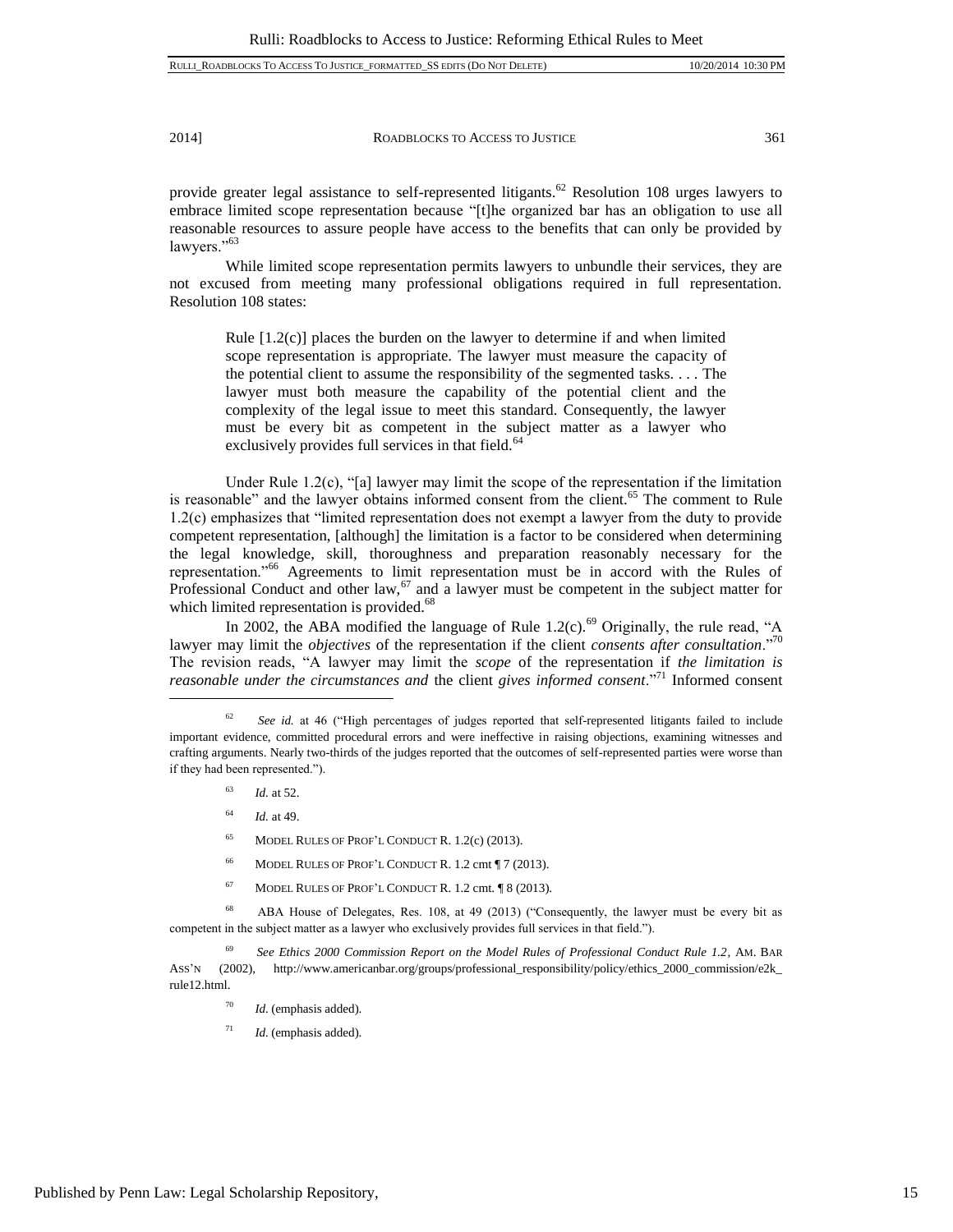provide greater legal assistance to self-represented litigants.<sup>62</sup> Resolution 108 urges lawyers to embrace limited scope representation because "[t]he organized bar has an obligation to use all reasonable resources to assure people have access to the benefits that can only be provided by lawyers."<sup>63</sup>

While limited scope representation permits lawyers to unbundle their services, they are not excused from meeting many professional obligations required in full representation. Resolution 108 states:

Rule [1.2(c)] places the burden on the lawyer to determine if and when limited scope representation is appropriate. The lawyer must measure the capacity of the potential client to assume the responsibility of the segmented tasks. . . . The lawyer must both measure the capability of the potential client and the complexity of the legal issue to meet this standard. Consequently, the lawyer must be every bit as competent in the subject matter as a lawyer who exclusively provides full services in that field.<sup>64</sup>

Under Rule 1.2(c), "[a] lawyer may limit the scope of the representation if the limitation is reasonable" and the lawyer obtains informed consent from the client.<sup>65</sup> The comment to Rule 1.2(c) emphasizes that "limited representation does not exempt a lawyer from the duty to provide competent representation, [although] the limitation is a factor to be considered when determining the legal knowledge, skill, thoroughness and preparation reasonably necessary for the representation."<sup>66</sup> Agreements to limit representation must be in accord with the Rules of Professional Conduct and other law, $67$  and a lawyer must be competent in the subject matter for which limited representation is provided.<sup>68</sup>

In 2002, the ABA modified the language of Rule  $1.2(c)$ .<sup>69</sup> Originally, the rule read, "A lawyer may limit the *objectives* of the representation if the client *consents after consultation*."<sup>70</sup> The revision reads, "A lawyer may limit the *scope* of the representation if *the limitation is reasonable under the circumstances and* the client *gives informed consent*."<sup>71</sup> Informed consent

<sup>63</sup> *Id.* at 52.

 $\overline{a}$ 

- <sup>64</sup> *Id.* at 49.
- <sup>65</sup> MODEL RULES OF PROF'L CONDUCT R. 1.2(c) (2013).
- <sup>66</sup> MODEL RULES OF PROF'L CONDUCT R. 1.2 cmt ¶ 7 (2013).
- <sup>67</sup> MODEL RULES OF PROF'L CONDUCT R. 1.2 cmt. ¶ 8 (2013).

<sup>68</sup> ABA House of Delegates, Res. 108, at 49 (2013) ("Consequently, the lawyer must be every bit as competent in the subject matter as a lawyer who exclusively provides full services in that field.").

<sup>69</sup> *See Ethics 2000 Commission Report on the Model Rules of Professional Conduct Rule 1.2*, AM. BAR ASS'N (2002), http://www.americanbar.org/groups/professional\_responsibility/policy/ethics\_2000\_commission/e2k\_ rule12.html.

- <sup>70</sup> *Id.* (emphasis added).
- <sup>71</sup> *Id.* (emphasis added).

See id. at 46 ("High percentages of judges reported that self-represented litigants failed to include important evidence, committed procedural errors and were ineffective in raising objections, examining witnesses and crafting arguments. Nearly two-thirds of the judges reported that the outcomes of self-represented parties were worse than if they had been represented.").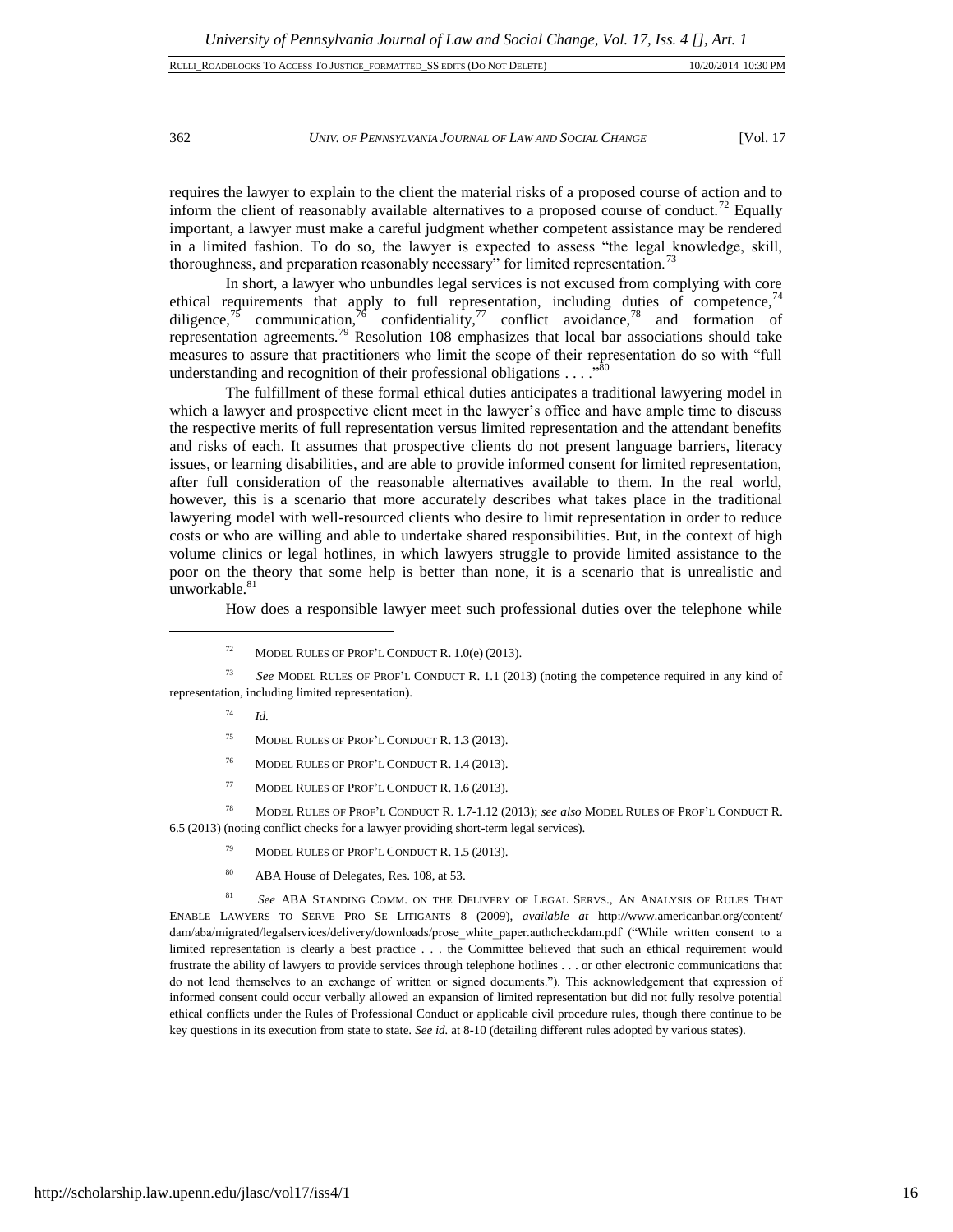# 362 *UNIV. OF PENNSYLVANIA JOURNAL OF LAW AND SOCIAL CHANGE* [Vol. 17

requires the lawyer to explain to the client the material risks of a proposed course of action and to inform the client of reasonably available alternatives to a proposed course of conduct.<sup>72</sup> Equally important, a lawyer must make a careful judgment whether competent assistance may be rendered in a limited fashion. To do so, the lawyer is expected to assess "the legal knowledge, skill, thoroughness, and preparation reasonably necessary" for limited representation.<sup>73</sup>

In short, a lawyer who unbundles legal services is not excused from complying with core ethical requirements that apply to full representation, including duties of competence, $74$ diligence,<sup>75</sup> communication,<sup>76</sup> confidentiality,<sup>77</sup> conflict avoidance,<sup>78</sup> and formation of representation agreements.<sup>79</sup> Resolution 108 emphasizes that local bar associations should take measures to assure that practitioners who limit the scope of their representation do so with "full understanding and recognition of their professional obligations . . . . "<sup>80</sup>

The fulfillment of these formal ethical duties anticipates a traditional lawyering model in which a lawyer and prospective client meet in the lawyer's office and have ample time to discuss the respective merits of full representation versus limited representation and the attendant benefits and risks of each. It assumes that prospective clients do not present language barriers, literacy issues, or learning disabilities, and are able to provide informed consent for limited representation, after full consideration of the reasonable alternatives available to them. In the real world, however, this is a scenario that more accurately describes what takes place in the traditional lawyering model with well-resourced clients who desire to limit representation in order to reduce costs or who are willing and able to undertake shared responsibilities. But, in the context of high volume clinics or legal hotlines, in which lawyers struggle to provide limited assistance to the poor on the theory that some help is better than none, it is a scenario that is unrealistic and unworkable.<sup>81</sup>

How does a responsible lawyer meet such professional duties over the telephone while

<sup>73</sup> *See* MODEL RULES OF PROF'L CONDUCT R. 1.1 (2013) (noting the competence required in any kind of representation, including limited representation).

<sup>74</sup> *Id.*

 $\overline{a}$ 

- <sup>75</sup> MODEL RULES OF PROF'L CONDUCT R. 1.3 (2013).
- <sup>76</sup> MODEL RULES OF PROF'L CONDUCT R. 1.4 (2013).
- <sup>77</sup> MODEL RULES OF PROF'L CONDUCT R. 1.6 (2013).

<sup>78</sup> MODEL RULES OF PROF'L CONDUCT R. 1.7-1.12 (2013); *see also* MODEL RULES OF PROF'L CONDUCT R. 6.5 (2013) (noting conflict checks for a lawyer providing short-term legal services).

- <sup>79</sup> MODEL RULES OF PROF'L CONDUCT R. 1.5 (2013).
- <sup>80</sup> ABA House of Delegates, Res. 108, at 53.

<sup>81</sup> *See* ABA STANDING COMM. ON THE DELIVERY OF LEGAL SERVS., AN ANALYSIS OF RULES THAT ENABLE LAWYERS TO SERVE PRO SE LITIGANTS 8 (2009), *available at* http://www.americanbar.org/content/ dam/aba/migrated/legalservices/delivery/downloads/prose\_white\_paper.authcheckdam.pdf ("While written consent to a limited representation is clearly a best practice . . . the Committee believed that such an ethical requirement would frustrate the ability of lawyers to provide services through telephone hotlines . . . or other electronic communications that do not lend themselves to an exchange of written or signed documents."). This acknowledgement that expression of informed consent could occur verbally allowed an expansion of limited representation but did not fully resolve potential ethical conflicts under the Rules of Professional Conduct or applicable civil procedure rules, though there continue to be key questions in its execution from state to state. *See id.* at 8-10 (detailing different rules adopted by various states).

<sup>&</sup>lt;sup>72</sup> MODEL RULES OF PROF'L CONDUCT R.  $1.0(e)$  (2013).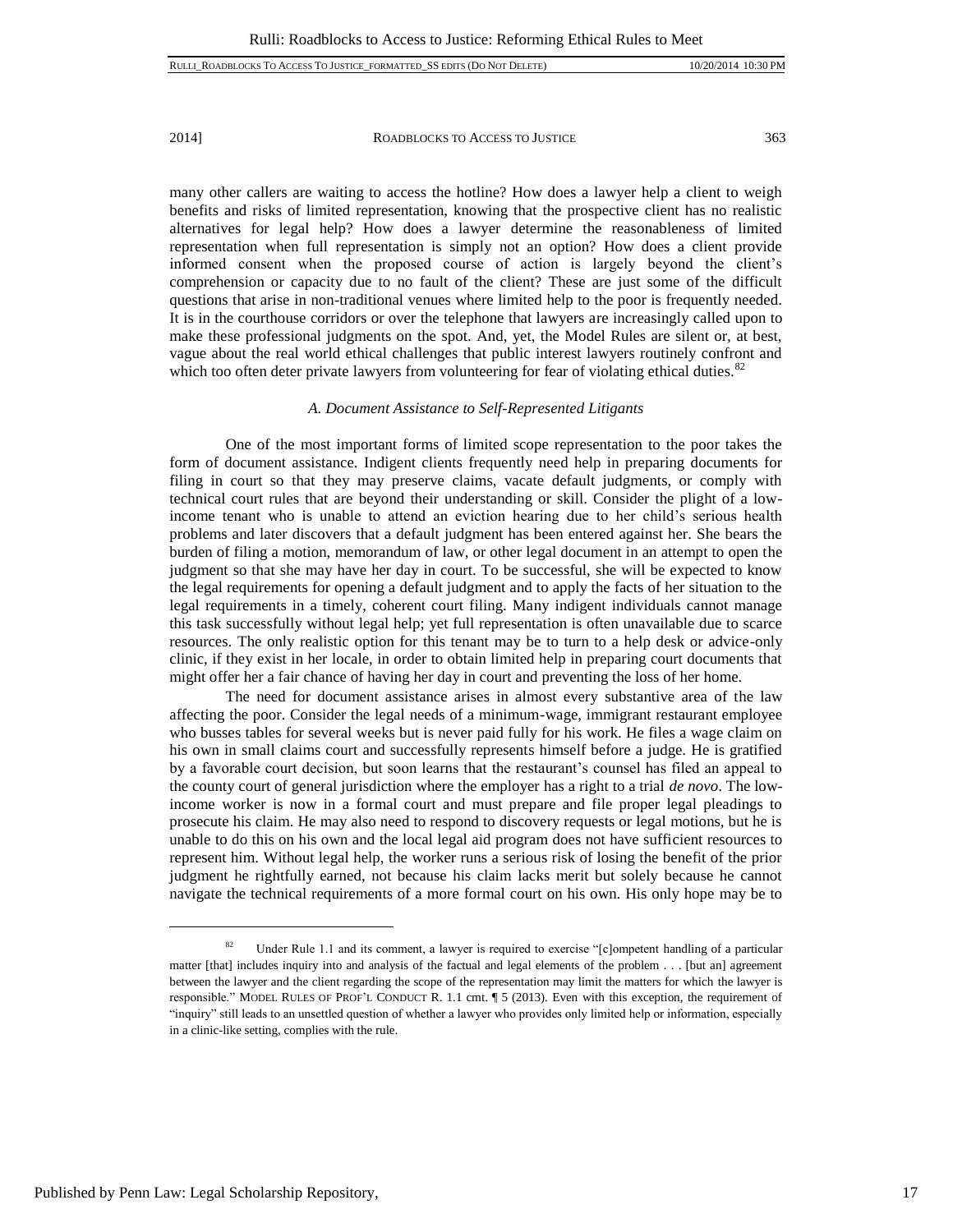many other callers are waiting to access the hotline? How does a lawyer help a client to weigh benefits and risks of limited representation, knowing that the prospective client has no realistic alternatives for legal help? How does a lawyer determine the reasonableness of limited representation when full representation is simply not an option? How does a client provide informed consent when the proposed course of action is largely beyond the client's comprehension or capacity due to no fault of the client? These are just some of the difficult questions that arise in non-traditional venues where limited help to the poor is frequently needed. It is in the courthouse corridors or over the telephone that lawyers are increasingly called upon to make these professional judgments on the spot. And, yet, the Model Rules are silent or, at best, vague about the real world ethical challenges that public interest lawyers routinely confront and which too often deter private lawyers from volunteering for fear of violating ethical duties. $82$ 

#### *A. Document Assistance to Self-Represented Litigants*

One of the most important forms of limited scope representation to the poor takes the form of document assistance. Indigent clients frequently need help in preparing documents for filing in court so that they may preserve claims, vacate default judgments, or comply with technical court rules that are beyond their understanding or skill. Consider the plight of a lowincome tenant who is unable to attend an eviction hearing due to her child's serious health problems and later discovers that a default judgment has been entered against her. She bears the burden of filing a motion, memorandum of law, or other legal document in an attempt to open the judgment so that she may have her day in court. To be successful, she will be expected to know the legal requirements for opening a default judgment and to apply the facts of her situation to the legal requirements in a timely, coherent court filing. Many indigent individuals cannot manage this task successfully without legal help; yet full representation is often unavailable due to scarce resources. The only realistic option for this tenant may be to turn to a help desk or advice-only clinic, if they exist in her locale, in order to obtain limited help in preparing court documents that might offer her a fair chance of having her day in court and preventing the loss of her home.

The need for document assistance arises in almost every substantive area of the law affecting the poor. Consider the legal needs of a minimum-wage, immigrant restaurant employee who busses tables for several weeks but is never paid fully for his work. He files a wage claim on his own in small claims court and successfully represents himself before a judge. He is gratified by a favorable court decision, but soon learns that the restaurant's counsel has filed an appeal to the county court of general jurisdiction where the employer has a right to a trial *de novo*. The lowincome worker is now in a formal court and must prepare and file proper legal pleadings to prosecute his claim. He may also need to respond to discovery requests or legal motions, but he is unable to do this on his own and the local legal aid program does not have sufficient resources to represent him. Without legal help, the worker runs a serious risk of losing the benefit of the prior judgment he rightfully earned, not because his claim lacks merit but solely because he cannot navigate the technical requirements of a more formal court on his own. His only hope may be to

<sup>&</sup>lt;sup>82</sup> Under Rule 1.1 and its comment, a lawyer is required to exercise "[c]ompetent handling of a particular matter [that] includes inquiry into and analysis of the factual and legal elements of the problem . . . [but an] agreement between the lawyer and the client regarding the scope of the representation may limit the matters for which the lawyer is responsible." MODEL RULES OF PROF'L CONDUCT R. 1.1 cmt. ¶ 5 (2013). Even with this exception, the requirement of "inquiry" still leads to an unsettled question of whether a lawyer who provides only limited help or information, especially in a clinic-like setting, complies with the rule.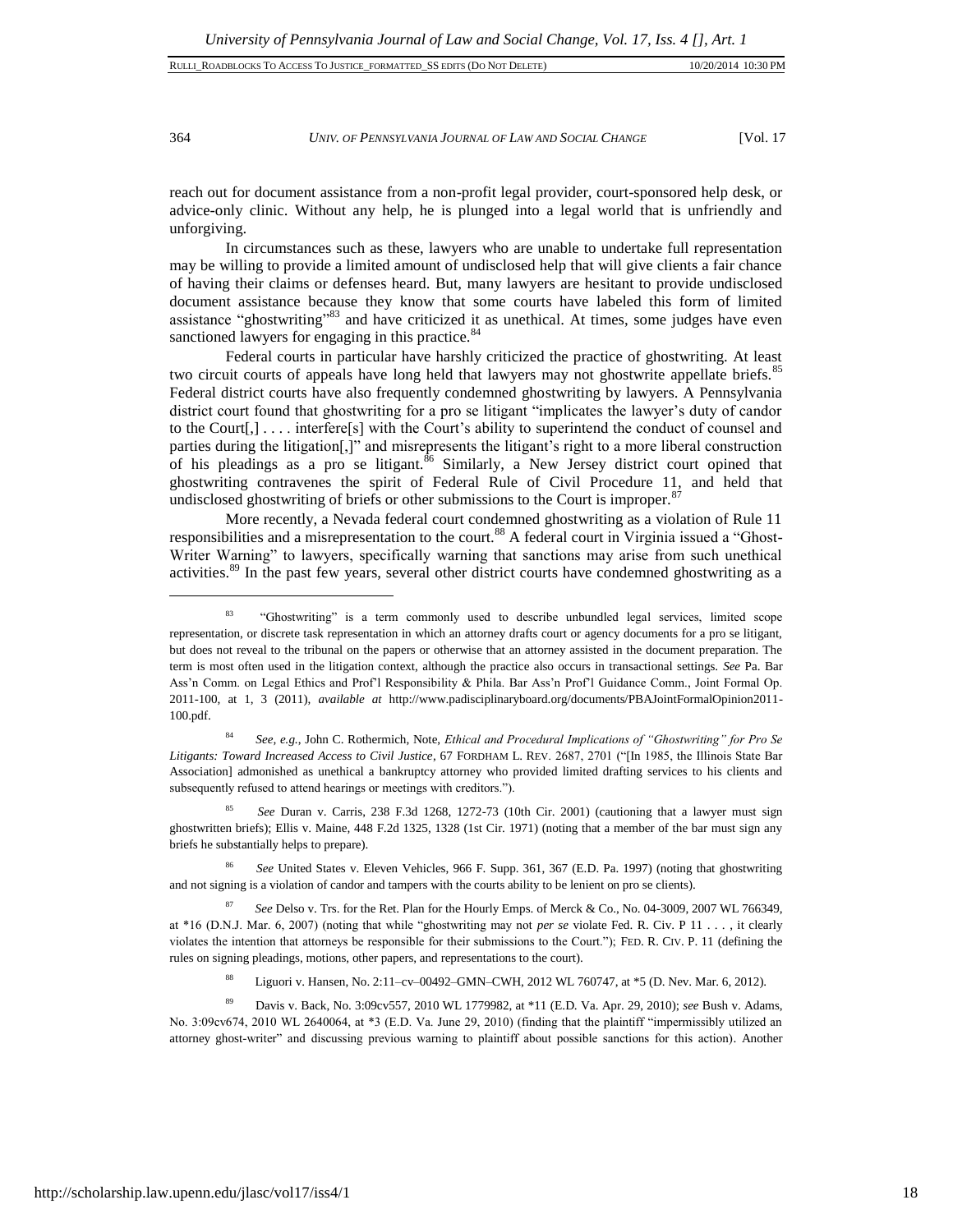364 *UNIV. OF PENNSYLVANIA JOURNAL OF LAW AND SOCIAL CHANGE* [Vol. 17

reach out for document assistance from a non-profit legal provider, court-sponsored help desk, or advice-only clinic. Without any help, he is plunged into a legal world that is unfriendly and unforgiving.

In circumstances such as these, lawyers who are unable to undertake full representation may be willing to provide a limited amount of undisclosed help that will give clients a fair chance of having their claims or defenses heard. But, many lawyers are hesitant to provide undisclosed document assistance because they know that some courts have labeled this form of limited assistance "ghostwriting"<sup>83</sup> and have criticized it as unethical. At times, some judges have even sanctioned lawyers for engaging in this practice.<sup>84</sup>

Federal courts in particular have harshly criticized the practice of ghostwriting. At least two circuit courts of appeals have long held that lawyers may not ghostwrite appellate briefs.<sup>85</sup> Federal district courts have also frequently condemned ghostwriting by lawyers. A Pennsylvania district court found that ghostwriting for a pro se litigant "implicates the lawyer's duty of candor to the Court[,] . . . . interfere[s] with the Court's ability to superintend the conduct of counsel and parties during the litigation[,]" and misrepresents the litigant's right to a more liberal construction of his pleadings as a pro se litigant.<sup>86</sup> Similarly, a New Jersey district court opined that ghostwriting contravenes the spirit of Federal Rule of Civil Procedure 11, and held that undisclosed ghostwriting of briefs or other submissions to the Court is improper.<sup>87</sup>

More recently, a Nevada federal court condemned ghostwriting as a violation of Rule 11 responsibilities and a misrepresentation to the court.<sup>88</sup> A federal court in Virginia issued a "Ghost-Writer Warning" to lawyers, specifically warning that sanctions may arise from such unethical activities.<sup>89</sup> In the past few years, several other district courts have condemned ghostwriting as a

<sup>84</sup> *See, e.g.*, John C. Rothermich, Note, *Ethical and Procedural Implications of "Ghostwriting" for Pro Se Litigants: Toward Increased Access to Civil Justice*, 67 FORDHAM L. REV. 2687, 2701 ("[In 1985, the Illinois State Bar Association] admonished as unethical a bankruptcy attorney who provided limited drafting services to his clients and subsequently refused to attend hearings or meetings with creditors.").

<sup>85</sup> *See* Duran v. Carris, 238 F.3d 1268, 1272-73 (10th Cir. 2001) (cautioning that a lawyer must sign ghostwritten briefs); Ellis v. Maine, 448 F.2d 1325, 1328 (1st Cir. 1971) (noting that a member of the bar must sign any briefs he substantially helps to prepare).

<sup>86</sup> *See* United States v. Eleven Vehicles, 966 F. Supp. 361, 367 (E.D. Pa. 1997) (noting that ghostwriting and not signing is a violation of candor and tampers with the courts ability to be lenient on pro se clients).

<sup>87</sup> *See* Delso v. Trs. for the Ret. Plan for the Hourly Emps. of Merck & Co., No. 04-3009, 2007 WL 766349, at \*16 (D.N.J. Mar. 6, 2007) (noting that while "ghostwriting may not *per se* violate Fed. R. Civ. P 11 . . . , it clearly violates the intention that attorneys be responsible for their submissions to the Court."); FED. R. CIV. P. 11 (defining the rules on signing pleadings, motions, other papers, and representations to the court).

<sup>88</sup> Liguori v. Hansen, No. 2:11–cv–00492–GMN–CWH, 2012 WL 760747, at \*5 (D. Nev. Mar. 6, 2012).

<sup>89</sup> Davis v. Back, No. 3:09cv557, 2010 WL 1779982, at \*11 (E.D. Va. Apr. 29, 2010); *see* Bush v. Adams, No. 3:09cv674, 2010 WL 2640064, at \*3 (E.D. Va. June 29, 2010) (finding that the plaintiff "impermissibly utilized an attorney ghost-writer" and discussing previous warning to plaintiff about possible sanctions for this action). Another

<sup>&</sup>lt;sup>83</sup> "Ghostwriting" is a term commonly used to describe unbundled legal services, limited scope representation, or discrete task representation in which an attorney drafts court or agency documents for a pro se litigant, but does not reveal to the tribunal on the papers or otherwise that an attorney assisted in the document preparation. The term is most often used in the litigation context, although the practice also occurs in transactional settings. *See* Pa. Bar Ass'n Comm. on Legal Ethics and Prof'l Responsibility & Phila. Bar Ass'n Prof'l Guidance Comm., Joint Formal Op. 2011-100, at 1, 3 (2011), *available at* http://www.padisciplinaryboard.org/documents/PBAJointFormalOpinion2011- 100.pdf.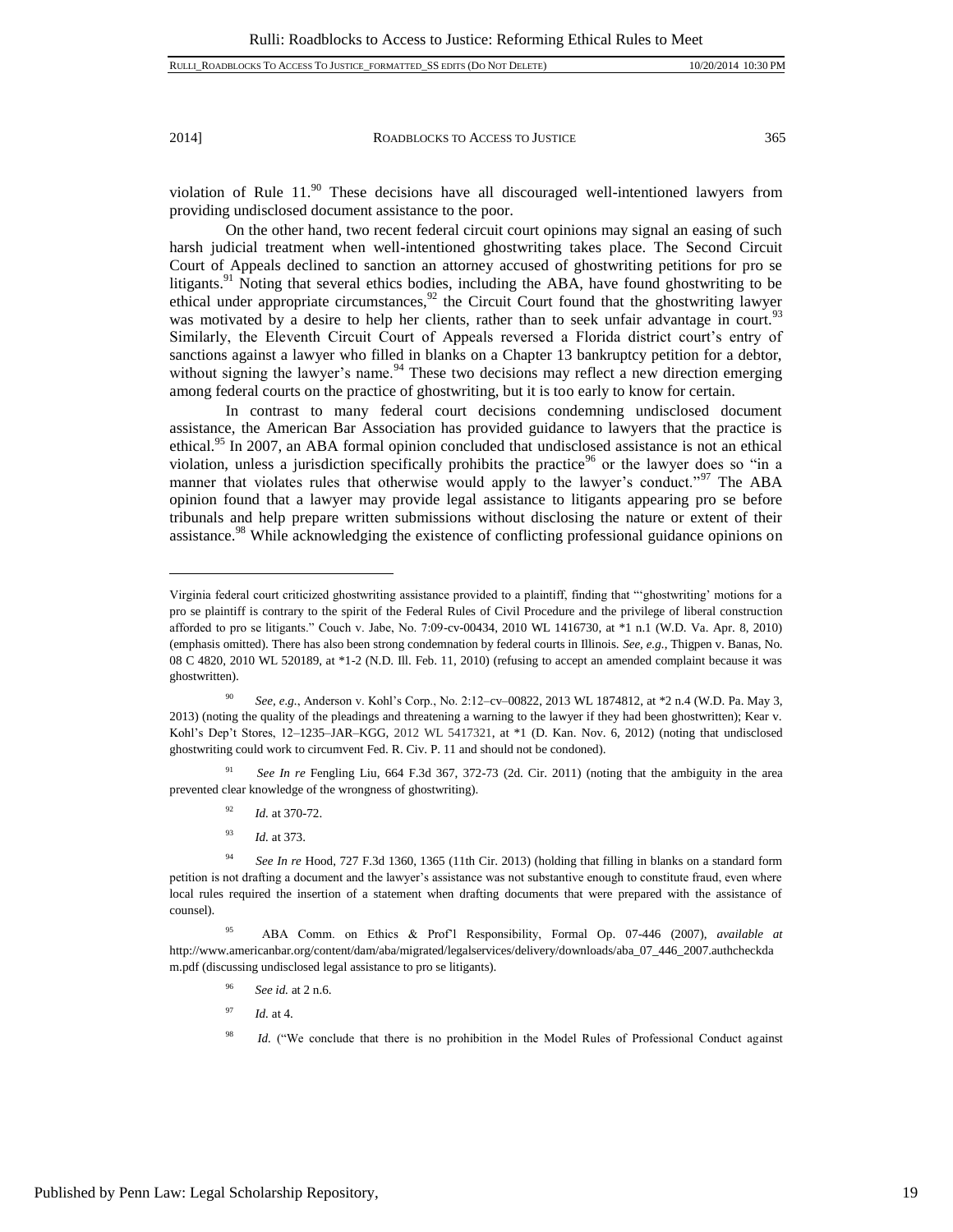l

2014] ROADBLOCKS TO ACCESS TO JUSTICE 365

violation of Rule 11.<sup>90</sup> These decisions have all discouraged well-intentioned lawyers from providing undisclosed document assistance to the poor.

On the other hand, two recent federal circuit court opinions may signal an easing of such harsh judicial treatment when well-intentioned ghostwriting takes place. The Second Circuit Court of Appeals declined to sanction an attorney accused of ghostwriting petitions for pro se litigants.<sup>91</sup> Noting that several ethics bodies, including the ABA, have found ghostwriting to be ethical under appropriate circumstances,  $92$  the Circuit Court found that the ghostwriting lawyer was motivated by a desire to help her clients, rather than to seek unfair advantage in court.<sup>93</sup> Similarly, the Eleventh Circuit Court of Appeals reversed a Florida district court's entry of sanctions against a lawyer who filled in blanks on a Chapter 13 bankruptcy petition for a debtor, without signing the lawyer's name.<sup>94</sup> These two decisions may reflect a new direction emerging among federal courts on the practice of ghostwriting, but it is too early to know for certain.

In contrast to many federal court decisions condemning undisclosed document assistance, the American Bar Association has provided guidance to lawyers that the practice is ethical.<sup>95</sup> In 2007, an ABA formal opinion concluded that undisclosed assistance is not an ethical violation, unless a jurisdiction specifically prohibits the practice<sup>96</sup> or the lawyer does so "in a manner that violates rules that otherwise would apply to the lawyer's conduct."<sup>97</sup> The ABA opinion found that a lawyer may provide legal assistance to litigants appearing pro se before tribunals and help prepare written submissions without disclosing the nature or extent of their assistance.<sup>98</sup> While acknowledging the existence of conflicting professional guidance opinions on

<sup>91</sup> *See In re* Fengling Liu, 664 F.3d 367, 372-73 (2d. Cir. 2011) (noting that the ambiguity in the area prevented clear knowledge of the wrongness of ghostwriting).

- <sup>92</sup> *Id.* at 370-72.
- <sup>93</sup> *Id.* at 373.

- <sup>96</sup> *See id.* at 2 n.6.
- <sup>97</sup> *Id.* at 4.

Virginia federal court criticized ghostwriting assistance provided to a plaintiff, finding that "'ghostwriting' motions for a pro se plaintiff is contrary to the spirit of the Federal Rules of Civil Procedure and the privilege of liberal construction afforded to pro se litigants." Couch v. Jabe, No. 7:09-cv-00434, 2010 WL 1416730, at \*1 n.1 (W.D. Va. Apr. 8, 2010) (emphasis omitted). There has also been strong condemnation by federal courts in Illinois. *See, e.g.*, Thigpen v. Banas, No. 08 C 4820, 2010 WL 520189, at \*1-2 (N.D. Ill. Feb. 11, 2010) (refusing to accept an amended complaint because it was ghostwritten).

<sup>90</sup> *See, e.g.*, Anderson v. Kohl's Corp., No. 2:12–cv–00822, 2013 WL 1874812, at \*2 n.4 (W.D. Pa. May 3, 2013) (noting the quality of the pleadings and threatening a warning to the lawyer if they had been ghostwritten); Kear v. Kohl's Dep't Stores, 12–1235–JAR–KGG, 2012 WL 5417321, at \*1 (D. Kan. Nov. 6, 2012) (noting that undisclosed ghostwriting could work to circumvent Fed. R. Civ. P. 11 and should not be condoned).

<sup>94</sup> *See In re* Hood, 727 F.3d 1360, 1365 (11th Cir. 2013) (holding that filling in blanks on a standard form petition is not drafting a document and the lawyer's assistance was not substantive enough to constitute fraud, even where local rules required the insertion of a statement when drafting documents that were prepared with the assistance of counsel).

<sup>95</sup> ABA Comm. on Ethics & Prof'l Responsibility, Formal Op. 07-446 (2007), *available at* http://www.americanbar.org/content/dam/aba/migrated/legalservices/delivery/downloads/aba\_07\_446\_2007.authcheckda m.pdf (discussing undisclosed legal assistance to pro se litigants).

<sup>&</sup>lt;sup>98</sup> *Id.* ("We conclude that there is no prohibition in the Model Rules of Professional Conduct against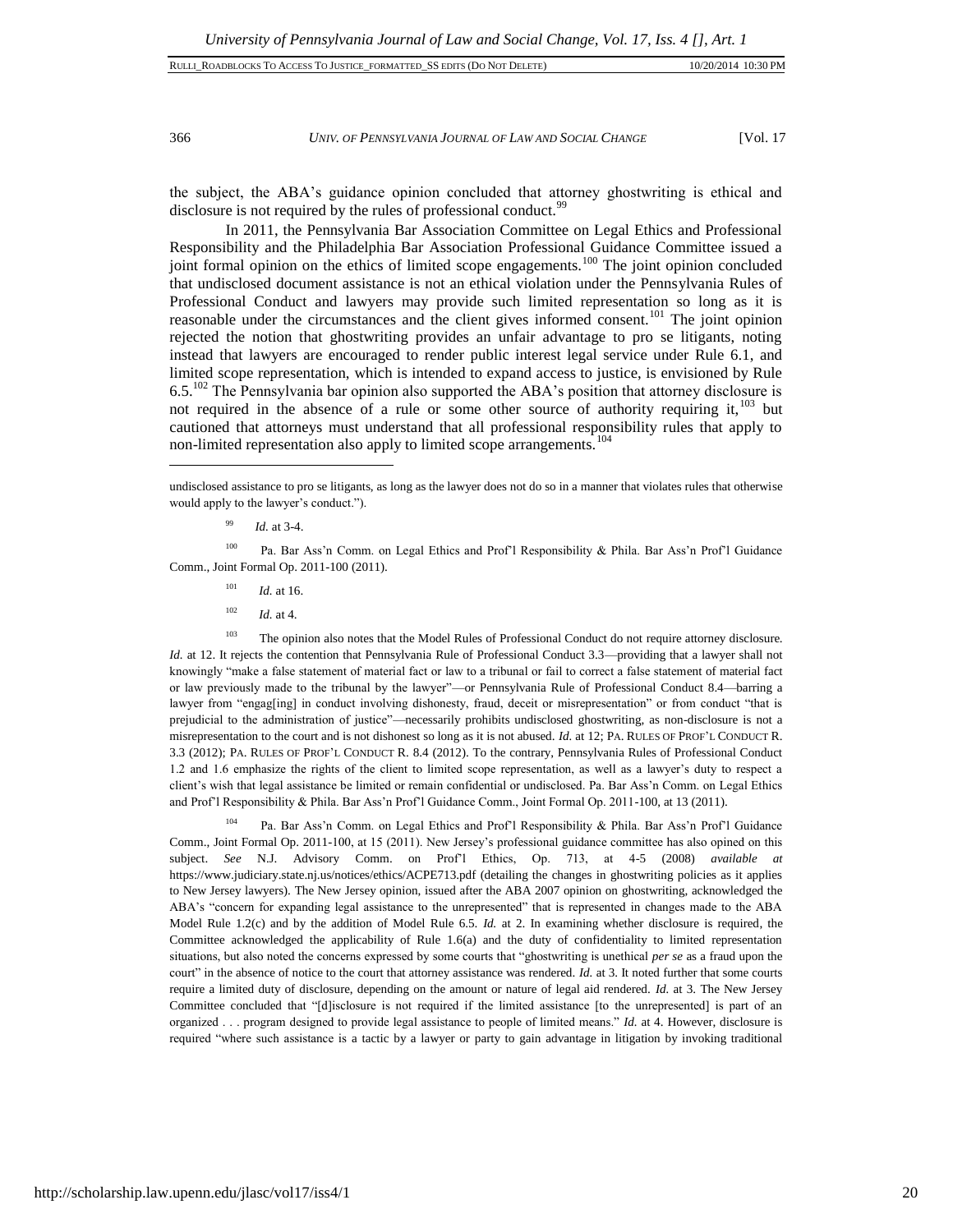| RULLI ROADBLOCKS TO ACCESS TO JUSTICE FORMATTED SS EDITS (DO NOT DELETE) | 10/20/2014 10:30 PM |  |
|--------------------------------------------------------------------------|---------------------|--|
|                                                                          |                     |  |
|                                                                          |                     |  |

 $\overline{a}$ 

366 *UNIV. OF PENNSYLVANIA JOURNAL OF LAW AND SOCIAL CHANGE* [Vol. 17

the subject, the ABA's guidance opinion concluded that attorney ghostwriting is ethical and disclosure is not required by the rules of professional conduct.<sup>99</sup>

In 2011, the Pennsylvania Bar Association Committee on Legal Ethics and Professional Responsibility and the Philadelphia Bar Association Professional Guidance Committee issued a joint formal opinion on the ethics of limited scope engagements.<sup>100</sup> The joint opinion concluded that undisclosed document assistance is not an ethical violation under the Pennsylvania Rules of Professional Conduct and lawyers may provide such limited representation so long as it is reasonable under the circumstances and the client gives informed consent.<sup>101</sup> The joint opinion rejected the notion that ghostwriting provides an unfair advantage to pro se litigants, noting instead that lawyers are encouraged to render public interest legal service under Rule 6.1, and limited scope representation, which is intended to expand access to justice, is envisioned by Rule  $6.5^{102}$  The Pennsylvania bar opinion also supported the ABA's position that attorney disclosure is not required in the absence of a rule or some other source of authority requiring it, $103$  but cautioned that attorneys must understand that all professional responsibility rules that apply to non-limited representation also apply to limited scope arrangements.<sup>104</sup>

undisclosed assistance to pro se litigants, as long as the lawyer does not do so in a manner that violates rules that otherwise would apply to the lawyer's conduct.").

<sup>99</sup> *Id.* at 3-4.

<sup>100</sup> Pa. Bar Ass'n Comm. on Legal Ethics and Prof'l Responsibility & Phila. Bar Ass'n Prof'l Guidance Comm., Joint Formal Op. 2011-100 (2011).

- <sup>101</sup> *Id.* at 16.
- $102$  *Id.* at 4.

<sup>103</sup> The opinion also notes that the Model Rules of Professional Conduct do not require attorney disclosure. *Id.* at 12. It rejects the contention that Pennsylvania Rule of Professional Conduct 3.3—providing that a lawyer shall not knowingly "make a false statement of material fact or law to a tribunal or fail to correct a false statement of material fact or law previously made to the tribunal by the lawyer"—or Pennsylvania Rule of Professional Conduct 8.4—barring a lawyer from "engag[ing] in conduct involving dishonesty, fraud, deceit or misrepresentation" or from conduct "that is prejudicial to the administration of justice"—necessarily prohibits undisclosed ghostwriting, as non-disclosure is not a misrepresentation to the court and is not dishonest so long as it is not abused. *Id.* at 12; PA. RULES OF PROF'L CONDUCT R. 3.3 (2012); PA. RULES OF PROF'L CONDUCT R. 8.4 (2012). To the contrary, Pennsylvania Rules of Professional Conduct 1.2 and 1.6 emphasize the rights of the client to limited scope representation, as well as a lawyer's duty to respect a client's wish that legal assistance be limited or remain confidential or undisclosed. Pa. Bar Ass'n Comm. on Legal Ethics and Prof'l Responsibility & Phila. Bar Ass'n Prof'l Guidance Comm., Joint Formal Op. 2011-100, at 13 (2011).

<sup>104</sup> Pa. Bar Ass'n Comm. on Legal Ethics and Prof'l Responsibility & Phila. Bar Ass'n Prof'l Guidance Comm., Joint Formal Op. 2011-100, at 15 (2011). New Jersey's professional guidance committee has also opined on this subject. *See* N.J. Advisory Comm. on Prof'l Ethics, Op. 713, at 4-5 (2008) *available at* https://www.judiciary.state.nj.us/notices/ethics/ACPE713.pdf (detailing the changes in ghostwriting policies as it applies to New Jersey lawyers). The New Jersey opinion, issued after the ABA 2007 opinion on ghostwriting, acknowledged the ABA's "concern for expanding legal assistance to the unrepresented" that is represented in changes made to the ABA Model Rule 1.2(c) and by the addition of Model Rule 6.5. *Id.* at 2. In examining whether disclosure is required, the Committee acknowledged the applicability of Rule 1.6(a) and the duty of confidentiality to limited representation situations, but also noted the concerns expressed by some courts that "ghostwriting is unethical *per se* as a fraud upon the court" in the absence of notice to the court that attorney assistance was rendered. *Id.* at 3. It noted further that some courts require a limited duty of disclosure, depending on the amount or nature of legal aid rendered. *Id.* at 3. The New Jersey Committee concluded that "[d]isclosure is not required if the limited assistance [to the unrepresented] is part of an organized . . . program designed to provide legal assistance to people of limited means." *Id.* at 4. However, disclosure is required "where such assistance is a tactic by a lawyer or party to gain advantage in litigation by invoking traditional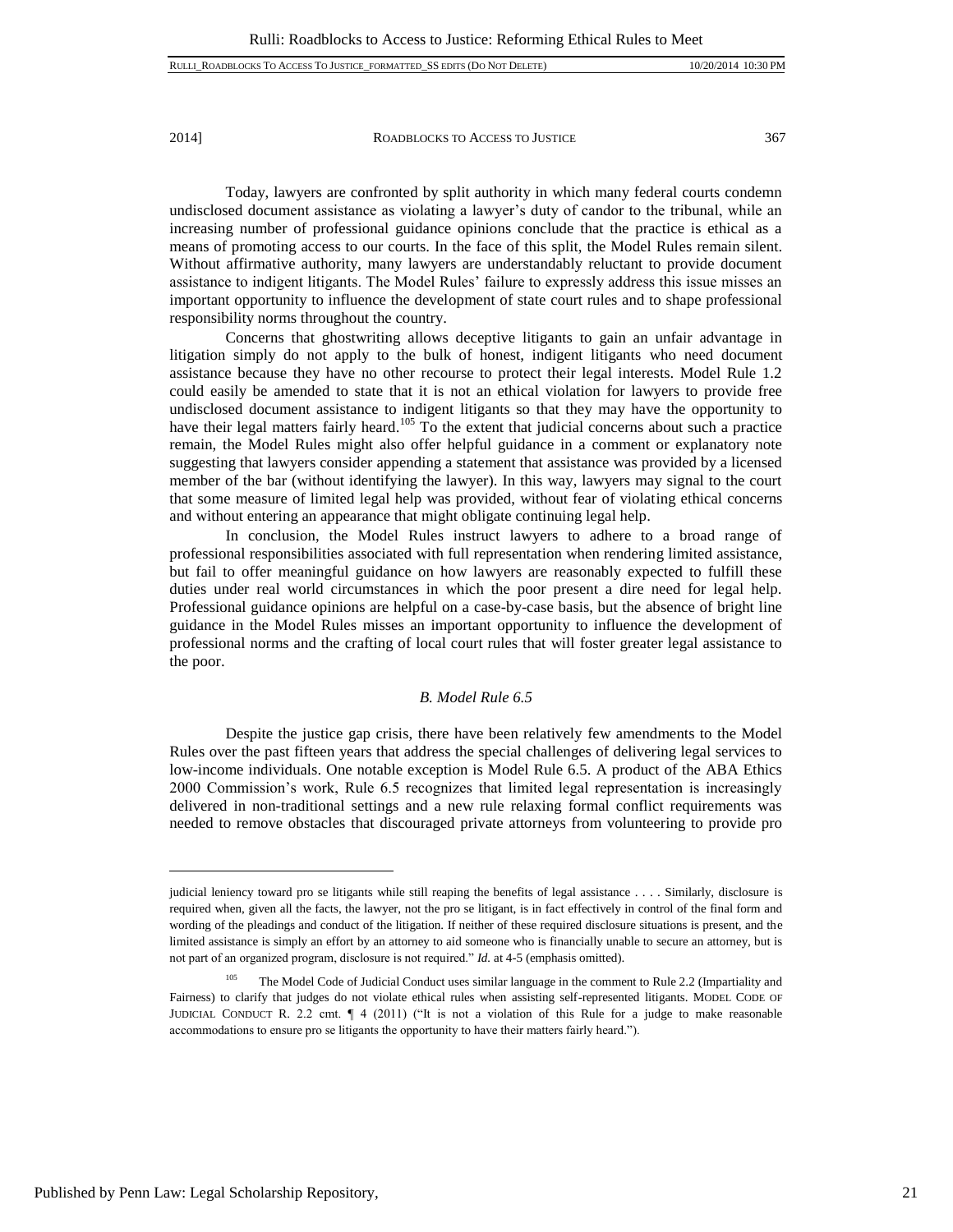Today, lawyers are confronted by split authority in which many federal courts condemn undisclosed document assistance as violating a lawyer's duty of candor to the tribunal, while an increasing number of professional guidance opinions conclude that the practice is ethical as a means of promoting access to our courts. In the face of this split, the Model Rules remain silent. Without affirmative authority, many lawyers are understandably reluctant to provide document assistance to indigent litigants. The Model Rules' failure to expressly address this issue misses an important opportunity to influence the development of state court rules and to shape professional responsibility norms throughout the country.

Concerns that ghostwriting allows deceptive litigants to gain an unfair advantage in litigation simply do not apply to the bulk of honest, indigent litigants who need document assistance because they have no other recourse to protect their legal interests. Model Rule 1.2 could easily be amended to state that it is not an ethical violation for lawyers to provide free undisclosed document assistance to indigent litigants so that they may have the opportunity to have their legal matters fairly heard.<sup>105</sup> To the extent that judicial concerns about such a practice remain, the Model Rules might also offer helpful guidance in a comment or explanatory note suggesting that lawyers consider appending a statement that assistance was provided by a licensed member of the bar (without identifying the lawyer). In this way, lawyers may signal to the court that some measure of limited legal help was provided, without fear of violating ethical concerns and without entering an appearance that might obligate continuing legal help.

In conclusion, the Model Rules instruct lawyers to adhere to a broad range of professional responsibilities associated with full representation when rendering limited assistance, but fail to offer meaningful guidance on how lawyers are reasonably expected to fulfill these duties under real world circumstances in which the poor present a dire need for legal help. Professional guidance opinions are helpful on a case-by-case basis, but the absence of bright line guidance in the Model Rules misses an important opportunity to influence the development of professional norms and the crafting of local court rules that will foster greater legal assistance to the poor.

#### *B. Model Rule 6.5*

Despite the justice gap crisis, there have been relatively few amendments to the Model Rules over the past fifteen years that address the special challenges of delivering legal services to low-income individuals. One notable exception is Model Rule 6.5. A product of the ABA Ethics 2000 Commission's work, Rule 6.5 recognizes that limited legal representation is increasingly delivered in non-traditional settings and a new rule relaxing formal conflict requirements was needed to remove obstacles that discouraged private attorneys from volunteering to provide pro

judicial leniency toward pro se litigants while still reaping the benefits of legal assistance . . . . Similarly, disclosure is required when, given all the facts, the lawyer, not the pro se litigant, is in fact effectively in control of the final form and wording of the pleadings and conduct of the litigation. If neither of these required disclosure situations is present, and the limited assistance is simply an effort by an attorney to aid someone who is financially unable to secure an attorney, but is not part of an organized program, disclosure is not required." *Id.* at 4-5 (emphasis omitted).

<sup>105</sup> The Model Code of Judicial Conduct uses similar language in the comment to Rule 2.2 (Impartiality and Fairness) to clarify that judges do not violate ethical rules when assisting self-represented litigants. MODEL CODE OF JUDICIAL CONDUCT R. 2.2 cmt. ¶ 4 (2011) ("It is not a violation of this Rule for a judge to make reasonable accommodations to ensure pro se litigants the opportunity to have their matters fairly heard.").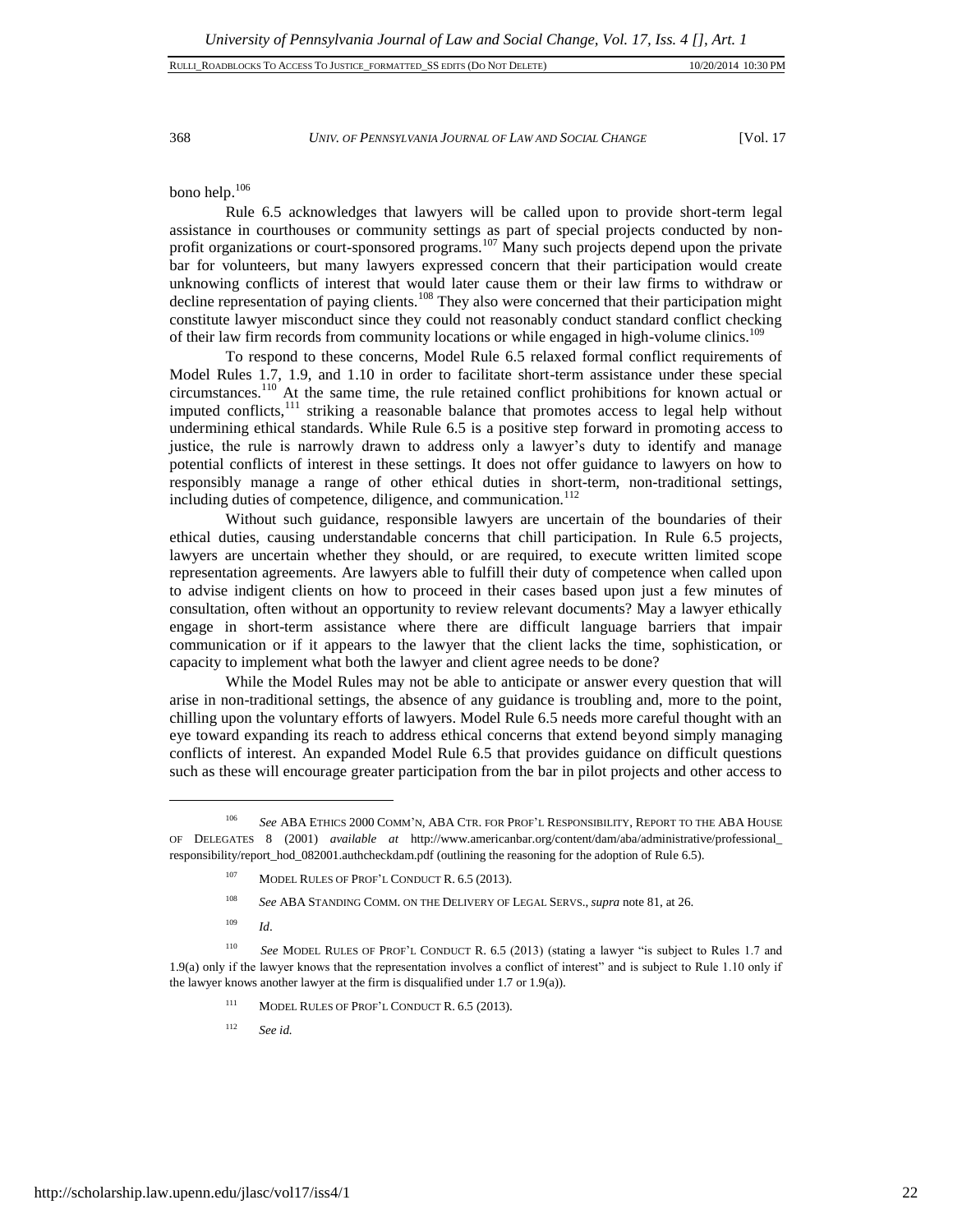368 *UNIV. OF PENNSYLVANIA JOURNAL OF LAW AND SOCIAL CHANGE* [Vol. 17

bono help.<sup>106</sup>

Rule 6.5 acknowledges that lawyers will be called upon to provide short-term legal assistance in courthouses or community settings as part of special projects conducted by nonprofit organizations or court-sponsored programs.<sup>107</sup> Many such projects depend upon the private bar for volunteers, but many lawyers expressed concern that their participation would create unknowing conflicts of interest that would later cause them or their law firms to withdraw or decline representation of paying clients.<sup>108</sup> They also were concerned that their participation might constitute lawyer misconduct since they could not reasonably conduct standard conflict checking of their law firm records from community locations or while engaged in high-volume clinics.<sup>109</sup>

To respond to these concerns, Model Rule 6.5 relaxed formal conflict requirements of Model Rules 1.7, 1.9, and 1.10 in order to facilitate short-term assistance under these special circumstances.<sup>110</sup> At the same time, the rule retained conflict prohibitions for known actual or imputed conflicts,<sup>111</sup> striking a reasonable balance that promotes access to legal help without undermining ethical standards. While Rule 6.5 is a positive step forward in promoting access to justice, the rule is narrowly drawn to address only a lawyer's duty to identify and manage potential conflicts of interest in these settings. It does not offer guidance to lawyers on how to responsibly manage a range of other ethical duties in short-term, non-traditional settings, including duties of competence, diligence, and communication.<sup>112</sup>

Without such guidance, responsible lawyers are uncertain of the boundaries of their ethical duties, causing understandable concerns that chill participation. In Rule 6.5 projects, lawyers are uncertain whether they should, or are required, to execute written limited scope representation agreements. Are lawyers able to fulfill their duty of competence when called upon to advise indigent clients on how to proceed in their cases based upon just a few minutes of consultation, often without an opportunity to review relevant documents? May a lawyer ethically engage in short-term assistance where there are difficult language barriers that impair communication or if it appears to the lawyer that the client lacks the time, sophistication, or capacity to implement what both the lawyer and client agree needs to be done?

While the Model Rules may not be able to anticipate or answer every question that will arise in non-traditional settings, the absence of any guidance is troubling and, more to the point, chilling upon the voluntary efforts of lawyers. Model Rule 6.5 needs more careful thought with an eye toward expanding its reach to address ethical concerns that extend beyond simply managing conflicts of interest. An expanded Model Rule 6.5 that provides guidance on difficult questions such as these will encourage greater participation from the bar in pilot projects and other access to

<sup>109</sup> *Id*.

- <sup>111</sup> MODEL RULES OF PROF'L CONDUCT R. 6.5 (2013).
- <sup>112</sup> *See id.*

<sup>106</sup> *See* ABA ETHICS 2000 COMM'N, ABA CTR. FOR PROF'L RESPONSIBILITY, REPORT TO THE ABA HOUSE OF DELEGATES 8 (2001) *available at* http://www.americanbar.org/content/dam/aba/administrative/professional\_ responsibility/report\_hod\_082001.authcheckdam.pdf (outlining the reasoning for the adoption of Rule 6.5).

<sup>&</sup>lt;sup>107</sup> MODEL RULES OF PROF'L CONDUCT R. 6.5 (2013).

<sup>108</sup> *See* ABA STANDING COMM. ON THE DELIVERY OF LEGAL SERVS., *supra* note 81, at 26.

<sup>110</sup> *See* MODEL RULES OF PROF'L CONDUCT R. 6.5 (2013) (stating a lawyer "is subject to Rules 1.7 and 1.9(a) only if the lawyer knows that the representation involves a conflict of interest" and is subject to Rule 1.10 only if the lawyer knows another lawyer at the firm is disqualified under 1.7 or 1.9(a)).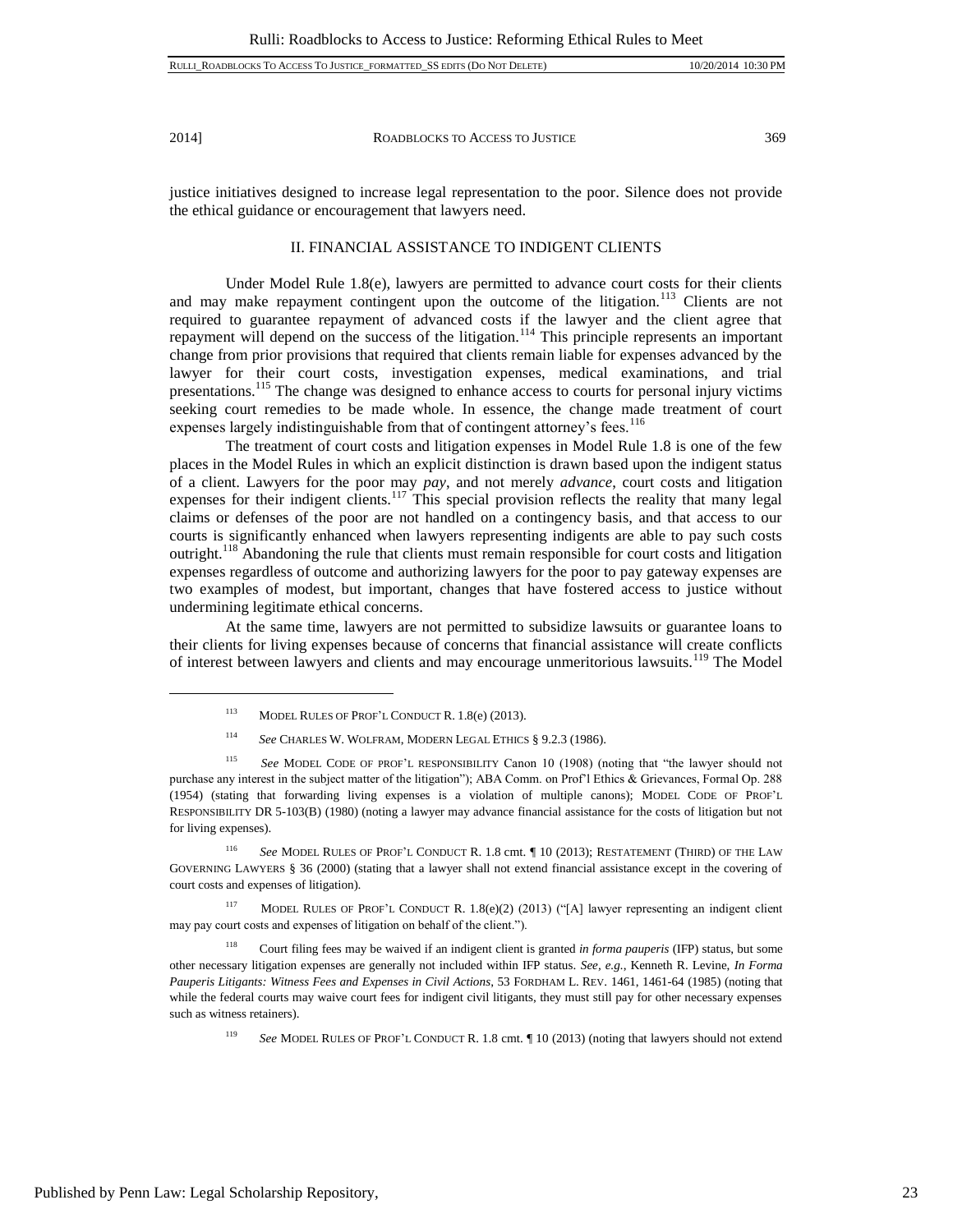$\overline{a}$ 

2014] ROADBLOCKS TO ACCESS TO JUSTICE 369

justice initiatives designed to increase legal representation to the poor. Silence does not provide the ethical guidance or encouragement that lawyers need.

# II. FINANCIAL ASSISTANCE TO INDIGENT CLIENTS

Under Model Rule 1.8(e), lawyers are permitted to advance court costs for their clients and may make repayment contingent upon the outcome of the litigation.<sup>113</sup> Clients are not required to guarantee repayment of advanced costs if the lawyer and the client agree that repayment will depend on the success of the litigation.<sup>114</sup> This principle represents an important change from prior provisions that required that clients remain liable for expenses advanced by the lawyer for their court costs, investigation expenses, medical examinations, and trial presentations.<sup>115</sup> The change was designed to enhance access to courts for personal injury victims seeking court remedies to be made whole. In essence, the change made treatment of court expenses largely indistinguishable from that of contingent attorney's fees.<sup>116</sup>

The treatment of court costs and litigation expenses in Model Rule 1.8 is one of the few places in the Model Rules in which an explicit distinction is drawn based upon the indigent status of a client. Lawyers for the poor may *pay*, and not merely *advance*, court costs and litigation expenses for their indigent clients.<sup>117</sup> This special provision reflects the reality that many legal claims or defenses of the poor are not handled on a contingency basis, and that access to our courts is significantly enhanced when lawyers representing indigents are able to pay such costs outright.<sup>118</sup> Abandoning the rule that clients must remain responsible for court costs and litigation expenses regardless of outcome and authorizing lawyers for the poor to pay gateway expenses are two examples of modest, but important, changes that have fostered access to justice without undermining legitimate ethical concerns.

At the same time, lawyers are not permitted to subsidize lawsuits or guarantee loans to their clients for living expenses because of concerns that financial assistance will create conflicts of interest between lawyers and clients and may encourage unmeritorious lawsuits.<sup>119</sup> The Model

<sup>116</sup> *See* MODEL RULES OF PROF'L CONDUCT R. 1.8 cmt. ¶ 10 (2013); RESTATEMENT (THIRD) OF THE LAW GOVERNING LAWYERS § 36 (2000) (stating that a lawyer shall not extend financial assistance except in the covering of court costs and expenses of litigation).

<sup>117</sup> MODEL RULES OF PROF'L CONDUCT R. 1.8(e)(2) (2013) ("[A] lawyer representing an indigent client may pay court costs and expenses of litigation on behalf of the client.").

<sup>118</sup> Court filing fees may be waived if an indigent client is granted *in forma pauperis* (IFP) status, but some other necessary litigation expenses are generally not included within IFP status. *See, e.g.*, Kenneth R. Levine, *In Forma Pauperis Litigants: Witness Fees and Expenses in Civil Actions*, 53 FORDHAM L. REV. 1461, 1461-64 (1985) (noting that while the federal courts may waive court fees for indigent civil litigants, they must still pay for other necessary expenses such as witness retainers).

<sup>119</sup> *See* MODEL RULES OF PROF'L CONDUCT R. 1.8 cmt. ¶ 10 (2013) (noting that lawyers should not extend

<sup>113</sup> MODEL RULES OF PROF'L CONDUCT R. 1.8(e) (2013).

<sup>114</sup> *See* CHARLES W. WOLFRAM, MODERN LEGAL ETHICS § 9.2.3 (1986).

<sup>115</sup> *See* MODEL CODE OF PROF'L RESPONSIBILITY Canon 10 (1908) (noting that "the lawyer should not purchase any interest in the subject matter of the litigation"); ABA Comm. on Prof'l Ethics & Grievances, Formal Op. 288 (1954) (stating that forwarding living expenses is a violation of multiple canons); MODEL CODE OF PROF'L RESPONSIBILITY DR 5-103(B) (1980) (noting a lawyer may advance financial assistance for the costs of litigation but not for living expenses).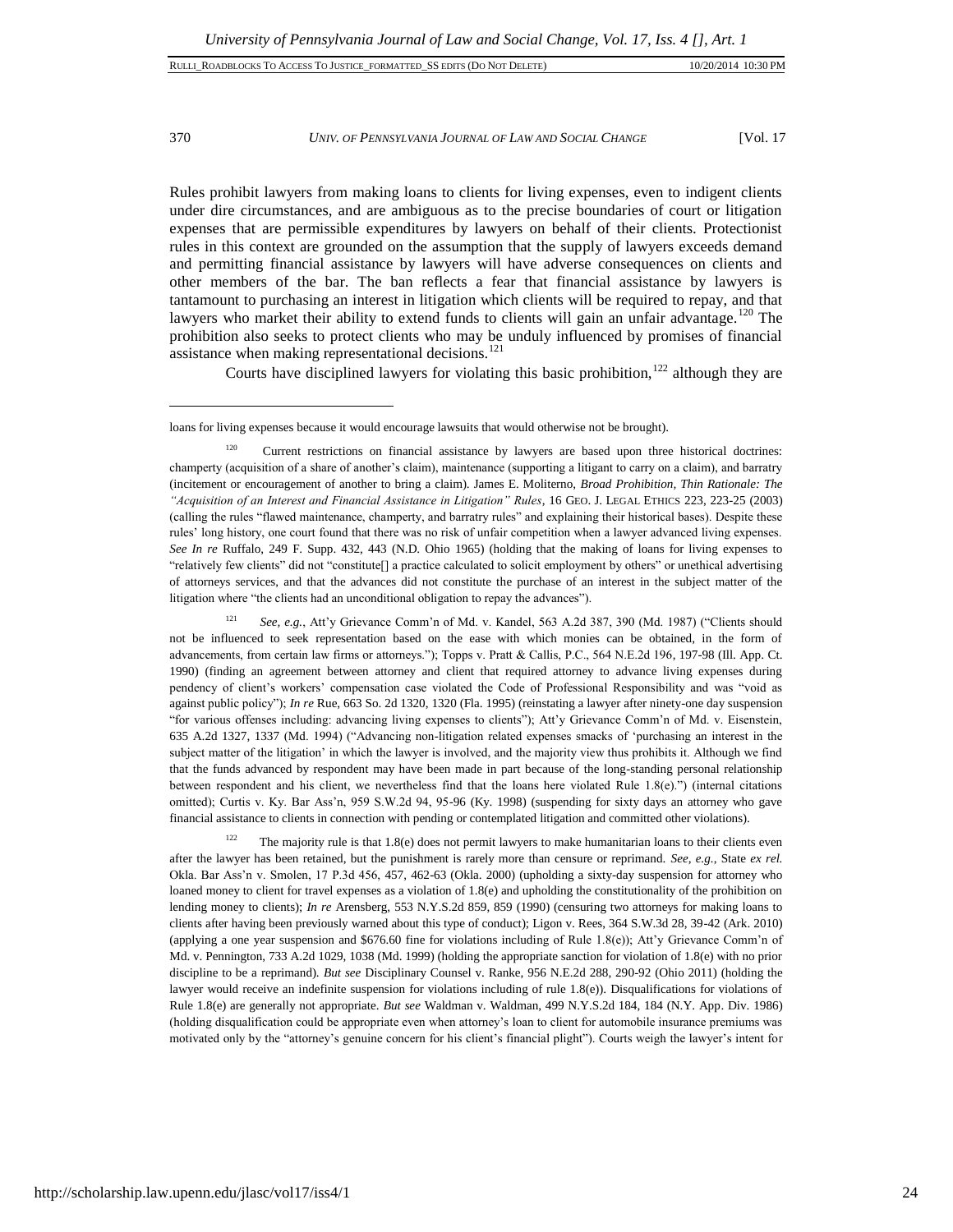| RULLI ROADBLOCKS TO ACCESS TO JUSTICE FORMATTED SS EDITS (DO NOT DELETE) | 10/20/2014 10:30 PM |  |
|--------------------------------------------------------------------------|---------------------|--|
|                                                                          |                     |  |

#### 370 *UNIV. OF PENNSYLVANIA JOURNAL OF LAW AND SOCIAL CHANGE* [Vol. 17

Rules prohibit lawyers from making loans to clients for living expenses, even to indigent clients under dire circumstances, and are ambiguous as to the precise boundaries of court or litigation expenses that are permissible expenditures by lawyers on behalf of their clients. Protectionist rules in this context are grounded on the assumption that the supply of lawyers exceeds demand and permitting financial assistance by lawyers will have adverse consequences on clients and other members of the bar. The ban reflects a fear that financial assistance by lawyers is tantamount to purchasing an interest in litigation which clients will be required to repay, and that lawyers who market their ability to extend funds to clients will gain an unfair advantage.<sup>120</sup> The prohibition also seeks to protect clients who may be unduly influenced by promises of financial assistance when making representational decisions.<sup>121</sup>

Courts have disciplined lawyers for violating this basic prohibition,<sup>122</sup> although they are

<sup>121</sup> *See, e.g.*, Att'y Grievance Comm'n of Md. v. Kandel, 563 A.2d 387, 390 (Md. 1987) ("Clients should not be influenced to seek representation based on the ease with which monies can be obtained, in the form of advancements, from certain law firms or attorneys."); Topps v. Pratt & Callis, P.C., 564 N.E.2d 196, 197-98 (Ill. App. Ct. 1990) (finding an agreement between attorney and client that required attorney to advance living expenses during pendency of client's workers' compensation case violated the Code of Professional Responsibility and was "void as against public policy"); *In re* Rue, 663 So. 2d 1320, 1320 (Fla. 1995) (reinstating a lawyer after ninety-one day suspension "for various offenses including: advancing living expenses to clients"); Att'y Grievance Comm'n of Md. v. Eisenstein, 635 A.2d 1327, 1337 (Md. 1994) ("Advancing non-litigation related expenses smacks of 'purchasing an interest in the subject matter of the litigation' in which the lawyer is involved, and the majority view thus prohibits it. Although we find that the funds advanced by respondent may have been made in part because of the long-standing personal relationship between respondent and his client, we nevertheless find that the loans here violated Rule 1.8(e).") (internal citations omitted); Curtis v. Ky. Bar Ass'n, 959 S.W.2d 94, 95-96 (Ky. 1998) (suspending for sixty days an attorney who gave financial assistance to clients in connection with pending or contemplated litigation and committed other violations).

 $122$  The majority rule is that 1.8(e) does not permit lawyers to make humanitarian loans to their clients even after the lawyer has been retained, but the punishment is rarely more than censure or reprimand. *See, e.g.*, State *ex rel.* Okla. Bar Ass'n v. Smolen, 17 P.3d 456, 457, 462-63 (Okla. 2000) (upholding a sixty-day suspension for attorney who loaned money to client for travel expenses as a violation of 1.8(e) and upholding the constitutionality of the prohibition on lending money to clients); *In re* Arensberg, 553 N.Y.S.2d 859, 859 (1990) (censuring two attorneys for making loans to clients after having been previously warned about this type of conduct); Ligon v. Rees, 364 S.W.3d 28, 39-42 (Ark. 2010) (applying a one year suspension and \$676.60 fine for violations including of Rule 1.8(e)); Att'y Grievance Comm'n of Md. v. Pennington, 733 A.2d 1029, 1038 (Md. 1999) (holding the appropriate sanction for violation of 1.8(e) with no prior discipline to be a reprimand). *But see* Disciplinary Counsel v. Ranke, 956 N.E.2d 288, 290-92 (Ohio 2011) (holding the lawyer would receive an indefinite suspension for violations including of rule 1.8(e)). Disqualifications for violations of Rule 1.8(e) are generally not appropriate. *But see* Waldman v. Waldman, 499 N.Y.S.2d 184, 184 (N.Y. App. Div. 1986) (holding disqualification could be appropriate even when attorney's loan to client for automobile insurance premiums was motivated only by the "attorney's genuine concern for his client's financial plight"). Courts weigh the lawyer's intent for

loans for living expenses because it would encourage lawsuits that would otherwise not be brought).

<sup>&</sup>lt;sup>120</sup> Current restrictions on financial assistance by lawyers are based upon three historical doctrines: champerty (acquisition of a share of another's claim), maintenance (supporting a litigant to carry on a claim), and barratry (incitement or encouragement of another to bring a claim). James E. Moliterno, *Broad Prohibition, Thin Rationale: The "Acquisition of an Interest and Financial Assistance in Litigation" Rules*, 16 GEO. J. LEGAL ETHICS 223, 223-25 (2003) (calling the rules "flawed maintenance, champerty, and barratry rules" and explaining their historical bases). Despite these rules' long history, one court found that there was no risk of unfair competition when a lawyer advanced living expenses. *See In re* Ruffalo, 249 F. Supp. 432, 443 (N.D. Ohio 1965) (holding that the making of loans for living expenses to "relatively few clients" did not "constitute[] a practice calculated to solicit employment by others" or unethical advertising of attorneys services, and that the advances did not constitute the purchase of an interest in the subject matter of the litigation where "the clients had an unconditional obligation to repay the advances").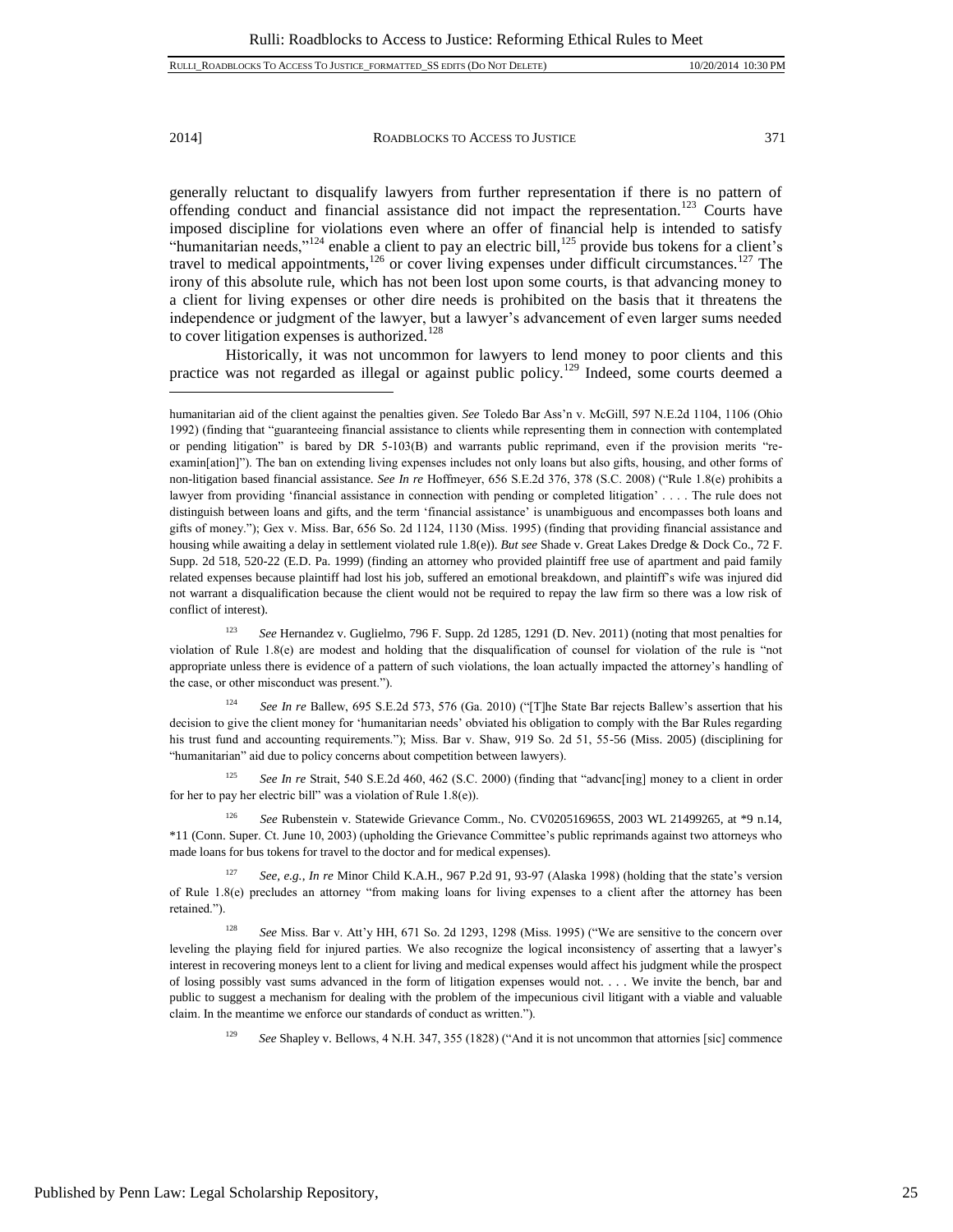$\overline{a}$ 

2014] ROADBLOCKS TO ACCESS TO JUSTICE 371

generally reluctant to disqualify lawyers from further representation if there is no pattern of offending conduct and financial assistance did not impact the representation.<sup>123</sup> Courts have imposed discipline for violations even where an offer of financial help is intended to satisfy "humanitarian needs,"<sup>124</sup> enable a client to pay an electric bill,<sup>125</sup> provide bus tokens for a client's travel to medical appointments,<sup>126</sup> or cover living expenses under difficult circumstances.<sup>127</sup> The irony of this absolute rule, which has not been lost upon some courts, is that advancing money to a client for living expenses or other dire needs is prohibited on the basis that it threatens the independence or judgment of the lawyer, but a lawyer's advancement of even larger sums needed to cover litigation expenses is authorized.<sup>128</sup>

Historically, it was not uncommon for lawyers to lend money to poor clients and this practice was not regarded as illegal or against public policy.<sup>129</sup> Indeed, some courts deemed a

<sup>125</sup> *See In re* Strait, 540 S.E.2d 460, 462 (S.C. 2000) (finding that "advanc[ing] money to a client in order for her to pay her electric bill" was a violation of Rule 1.8(e)).

humanitarian aid of the client against the penalties given. *See* Toledo Bar Ass'n v. McGill, 597 N.E.2d 1104, 1106 (Ohio 1992) (finding that "guaranteeing financial assistance to clients while representing them in connection with contemplated or pending litigation" is bared by DR 5-103(B) and warrants public reprimand, even if the provision merits "reexamin[ation]"). The ban on extending living expenses includes not only loans but also gifts, housing, and other forms of non-litigation based financial assistance. *See In re* Hoffmeyer, 656 S.E.2d 376, 378 (S.C. 2008) ("Rule 1.8(e) prohibits a lawyer from providing 'financial assistance in connection with pending or completed litigation' . . . . The rule does not distinguish between loans and gifts, and the term 'financial assistance' is unambiguous and encompasses both loans and gifts of money."); Gex v. Miss. Bar, 656 So. 2d 1124, 1130 (Miss. 1995) (finding that providing financial assistance and housing while awaiting a delay in settlement violated rule 1.8(e)). *But see* Shade v. Great Lakes Dredge & Dock Co., 72 F. Supp. 2d 518, 520-22 (E.D. Pa. 1999) (finding an attorney who provided plaintiff free use of apartment and paid family related expenses because plaintiff had lost his job, suffered an emotional breakdown, and plaintiff's wife was injured did not warrant a disqualification because the client would not be required to repay the law firm so there was a low risk of conflict of interest).

<sup>123</sup> *See* Hernandez v. Guglielmo, 796 F. Supp. 2d 1285, 1291 (D. Nev. 2011) (noting that most penalties for violation of Rule 1.8(e) are modest and holding that the disqualification of counsel for violation of the rule is "not appropriate unless there is evidence of a pattern of such violations, the loan actually impacted the attorney's handling of the case, or other misconduct was present.").

<sup>124</sup> *See In re* Ballew, 695 S.E.2d 573, 576 (Ga. 2010) ("[T]he State Bar rejects Ballew's assertion that his decision to give the client money for 'humanitarian needs' obviated his obligation to comply with the Bar Rules regarding his trust fund and accounting requirements."); Miss. Bar v. Shaw, 919 So. 2d 51, 55-56 (Miss. 2005) (disciplining for "humanitarian" aid due to policy concerns about competition between lawyers).

<sup>&</sup>lt;sup>126</sup> *See* Rubenstein v. Statewide Grievance Comm., No. CV020516965S, 2003 WL 21499265, at \*9 n.14, \*11 (Conn. Super. Ct. June 10, 2003) (upholding the Grievance Committee's public reprimands against two attorneys who made loans for bus tokens for travel to the doctor and for medical expenses).

<sup>127</sup> *See, e.g.*, *In re* Minor Child K.A.H., 967 P.2d 91, 93-97 (Alaska 1998) (holding that the state's version of Rule 1.8(e) precludes an attorney "from making loans for living expenses to a client after the attorney has been retained.").

<sup>128</sup> *See* Miss. Bar v. Att'y HH, 671 So. 2d 1293, 1298 (Miss. 1995) ("We are sensitive to the concern over leveling the playing field for injured parties. We also recognize the logical inconsistency of asserting that a lawyer's interest in recovering moneys lent to a client for living and medical expenses would affect his judgment while the prospect of losing possibly vast sums advanced in the form of litigation expenses would not. . . . We invite the bench, bar and public to suggest a mechanism for dealing with the problem of the impecunious civil litigant with a viable and valuable claim. In the meantime we enforce our standards of conduct as written.").

<sup>129</sup> *See* Shapley v. Bellows, 4 N.H. 347, 355 (1828) ("And it is not uncommon that attornies [sic] commence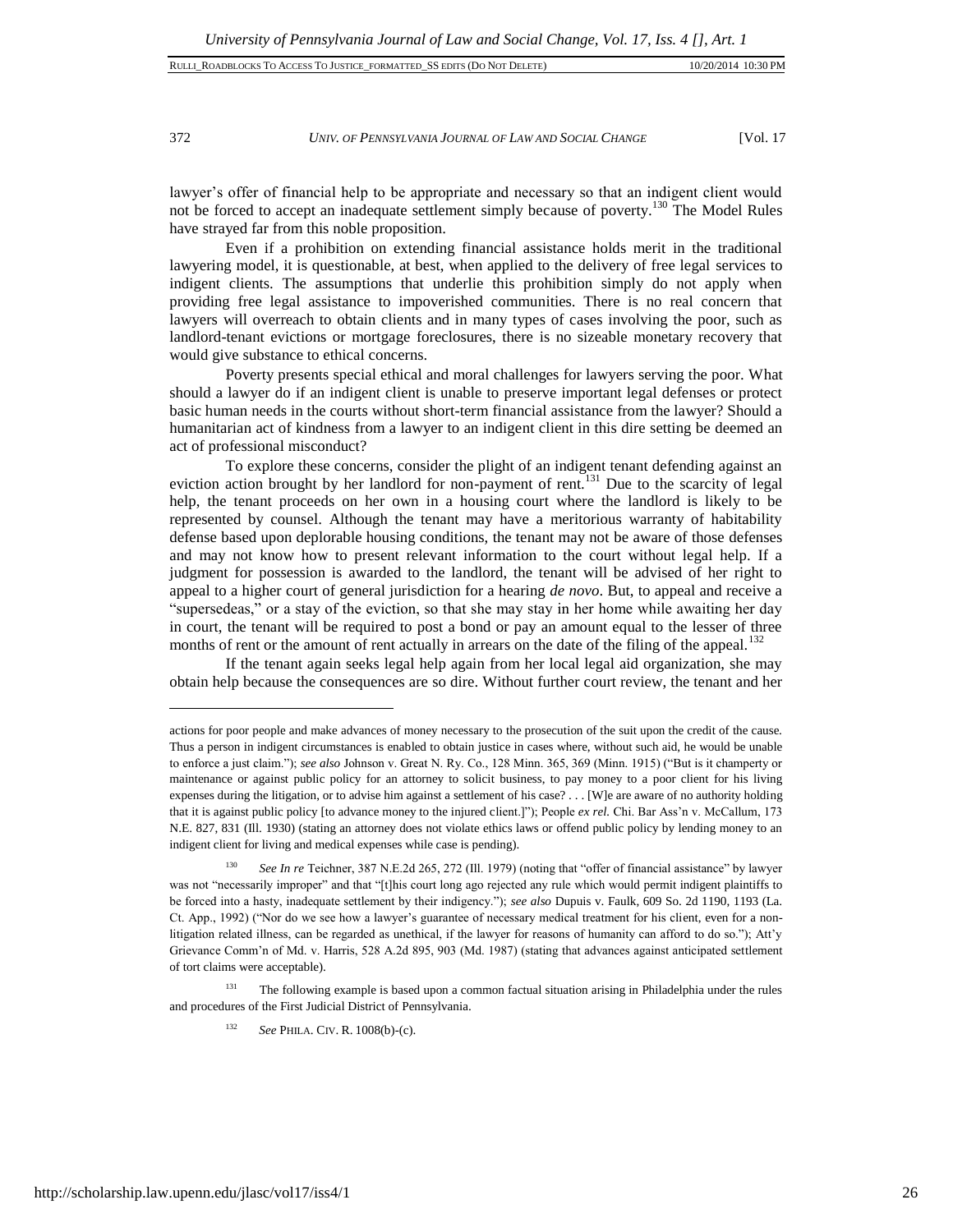# 372 *UNIV. OF PENNSYLVANIA JOURNAL OF LAW AND SOCIAL CHANGE* [Vol. 17

lawyer's offer of financial help to be appropriate and necessary so that an indigent client would not be forced to accept an inadequate settlement simply because of poverty.<sup>130</sup> The Model Rules have strayed far from this noble proposition.

Even if a prohibition on extending financial assistance holds merit in the traditional lawyering model, it is questionable, at best, when applied to the delivery of free legal services to indigent clients. The assumptions that underlie this prohibition simply do not apply when providing free legal assistance to impoverished communities. There is no real concern that lawyers will overreach to obtain clients and in many types of cases involving the poor, such as landlord-tenant evictions or mortgage foreclosures, there is no sizeable monetary recovery that would give substance to ethical concerns.

Poverty presents special ethical and moral challenges for lawyers serving the poor. What should a lawyer do if an indigent client is unable to preserve important legal defenses or protect basic human needs in the courts without short-term financial assistance from the lawyer? Should a humanitarian act of kindness from a lawyer to an indigent client in this dire setting be deemed an act of professional misconduct?

To explore these concerns, consider the plight of an indigent tenant defending against an eviction action brought by her landlord for non-payment of rent.<sup>131</sup> Due to the scarcity of legal help, the tenant proceeds on her own in a housing court where the landlord is likely to be represented by counsel. Although the tenant may have a meritorious warranty of habitability defense based upon deplorable housing conditions, the tenant may not be aware of those defenses and may not know how to present relevant information to the court without legal help. If a judgment for possession is awarded to the landlord, the tenant will be advised of her right to appeal to a higher court of general jurisdiction for a hearing *de novo*. But, to appeal and receive a "supersedeas," or a stay of the eviction, so that she may stay in her home while awaiting her day in court, the tenant will be required to post a bond or pay an amount equal to the lesser of three months of rent or the amount of rent actually in arrears on the date of the filing of the appeal.<sup>132</sup>

If the tenant again seeks legal help again from her local legal aid organization, she may obtain help because the consequences are so dire. Without further court review, the tenant and her

<sup>131</sup> The following example is based upon a common factual situation arising in Philadelphia under the rules and procedures of the First Judicial District of Pennsylvania.

actions for poor people and make advances of money necessary to the prosecution of the suit upon the credit of the cause. Thus a person in indigent circumstances is enabled to obtain justice in cases where, without such aid, he would be unable to enforce a just claim."); *see also* Johnson v. Great N. Ry. Co., 128 Minn. 365, 369 (Minn. 1915) ("But is it champerty or maintenance or against public policy for an attorney to solicit business, to pay money to a poor client for his living expenses during the litigation, or to advise him against a settlement of his case? . . . [W]e are aware of no authority holding that it is against public policy [to advance money to the injured client.]"); People *ex rel.* Chi. Bar Ass'n v. McCallum, 173 N.E. 827, 831 (Ill. 1930) (stating an attorney does not violate ethics laws or offend public policy by lending money to an indigent client for living and medical expenses while case is pending).

<sup>130</sup> *See In re* Teichner, 387 N.E.2d 265, 272 (Ill. 1979) (noting that "offer of financial assistance" by lawyer was not "necessarily improper" and that "[t]his court long ago rejected any rule which would permit indigent plaintiffs to be forced into a hasty, inadequate settlement by their indigency."); *see also* Dupuis v. Faulk, 609 So. 2d 1190, 1193 (La. Ct. App., 1992) ("Nor do we see how a lawyer's guarantee of necessary medical treatment for his client, even for a nonlitigation related illness, can be regarded as unethical, if the lawyer for reasons of humanity can afford to do so."); Att'y Grievance Comm'n of Md. v. Harris, 528 A.2d 895, 903 (Md. 1987) (stating that advances against anticipated settlement of tort claims were acceptable).

<sup>132</sup> *See* PHILA. CIV. R. 1008(b)-(c).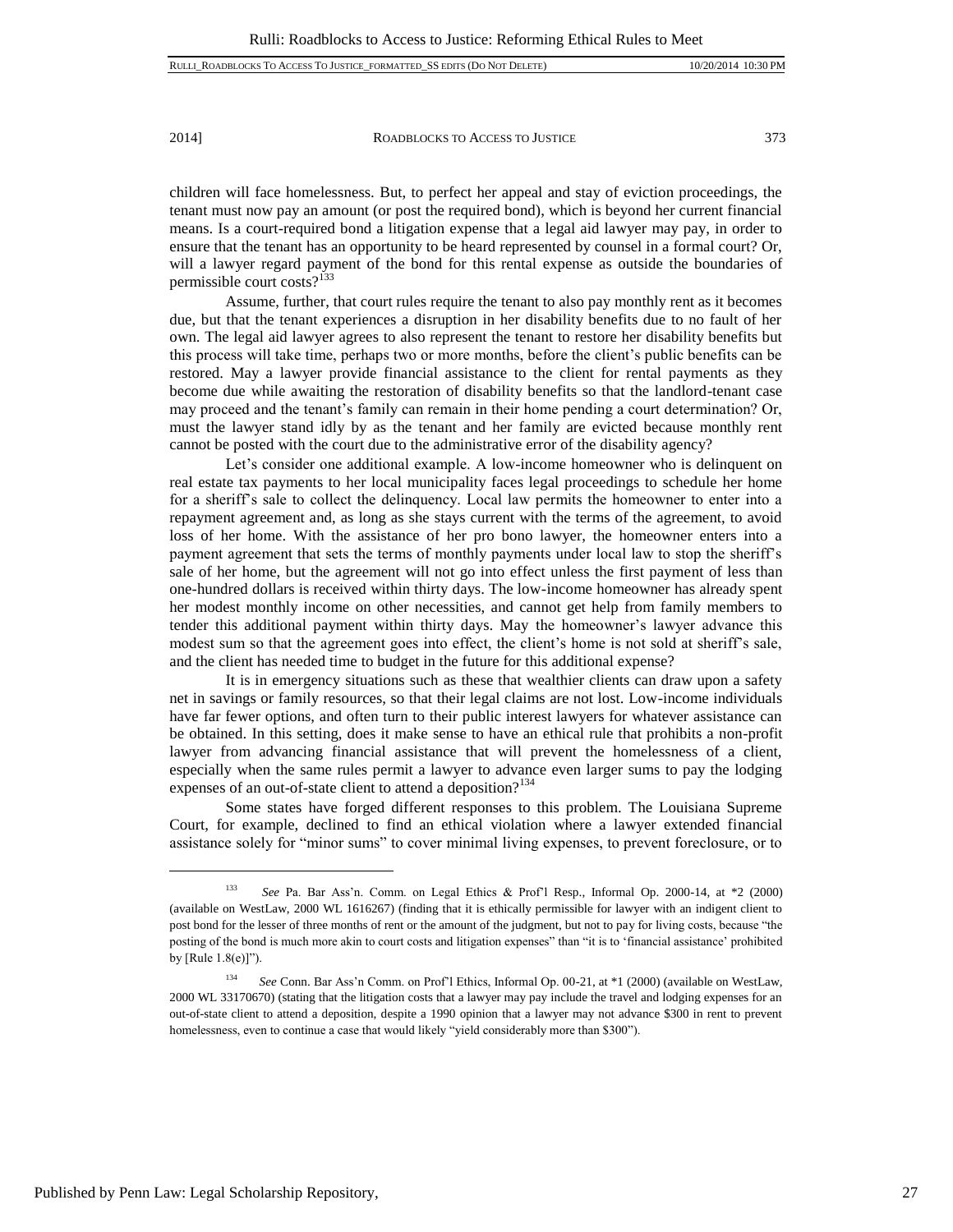children will face homelessness. But, to perfect her appeal and stay of eviction proceedings, the tenant must now pay an amount (or post the required bond), which is beyond her current financial means. Is a court-required bond a litigation expense that a legal aid lawyer may pay, in order to ensure that the tenant has an opportunity to be heard represented by counsel in a formal court? Or, will a lawyer regard payment of the bond for this rental expense as outside the boundaries of permissible court costs?<sup>133</sup>

Assume, further, that court rules require the tenant to also pay monthly rent as it becomes due, but that the tenant experiences a disruption in her disability benefits due to no fault of her own. The legal aid lawyer agrees to also represent the tenant to restore her disability benefits but this process will take time, perhaps two or more months, before the client's public benefits can be restored. May a lawyer provide financial assistance to the client for rental payments as they become due while awaiting the restoration of disability benefits so that the landlord-tenant case may proceed and the tenant's family can remain in their home pending a court determination? Or, must the lawyer stand idly by as the tenant and her family are evicted because monthly rent cannot be posted with the court due to the administrative error of the disability agency?

Let's consider one additional example. A low-income homeowner who is delinquent on real estate tax payments to her local municipality faces legal proceedings to schedule her home for a sheriff's sale to collect the delinquency. Local law permits the homeowner to enter into a repayment agreement and, as long as she stays current with the terms of the agreement, to avoid loss of her home. With the assistance of her pro bono lawyer, the homeowner enters into a payment agreement that sets the terms of monthly payments under local law to stop the sheriff's sale of her home, but the agreement will not go into effect unless the first payment of less than one-hundred dollars is received within thirty days. The low-income homeowner has already spent her modest monthly income on other necessities, and cannot get help from family members to tender this additional payment within thirty days. May the homeowner's lawyer advance this modest sum so that the agreement goes into effect, the client's home is not sold at sheriff's sale, and the client has needed time to budget in the future for this additional expense?

It is in emergency situations such as these that wealthier clients can draw upon a safety net in savings or family resources, so that their legal claims are not lost. Low-income individuals have far fewer options, and often turn to their public interest lawyers for whatever assistance can be obtained. In this setting, does it make sense to have an ethical rule that prohibits a non-profit lawyer from advancing financial assistance that will prevent the homelessness of a client, especially when the same rules permit a lawyer to advance even larger sums to pay the lodging expenses of an out-of-state client to attend a deposition? $134$ 

Some states have forged different responses to this problem. The Louisiana Supreme Court, for example, declined to find an ethical violation where a lawyer extended financial assistance solely for "minor sums" to cover minimal living expenses, to prevent foreclosure, or to

<sup>133</sup> *See* Pa. Bar Ass'n. Comm. on Legal Ethics & Prof'l Resp., Informal Op. 2000-14, at \*2 (2000) (available on WestLaw, 2000 WL 1616267) (finding that it is ethically permissible for lawyer with an indigent client to post bond for the lesser of three months of rent or the amount of the judgment, but not to pay for living costs, because "the posting of the bond is much more akin to court costs and litigation expenses" than "it is to 'financial assistance' prohibited by [Rule 1.8(e)]").

<sup>134</sup> *See* Conn. Bar Ass'n Comm. on Prof'l Ethics, Informal Op. 00-21, at \*1 (2000) (available on WestLaw, 2000 WL 33170670) (stating that the litigation costs that a lawyer may pay include the travel and lodging expenses for an out-of-state client to attend a deposition, despite a 1990 opinion that a lawyer may not advance \$300 in rent to prevent homelessness, even to continue a case that would likely "yield considerably more than \$300").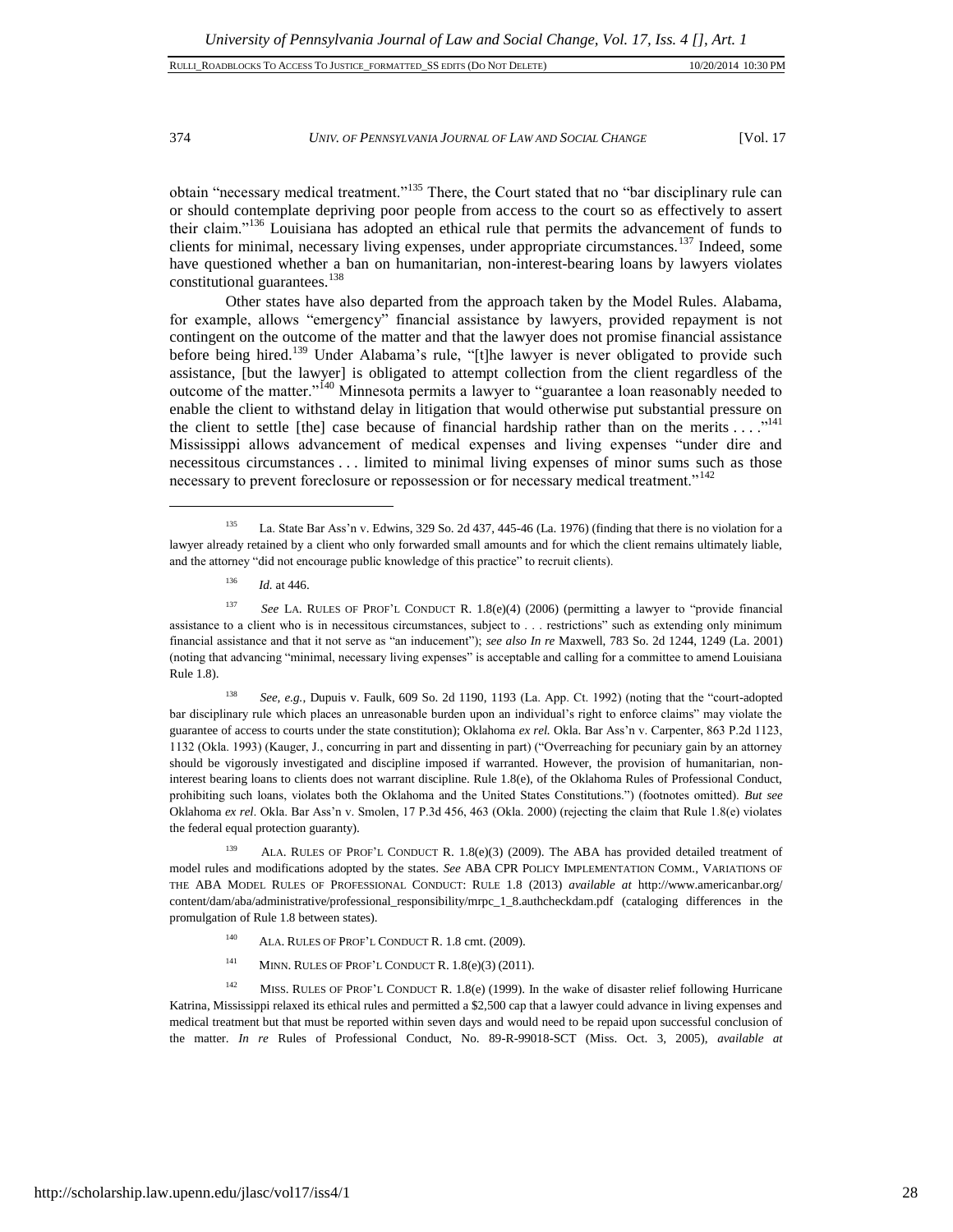# 374 *UNIV. OF PENNSYLVANIA JOURNAL OF LAW AND SOCIAL CHANGE* [Vol. 17

obtain "necessary medical treatment."<sup>135</sup> There, the Court stated that no "bar disciplinary rule can or should contemplate depriving poor people from access to the court so as effectively to assert their claim."<sup>136</sup> Louisiana has adopted an ethical rule that permits the advancement of funds to clients for minimal, necessary living expenses, under appropriate circumstances.<sup>137</sup> Indeed, some have questioned whether a ban on humanitarian, non-interest-bearing loans by lawyers violates constitutional guarantees.<sup>138</sup>

Other states have also departed from the approach taken by the Model Rules. Alabama, for example, allows "emergency" financial assistance by lawyers, provided repayment is not contingent on the outcome of the matter and that the lawyer does not promise financial assistance before being hired.<sup>139</sup> Under Alabama's rule, "[t]he lawyer is never obligated to provide such assistance, [but the lawyer] is obligated to attempt collection from the client regardless of the outcome of the matter."<sup>140</sup> Minnesota permits a lawyer to "guarantee a loan reasonably needed to enable the client to withstand delay in litigation that would otherwise put substantial pressure on the client to settle [the] case because of financial hardship rather than on the merits . . . ."<sup>141</sup> Mississippi allows advancement of medical expenses and living expenses "under dire and necessitous circumstances . . . limited to minimal living expenses of minor sums such as those necessary to prevent foreclosure or repossession or for necessary medical treatment."<sup>142</sup>

 $136$  *Id.* at 446.

l

<sup>138</sup> *See, e.g.*, Dupuis v. Faulk, 609 So. 2d 1190, 1193 (La. App. Ct. 1992) (noting that the "court-adopted bar disciplinary rule which places an unreasonable burden upon an individual's right to enforce claims" may violate the guarantee of access to courts under the state constitution); Oklahoma *ex rel.* Okla. Bar Ass'n v. Carpenter, 863 P.2d 1123, 1132 (Okla. 1993) (Kauger, J., concurring in part and dissenting in part) ("Overreaching for pecuniary gain by an attorney should be vigorously investigated and discipline imposed if warranted. However, the provision of humanitarian, noninterest bearing loans to clients does not warrant discipline. Rule 1.8(e), of the Oklahoma Rules of Professional Conduct, prohibiting such loans, violates both the Oklahoma and the United States Constitutions.") (footnotes omitted). *But see* Oklahoma *ex rel*. Okla. Bar Ass'n v. Smolen, 17 P.3d 456, 463 (Okla. 2000) (rejecting the claim that Rule 1.8(e) violates the federal equal protection guaranty).

<sup>139</sup> ALA. RULES OF PROF'L CONDUCT R. 1.8(e)(3) (2009). The ABA has provided detailed treatment of model rules and modifications adopted by the states. *See* ABA CPR POLICY IMPLEMENTATION COMM., VARIATIONS OF THE ABA MODEL RULES OF PROFESSIONAL CONDUCT: RULE 1.8 (2013) *available at* http://www.americanbar.org/ content/dam/aba/administrative/professional\_responsibility/mrpc\_1\_8.authcheckdam.pdf (cataloging differences in the promulgation of Rule 1.8 between states).

- <sup>140</sup> ALA. RULES OF PROF'L CONDUCT R. 1.8 cmt. (2009).
- <sup>141</sup> MINN. RULES OF PROF'L CONDUCT R.  $1.8(e)(3)$  (2011).

<sup>142</sup> MISS. RULES OF PROF'L CONDUCT R. 1.8(e) (1999). In the wake of disaster relief following Hurricane Katrina, Mississippi relaxed its ethical rules and permitted a \$2,500 cap that a lawyer could advance in living expenses and medical treatment but that must be reported within seven days and would need to be repaid upon successful conclusion of the matter. *In re* Rules of Professional Conduct, No. 89-R-99018-SCT (Miss. Oct. 3, 2005), *available at*

<sup>135</sup> La. State Bar Ass'n v. Edwins, 329 So. 2d 437, 445-46 (La. 1976) (finding that there is no violation for a lawyer already retained by a client who only forwarded small amounts and for which the client remains ultimately liable, and the attorney "did not encourage public knowledge of this practice" to recruit clients).

<sup>137</sup> *See* LA. RULES OF PROF'L CONDUCT R. 1.8(e)(4) (2006) (permitting a lawyer to "provide financial assistance to a client who is in necessitous circumstances, subject to . . . restrictions" such as extending only minimum financial assistance and that it not serve as "an inducement"); *see also In re* Maxwell, 783 So. 2d 1244, 1249 (La. 2001) (noting that advancing "minimal, necessary living expenses" is acceptable and calling for a committee to amend Louisiana Rule 1.8).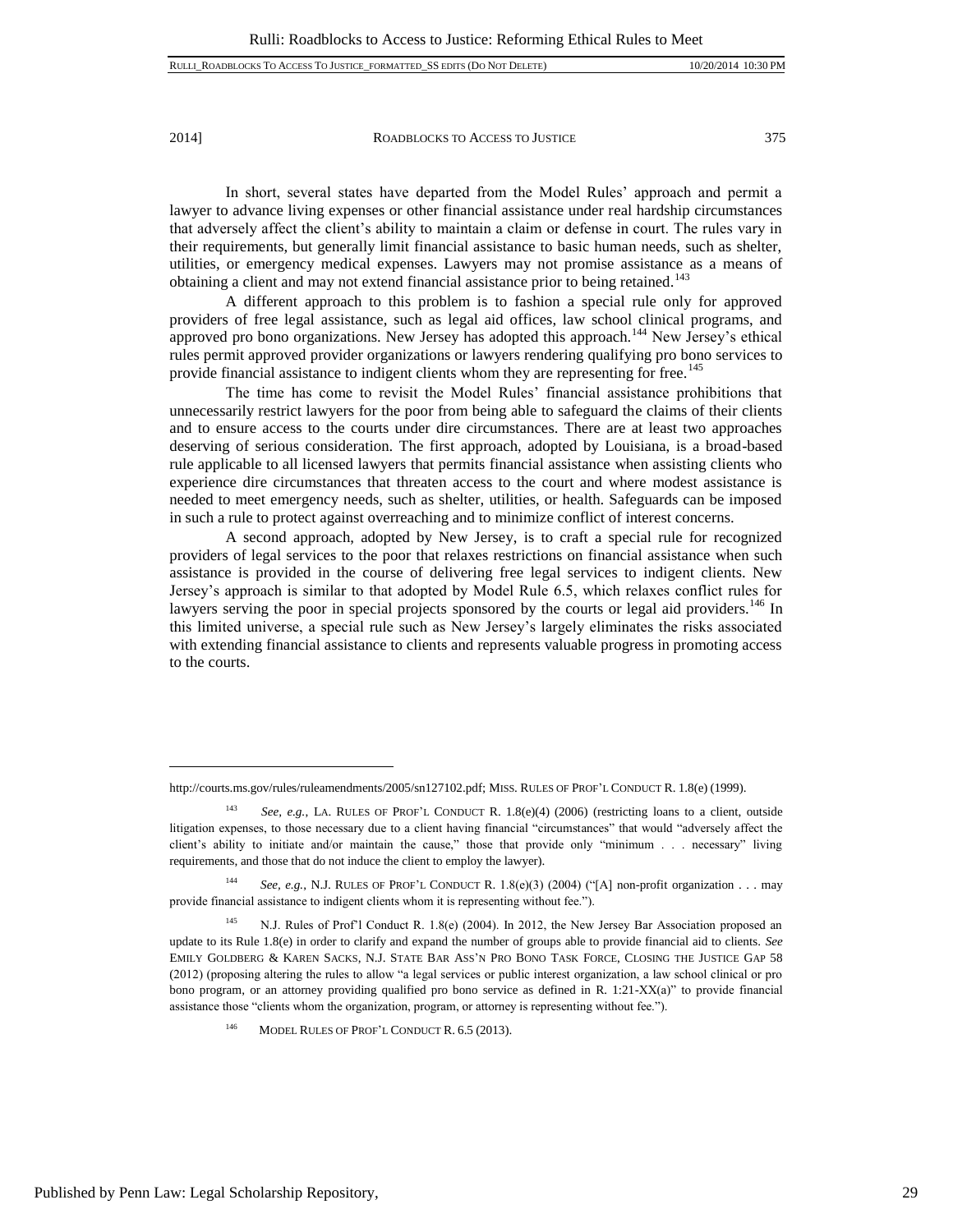In short, several states have departed from the Model Rules' approach and permit a lawyer to advance living expenses or other financial assistance under real hardship circumstances that adversely affect the client's ability to maintain a claim or defense in court. The rules vary in their requirements, but generally limit financial assistance to basic human needs, such as shelter, utilities, or emergency medical expenses. Lawyers may not promise assistance as a means of obtaining a client and may not extend financial assistance prior to being retained.<sup>143</sup>

A different approach to this problem is to fashion a special rule only for approved providers of free legal assistance, such as legal aid offices, law school clinical programs, and approved pro bono organizations. New Jersey has adopted this approach.<sup>144</sup> New Jersey's ethical rules permit approved provider organizations or lawyers rendering qualifying pro bono services to provide financial assistance to indigent clients whom they are representing for free.<sup>145</sup>

The time has come to revisit the Model Rules' financial assistance prohibitions that unnecessarily restrict lawyers for the poor from being able to safeguard the claims of their clients and to ensure access to the courts under dire circumstances. There are at least two approaches deserving of serious consideration. The first approach, adopted by Louisiana, is a broad-based rule applicable to all licensed lawyers that permits financial assistance when assisting clients who experience dire circumstances that threaten access to the court and where modest assistance is needed to meet emergency needs, such as shelter, utilities, or health. Safeguards can be imposed in such a rule to protect against overreaching and to minimize conflict of interest concerns.

A second approach, adopted by New Jersey, is to craft a special rule for recognized providers of legal services to the poor that relaxes restrictions on financial assistance when such assistance is provided in the course of delivering free legal services to indigent clients. New Jersey's approach is similar to that adopted by Model Rule 6.5, which relaxes conflict rules for lawyers serving the poor in special projects sponsored by the courts or legal aid providers.<sup>146</sup> In this limited universe, a special rule such as New Jersey's largely eliminates the risks associated with extending financial assistance to clients and represents valuable progress in promoting access to the courts.

http://courts.ms.gov/rules/ruleamendments/2005/sn127102.pdf; MISS. RULES OF PROF'L CONDUCT R. 1.8(e) (1999).

<sup>143</sup> *See, e.g.*, LA. RULES OF PROF'L CONDUCT R. 1.8(e)(4) (2006) (restricting loans to a client, outside litigation expenses, to those necessary due to a client having financial "circumstances" that would "adversely affect the client's ability to initiate and/or maintain the cause," those that provide only "minimum . . . necessary" living requirements, and those that do not induce the client to employ the lawyer).

<sup>144</sup> *See, e.g.*, N.J. RULES OF PROF'L CONDUCT R. 1.8(e)(3) (2004) ("[A] non-profit organization . . . may provide financial assistance to indigent clients whom it is representing without fee.").

<sup>&</sup>lt;sup>145</sup> N.J. Rules of Prof'l Conduct R. 1.8(e) (2004). In 2012, the New Jersey Bar Association proposed an update to its Rule 1.8(e) in order to clarify and expand the number of groups able to provide financial aid to clients. *See*  EMILY GOLDBERG & KAREN SACKS, N.J. STATE BAR ASS'N PRO BONO TASK FORCE, CLOSING THE JUSTICE GAP 58 (2012) (proposing altering the rules to allow "a legal services or public interest organization, a law school clinical or pro bono program, or an attorney providing qualified pro bono service as defined in R. 1:21-XX(a)" to provide financial assistance those "clients whom the organization, program, or attorney is representing without fee.").

MODEL RULES OF PROF'L CONDUCT R. 6.5 (2013).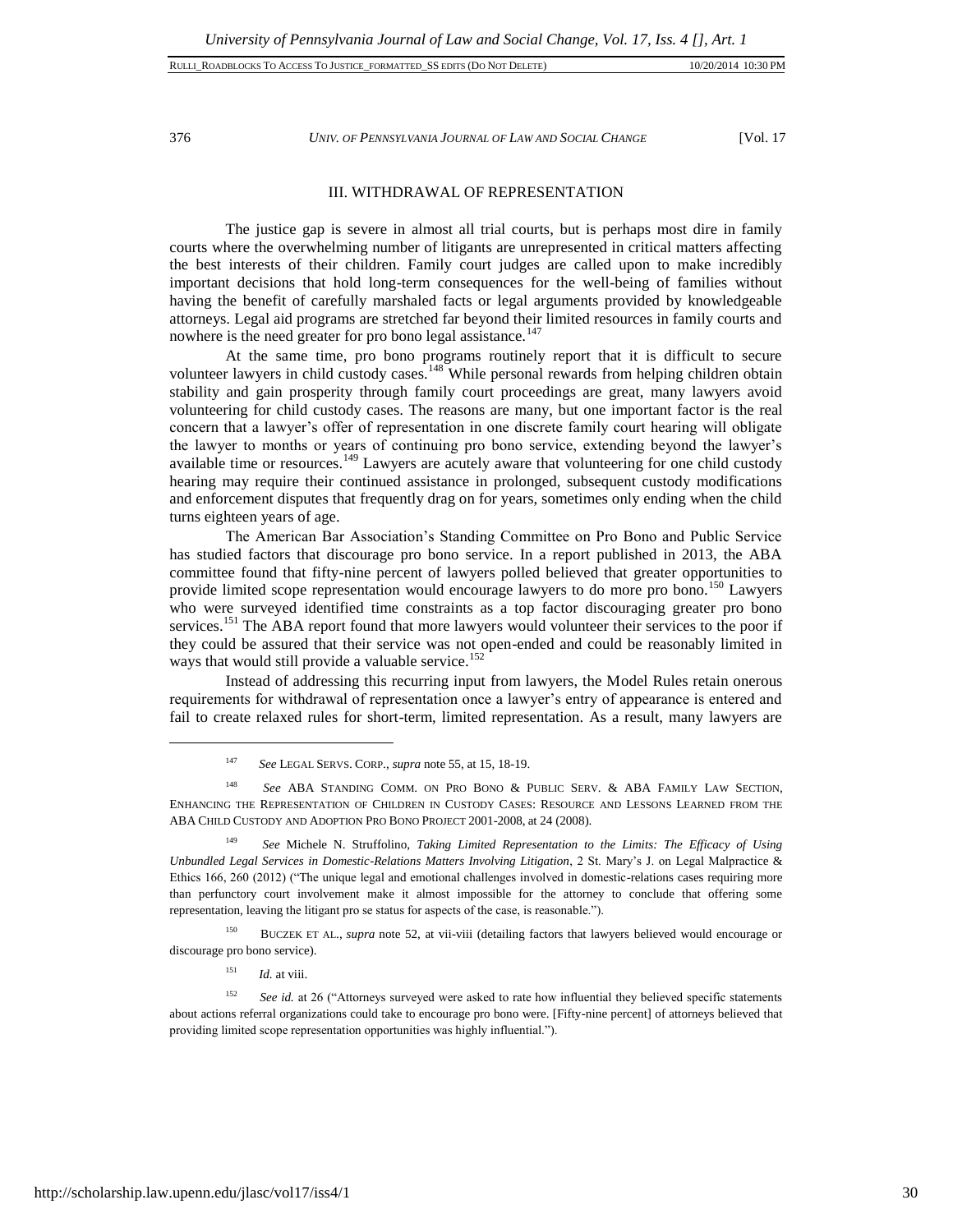376 *UNIV. OF PENNSYLVANIA JOURNAL OF LAW AND SOCIAL CHANGE* [Vol. 17

# III. WITHDRAWAL OF REPRESENTATION

The justice gap is severe in almost all trial courts, but is perhaps most dire in family courts where the overwhelming number of litigants are unrepresented in critical matters affecting the best interests of their children. Family court judges are called upon to make incredibly important decisions that hold long-term consequences for the well-being of families without having the benefit of carefully marshaled facts or legal arguments provided by knowledgeable attorneys. Legal aid programs are stretched far beyond their limited resources in family courts and nowhere is the need greater for pro bono legal assistance.<sup>147</sup>

At the same time, pro bono programs routinely report that it is difficult to secure volunteer lawyers in child custody cases.<sup>148</sup> While personal rewards from helping children obtain stability and gain prosperity through family court proceedings are great, many lawyers avoid volunteering for child custody cases. The reasons are many, but one important factor is the real concern that a lawyer's offer of representation in one discrete family court hearing will obligate the lawyer to months or years of continuing pro bono service, extending beyond the lawyer's available time or resources.<sup>149</sup> Lawyers are acutely aware that volunteering for one child custody hearing may require their continued assistance in prolonged, subsequent custody modifications and enforcement disputes that frequently drag on for years, sometimes only ending when the child turns eighteen years of age.

The American Bar Association's Standing Committee on Pro Bono and Public Service has studied factors that discourage pro bono service. In a report published in 2013, the ABA committee found that fifty-nine percent of lawyers polled believed that greater opportunities to provide limited scope representation would encourage lawyers to do more pro bono.<sup>150</sup> Lawyers who were surveyed identified time constraints as a top factor discouraging greater pro bono services.<sup>151</sup> The ABA report found that more lawyers would volunteer their services to the poor if they could be assured that their service was not open-ended and could be reasonably limited in ways that would still provide a valuable service.<sup>152</sup>

Instead of addressing this recurring input from lawyers, the Model Rules retain onerous requirements for withdrawal of representation once a lawyer's entry of appearance is entered and fail to create relaxed rules for short-term, limited representation. As a result, many lawyers are

<sup>148</sup> *See* ABA STANDING COMM. ON PRO BONO & PUBLIC SERV. & ABA FAMILY LAW SECTION, ENHANCING THE REPRESENTATION OF CHILDREN IN CUSTODY CASES: RESOURCE AND LESSONS LEARNED FROM THE ABA CHILD CUSTODY AND ADOPTION PRO BONO PROJECT 2001-2008, at 24 (2008).

<sup>149</sup> *See* Michele N. Struffolino, *Taking Limited Representation to the Limits: The Efficacy of Using Unbundled Legal Services in Domestic-Relations Matters Involving Litigation*, 2 St. Mary's J. on Legal Malpractice & Ethics 166, 260 (2012) ("The unique legal and emotional challenges involved in domestic-relations cases requiring more than perfunctory court involvement make it almost impossible for the attorney to conclude that offering some representation, leaving the litigant pro se status for aspects of the case, is reasonable.").

<sup>150</sup> BUCZEK ET AL., *supra* note 52, at vii-viii (detailing factors that lawyers believed would encourage or discourage pro bono service).

 $151$  *Id.* at viii.

<sup>152</sup> *See id.* at 26 ("Attorneys surveyed were asked to rate how influential they believed specific statements about actions referral organizations could take to encourage pro bono were. [Fifty-nine percent] of attorneys believed that providing limited scope representation opportunities was highly influential.").

<sup>147</sup> *See* LEGAL SERVS. CORP., *supra* note 55, at 15, 18-19.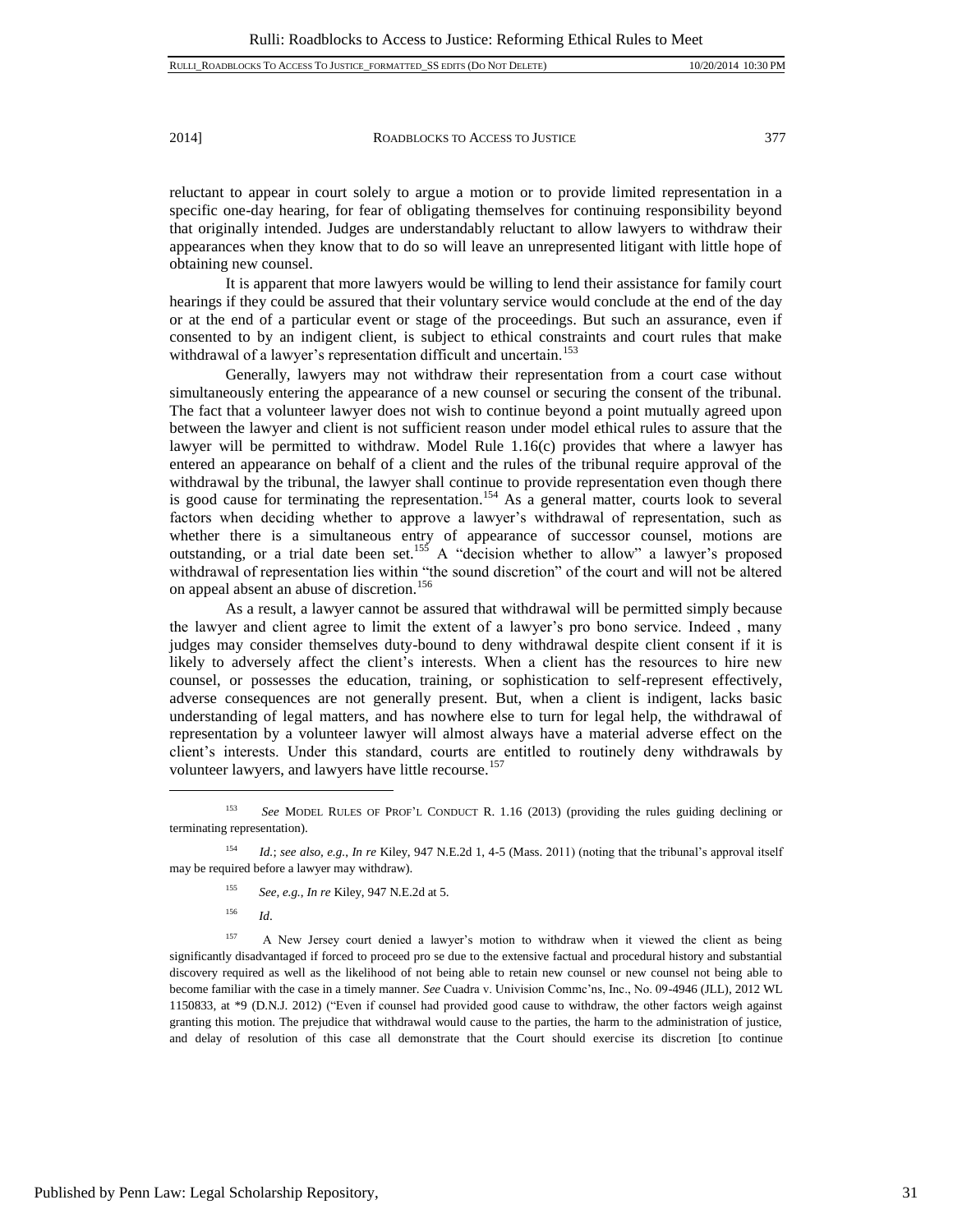reluctant to appear in court solely to argue a motion or to provide limited representation in a specific one-day hearing, for fear of obligating themselves for continuing responsibility beyond that originally intended. Judges are understandably reluctant to allow lawyers to withdraw their appearances when they know that to do so will leave an unrepresented litigant with little hope of obtaining new counsel.

It is apparent that more lawyers would be willing to lend their assistance for family court hearings if they could be assured that their voluntary service would conclude at the end of the day or at the end of a particular event or stage of the proceedings. But such an assurance, even if consented to by an indigent client, is subject to ethical constraints and court rules that make withdrawal of a lawyer's representation difficult and uncertain.<sup>153</sup>

Generally, lawyers may not withdraw their representation from a court case without simultaneously entering the appearance of a new counsel or securing the consent of the tribunal. The fact that a volunteer lawyer does not wish to continue beyond a point mutually agreed upon between the lawyer and client is not sufficient reason under model ethical rules to assure that the lawyer will be permitted to withdraw. Model Rule  $1.16(c)$  provides that where a lawyer has entered an appearance on behalf of a client and the rules of the tribunal require approval of the withdrawal by the tribunal, the lawyer shall continue to provide representation even though there is good cause for terminating the representation. <sup>154</sup> As a general matter, courts look to several factors when deciding whether to approve a lawyer's withdrawal of representation, such as whether there is a simultaneous entry of appearance of successor counsel, motions are outstanding, or a trial date been set.<sup>155</sup> A "decision whether to allow" a lawyer's proposed withdrawal of representation lies within "the sound discretion" of the court and will not be altered on appeal absent an abuse of discretion.<sup>156</sup>

As a result, a lawyer cannot be assured that withdrawal will be permitted simply because the lawyer and client agree to limit the extent of a lawyer's pro bono service. Indeed , many judges may consider themselves duty-bound to deny withdrawal despite client consent if it is likely to adversely affect the client's interests. When a client has the resources to hire new counsel, or possesses the education, training, or sophistication to self-represent effectively, adverse consequences are not generally present. But, when a client is indigent, lacks basic understanding of legal matters, and has nowhere else to turn for legal help, the withdrawal of representation by a volunteer lawyer will almost always have a material adverse effect on the client's interests. Under this standard, courts are entitled to routinely deny withdrawals by volunteer lawyers, and lawyers have little recourse.<sup>157</sup>

- <sup>155</sup> *See, e.g.*, *In re* Kiley, 947 N.E.2d at 5.
- <sup>156</sup> *Id*.

 $\overline{a}$ 

<sup>157</sup> A New Jersey court denied a lawyer's motion to withdraw when it viewed the client as being significantly disadvantaged if forced to proceed pro se due to the extensive factual and procedural history and substantial discovery required as well as the likelihood of not being able to retain new counsel or new counsel not being able to become familiar with the case in a timely manner. *See* Cuadra v. Univision Commc'ns, Inc., No. 09-4946 (JLL), 2012 WL 1150833, at \*9 (D.N.J. 2012) ("Even if counsel had provided good cause to withdraw, the other factors weigh against granting this motion. The prejudice that withdrawal would cause to the parties, the harm to the administration of justice, and delay of resolution of this case all demonstrate that the Court should exercise its discretion [to continue

<sup>153</sup> *See* MODEL RULES OF PROF'L CONDUCT R. 1.16 (2013) (providing the rules guiding declining or terminating representation).

<sup>154</sup> *Id.*; *see also, e.g.*, *In re* Kiley, 947 N.E.2d 1, 4-5 (Mass. 2011) (noting that the tribunal's approval itself may be required before a lawyer may withdraw).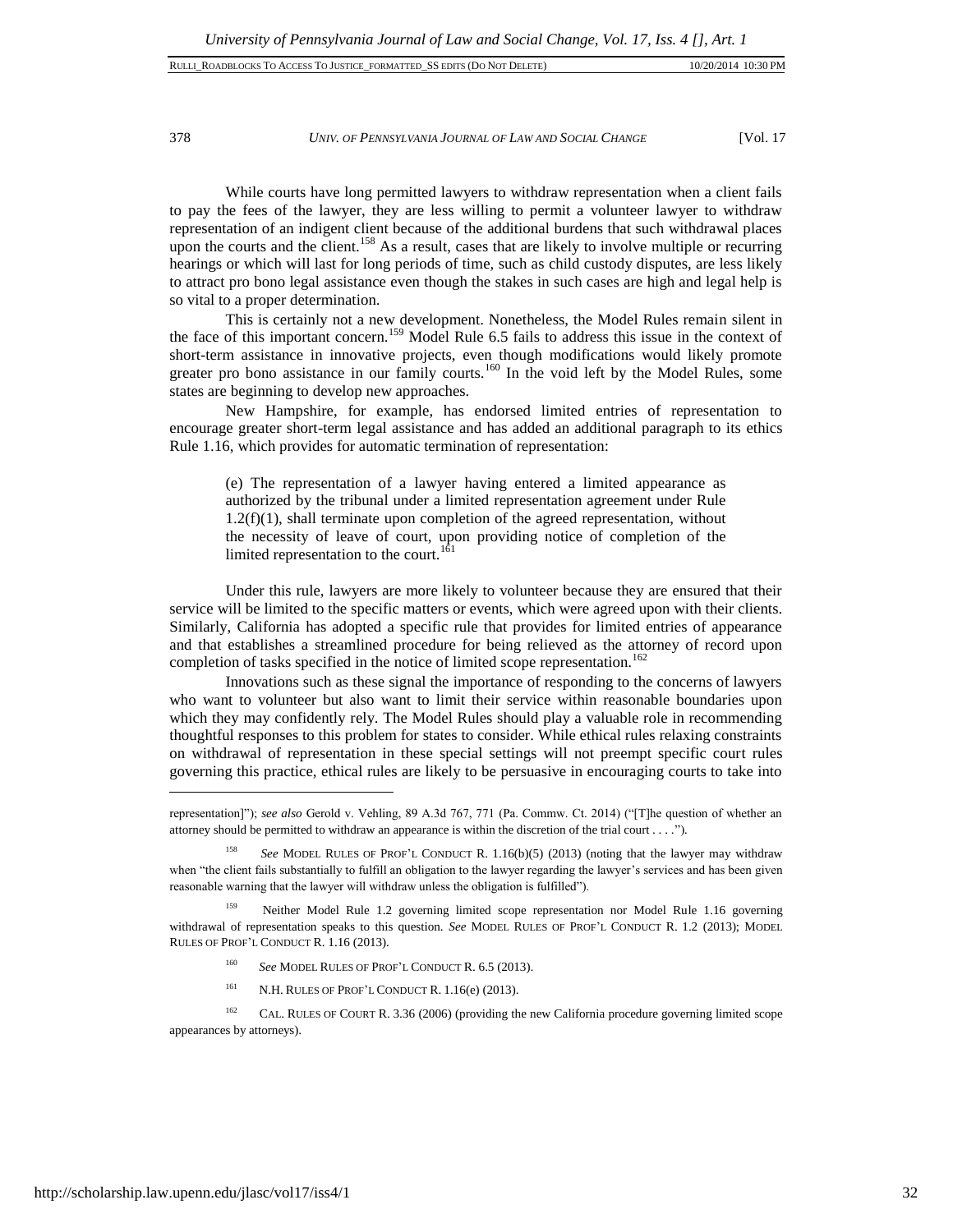| RULLI ROADBLOCKS TO ACCESS TO JUSTICE FORMATTED SS EDITS (DO NOT DELETE) | 10/20/2014 10:30 PM |
|--------------------------------------------------------------------------|---------------------|
|                                                                          |                     |

#### 378 *UNIV. OF PENNSYLVANIA JOURNAL OF LAW AND SOCIAL CHANGE* [Vol. 17

While courts have long permitted lawyers to withdraw representation when a client fails to pay the fees of the lawyer, they are less willing to permit a volunteer lawyer to withdraw representation of an indigent client because of the additional burdens that such withdrawal places upon the courts and the client.<sup>158</sup> As a result, cases that are likely to involve multiple or recurring hearings or which will last for long periods of time, such as child custody disputes, are less likely to attract pro bono legal assistance even though the stakes in such cases are high and legal help is so vital to a proper determination.

This is certainly not a new development. Nonetheless, the Model Rules remain silent in the face of this important concern.<sup>159</sup> Model Rule 6.5 fails to address this issue in the context of short-term assistance in innovative projects, even though modifications would likely promote greater pro bono assistance in our family courts.<sup>160</sup> In the void left by the Model Rules, some states are beginning to develop new approaches.

New Hampshire, for example, has endorsed limited entries of representation to encourage greater short-term legal assistance and has added an additional paragraph to its ethics Rule 1.16, which provides for automatic termination of representation:

(e) The representation of a lawyer having entered a limited appearance as authorized by the tribunal under a limited representation agreement under Rule  $1.2(f)(1)$ , shall terminate upon completion of the agreed representation, without the necessity of leave of court, upon providing notice of completion of the limited representation to the court.<sup>161</sup>

Under this rule, lawyers are more likely to volunteer because they are ensured that their service will be limited to the specific matters or events, which were agreed upon with their clients. Similarly, California has adopted a specific rule that provides for limited entries of appearance and that establishes a streamlined procedure for being relieved as the attorney of record upon completion of tasks specified in the notice of limited scope representation.<sup>162</sup>

Innovations such as these signal the importance of responding to the concerns of lawyers who want to volunteer but also want to limit their service within reasonable boundaries upon which they may confidently rely. The Model Rules should play a valuable role in recommending thoughtful responses to this problem for states to consider. While ethical rules relaxing constraints on withdrawal of representation in these special settings will not preempt specific court rules governing this practice, ethical rules are likely to be persuasive in encouraging courts to take into

- <sup>160</sup> *See* MODEL RULES OF PROF'L CONDUCT R. 6.5 (2013).
- <sup>161</sup> N.H. RULES OF PROF'L CONDUCT R.  $1.16(e)$  (2013).

<sup>162</sup> CAL. RULES OF COURT R. 3.36 (2006) (providing the new California procedure governing limited scope appearances by attorneys).

representation]"); *see also* Gerold v. Vehling, 89 A.3d 767, 771 (Pa. Commw. Ct. 2014) ("[T]he question of whether an attorney should be permitted to withdraw an appearance is within the discretion of the trial court . . . .")*.*

<sup>158</sup> *See* MODEL RULES OF PROF'L CONDUCT R. 1.16(b)(5) (2013) (noting that the lawyer may withdraw when "the client fails substantially to fulfill an obligation to the lawyer regarding the lawyer's services and has been given reasonable warning that the lawyer will withdraw unless the obligation is fulfilled").

Neither Model Rule 1.2 governing limited scope representation nor Model Rule 1.16 governing withdrawal of representation speaks to this question. *See* MODEL RULES OF PROF'L CONDUCT R. 1.2 (2013); MODEL RULES OF PROF'L CONDUCT R. 1.16 (2013).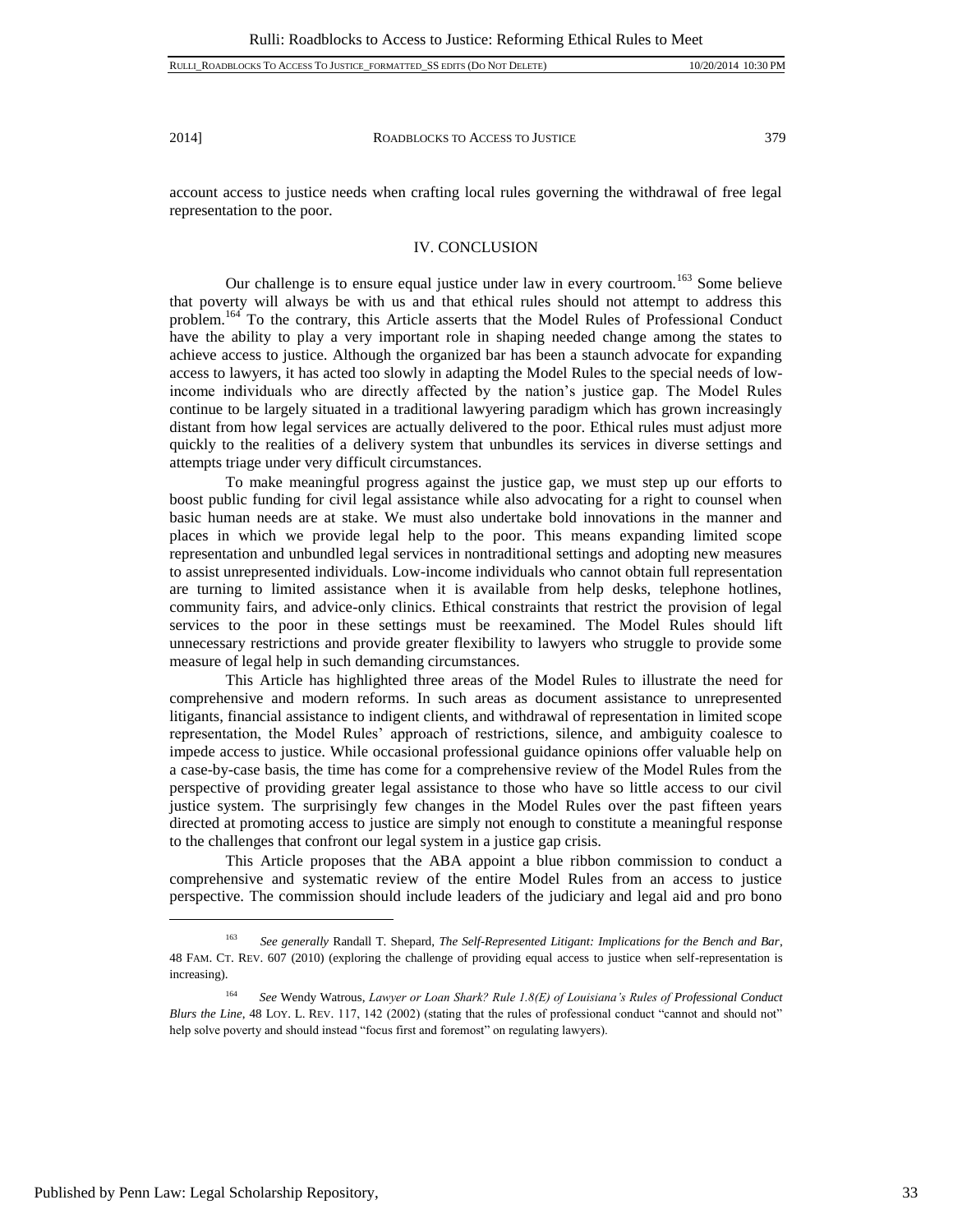account access to justice needs when crafting local rules governing the withdrawal of free legal representation to the poor.

# IV. CONCLUSION

Our challenge is to ensure equal justice under law in every courtroom.<sup>163</sup> Some believe that poverty will always be with us and that ethical rules should not attempt to address this problem.<sup>164</sup> To the contrary, this Article asserts that the Model Rules of Professional Conduct have the ability to play a very important role in shaping needed change among the states to achieve access to justice. Although the organized bar has been a staunch advocate for expanding access to lawyers, it has acted too slowly in adapting the Model Rules to the special needs of lowincome individuals who are directly affected by the nation's justice gap. The Model Rules continue to be largely situated in a traditional lawyering paradigm which has grown increasingly distant from how legal services are actually delivered to the poor. Ethical rules must adjust more quickly to the realities of a delivery system that unbundles its services in diverse settings and attempts triage under very difficult circumstances.

To make meaningful progress against the justice gap, we must step up our efforts to boost public funding for civil legal assistance while also advocating for a right to counsel when basic human needs are at stake. We must also undertake bold innovations in the manner and places in which we provide legal help to the poor. This means expanding limited scope representation and unbundled legal services in nontraditional settings and adopting new measures to assist unrepresented individuals. Low-income individuals who cannot obtain full representation are turning to limited assistance when it is available from help desks, telephone hotlines, community fairs, and advice-only clinics. Ethical constraints that restrict the provision of legal services to the poor in these settings must be reexamined. The Model Rules should lift unnecessary restrictions and provide greater flexibility to lawyers who struggle to provide some measure of legal help in such demanding circumstances.

This Article has highlighted three areas of the Model Rules to illustrate the need for comprehensive and modern reforms. In such areas as document assistance to unrepresented litigants, financial assistance to indigent clients, and withdrawal of representation in limited scope representation, the Model Rules' approach of restrictions, silence, and ambiguity coalesce to impede access to justice. While occasional professional guidance opinions offer valuable help on a case-by-case basis, the time has come for a comprehensive review of the Model Rules from the perspective of providing greater legal assistance to those who have so little access to our civil justice system. The surprisingly few changes in the Model Rules over the past fifteen years directed at promoting access to justice are simply not enough to constitute a meaningful response to the challenges that confront our legal system in a justice gap crisis.

This Article proposes that the ABA appoint a blue ribbon commission to conduct a comprehensive and systematic review of the entire Model Rules from an access to justice perspective. The commission should include leaders of the judiciary and legal aid and pro bono

<sup>163</sup> *See generally* Randall T. Shepard, *The Self-Represented Litigant: Implications for the Bench and Bar*, 48 FAM. CT. REV. 607 (2010) (exploring the challenge of providing equal access to justice when self-representation is increasing).

<sup>164</sup> *See* Wendy Watrous, *Lawyer or Loan Shark? Rule 1.8(E) of Louisiana's Rules of Professional Conduct Blurs the Line*, 48 LOY. L. REV. 117, 142 (2002) (stating that the rules of professional conduct "cannot and should not" help solve poverty and should instead "focus first and foremost" on regulating lawyers).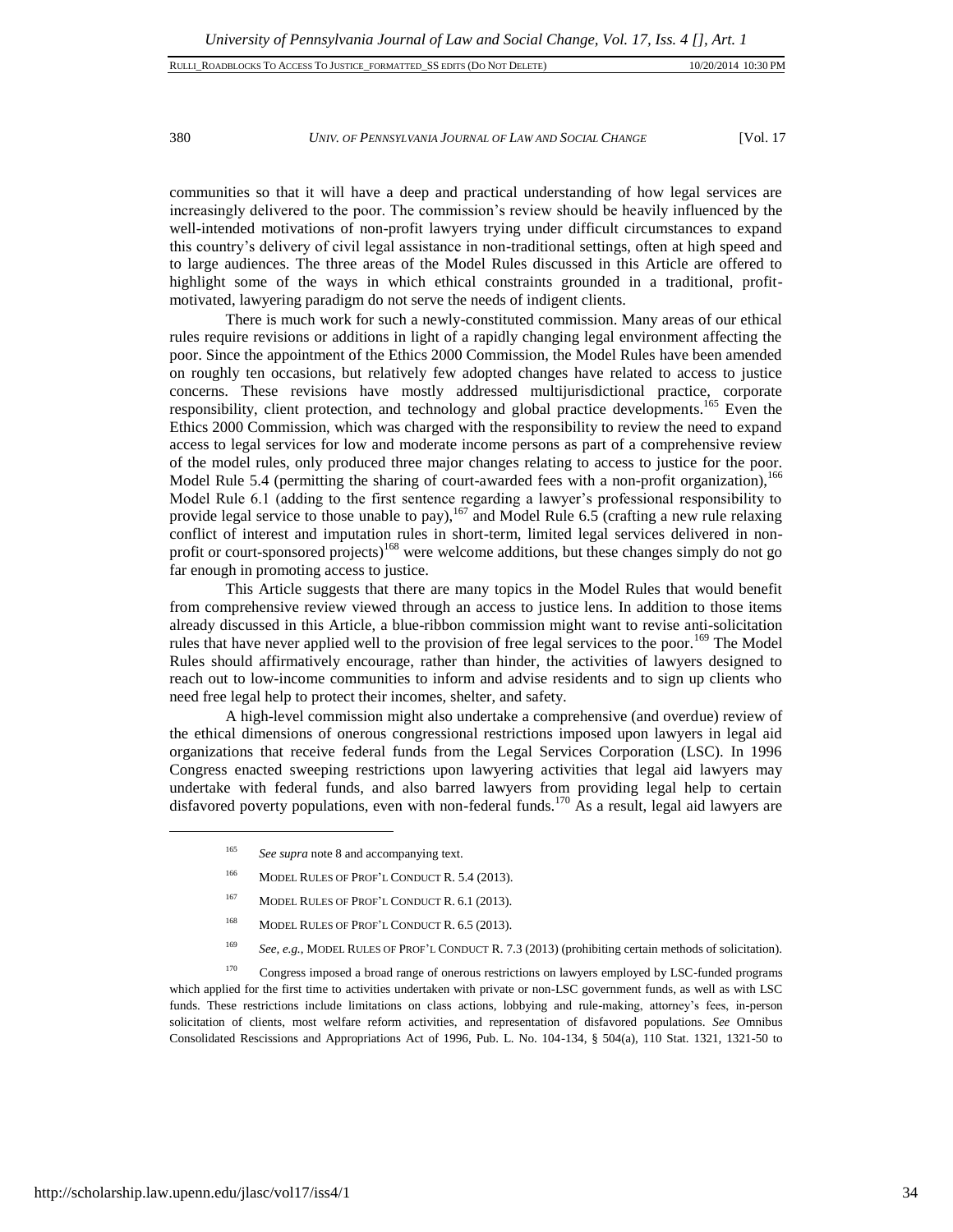#### 380 *UNIV. OF PENNSYLVANIA JOURNAL OF LAW AND SOCIAL CHANGE* [Vol. 17

communities so that it will have a deep and practical understanding of how legal services are increasingly delivered to the poor. The commission's review should be heavily influenced by the well-intended motivations of non-profit lawyers trying under difficult circumstances to expand this country's delivery of civil legal assistance in non-traditional settings, often at high speed and to large audiences. The three areas of the Model Rules discussed in this Article are offered to highlight some of the ways in which ethical constraints grounded in a traditional, profitmotivated, lawyering paradigm do not serve the needs of indigent clients.

There is much work for such a newly-constituted commission. Many areas of our ethical rules require revisions or additions in light of a rapidly changing legal environment affecting the poor. Since the appointment of the Ethics 2000 Commission, the Model Rules have been amended on roughly ten occasions, but relatively few adopted changes have related to access to justice concerns. These revisions have mostly addressed multijurisdictional practice, corporate responsibility, client protection, and technology and global practice developments.<sup>165</sup> Even the Ethics 2000 Commission, which was charged with the responsibility to review the need to expand access to legal services for low and moderate income persons as part of a comprehensive review of the model rules, only produced three major changes relating to access to justice for the poor. Model Rule 5.4 (permitting the sharing of court-awarded fees with a non-profit organization),<sup>166</sup> Model Rule 6.1 (adding to the first sentence regarding a lawyer's professional responsibility to provide legal service to those unable to pay),  $167$  and Model Rule 6.5 (crafting a new rule relaxing conflict of interest and imputation rules in short-term, limited legal services delivered in nonprofit or court-sponsored projects)<sup>168</sup> were welcome additions, but these changes simply do not go far enough in promoting access to justice.

This Article suggests that there are many topics in the Model Rules that would benefit from comprehensive review viewed through an access to justice lens. In addition to those items already discussed in this Article, a blue-ribbon commission might want to revise anti-solicitation rules that have never applied well to the provision of free legal services to the poor.<sup>169</sup> The Model Rules should affirmatively encourage, rather than hinder, the activities of lawyers designed to reach out to low-income communities to inform and advise residents and to sign up clients who need free legal help to protect their incomes, shelter, and safety.

A high-level commission might also undertake a comprehensive (and overdue) review of the ethical dimensions of onerous congressional restrictions imposed upon lawyers in legal aid organizations that receive federal funds from the Legal Services Corporation (LSC). In 1996 Congress enacted sweeping restrictions upon lawyering activities that legal aid lawyers may undertake with federal funds, and also barred lawyers from providing legal help to certain disfavored poverty populations, even with non-federal funds.<sup>170</sup> As a result, legal aid lawyers are

- <sup>166</sup> MODEL RULES OF PROF'L CONDUCT R. 5.4 (2013).
- <sup>167</sup> MODEL RULES OF PROF'L CONDUCT R. 6.1 (2013).
- <sup>168</sup> MODEL RULES OF PROF'L CONDUCT R. 6.5 (2013).
- <sup>169</sup> *See, e.g.*, MODEL RULES OF PROF'L CONDUCT R. 7.3 (2013) (prohibiting certain methods of solicitation).

<sup>170</sup> Congress imposed a broad range of onerous restrictions on lawyers employed by LSC-funded programs which applied for the first time to activities undertaken with private or non-LSC government funds, as well as with LSC funds. These restrictions include limitations on class actions, lobbying and rule-making, attorney's fees, in-person solicitation of clients, most welfare reform activities, and representation of disfavored populations. *See* Omnibus Consolidated Rescissions and Appropriations Act of 1996, Pub. L. No. 104-134, § 504(a), 110 Stat. 1321, 1321-50 to

<sup>&</sup>lt;sup>165</sup> *See supra* note 8 and accompanying text.